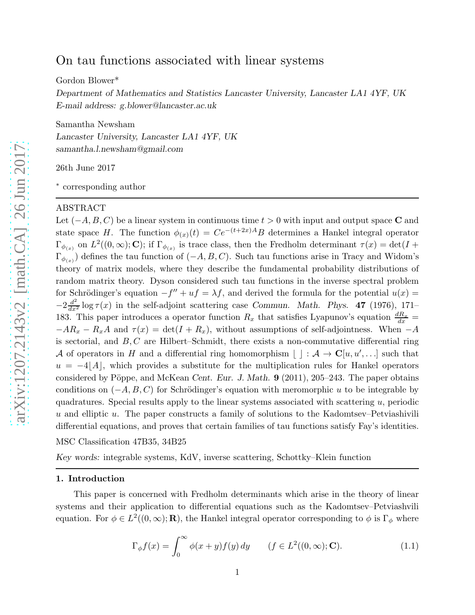# On tau functions associated with linear systems

Gordon Blower\*

Department of Mathematics and Statistics Lancaster University, Lancaster LA1 4YF, UK E-mail address: g.blower@lancaster.ac.uk

Samantha Newsham Lancaster University, Lancaster LA1 4YF, UK samantha.l.newsham@gmail.com

26th June 2017

∗ corresponding author

#### ABSTRACT

Let  $(-A, B, C)$  be a linear system in continuous time  $t > 0$  with input and output space C and state space H. The function  $\phi_{(x)}(t) = Ce^{-(t+2x)A}B$  determines a Hankel integral operator  $\Gamma_{\phi(x)}$  on  $L^2((0,\infty); \mathbb{C})$ ; if  $\Gamma_{\phi(x)}$  is trace class, then the Fredholm determinant  $\tau(x) = \det(I +$  $\Gamma_{\phi(x)}$ ) defines the tau function of  $(-A, B, C)$ . Such tau functions arise in Tracy and Widom's theory of matrix models, where they describe the fundamental probability distributions of random matrix theory. Dyson considered such tau functions in the inverse spectral problem for Schrödinger's equation  $-f'' + uf = \lambda f$ , and derived the formula for the potential  $u(x) =$  $-2\frac{d^2}{dx^2}\log\tau(x)$  in the self-adjoint scattering case Commun. Math. Phys. 47 (1976), 171– 183. This paper introduces a operator function  $R_x$  that satisfies Lyapunov's equation  $\frac{dR_x}{dx}$  =  $-AR_x - R_xA$  and  $\tau(x) = \det(I + R_x)$ , without assumptions of self-adjointness. When  $-A$ is sectorial, and  $B, C$  are Hilbert–Schmidt, there exists a non-commutative differential ring A of operators in H and a differential ring homomorphism  $\lfloor \cdot \rfloor : A \to \mathbb{C}[u, u', \ldots]$  such that  $u = -4|A|$ , which provides a substitute for the multiplication rules for Hankel operators considered by Pöppe, and McKean Cent. Eur. J. Math.  $9$  (2011), 205–243. The paper obtains conditions on  $(-A, B, C)$  for Schrödinger's equation with meromorphic u to be integrable by quadratures. Special results apply to the linear systems associated with scattering  $u$ , periodic  $u$  and elliptic  $u$ . The paper constructs a family of solutions to the Kadomtsev–Petviashivili differential equations, and proves that certain families of tau functions satisfy Fay's identities.

MSC Classification 47B35, 34B25

Key words: integrable systems, KdV, inverse scattering, Schottky–Klein function

## 1. Introduction

This paper is concerned with Fredholm determinants which arise in the theory of linear systems and their application to differential equations such as the Kadomtsev–Petviashvili equation. For  $\phi \in L^2((0,\infty); \mathbf{R})$ , the Hankel integral operator corresponding to  $\phi$  is  $\Gamma_{\phi}$  where

$$
\Gamma_{\phi}f(x) = \int_0^{\infty} \phi(x+y)f(y) \, dy \qquad (f \in L^2((0,\infty); \mathbf{C}). \tag{1.1}
$$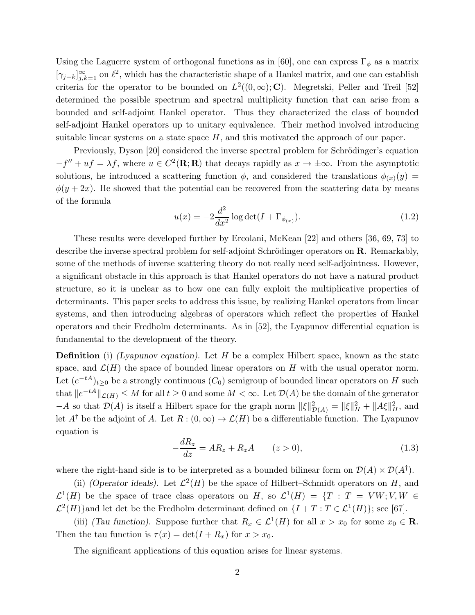Using the Laguerre system of orthogonal functions as in [60], one can express  $\Gamma_{\phi}$  as a matrix  $[\gamma_{j+k}]_{j,k=1}^{\infty}$  on  $\ell^2$ , which has the characteristic shape of a Hankel matrix, and one can establish criteria for the operator to be bounded on  $L^2((0,\infty); \mathbf{C})$ . Megretski, Peller and Treil [52] determined the possible spectrum and spectral multiplicity function that can arise from a bounded and self-adjoint Hankel operator. Thus they characterized the class of bounded self-adjoint Hankel operators up to unitary equivalence. Their method involved introducing suitable linear systems on a state space  $H$ , and this motivated the approach of our paper.

Previously, Dyson [20] considered the inverse spectral problem for Schrödinger's equation  $-f'' + uf = \lambda f$ , where  $u \in C^2(\mathbf{R}; \mathbf{R})$  that decays rapidly as  $x \to \pm \infty$ . From the asymptotic solutions, he introduced a scattering function  $\phi$ , and considered the translations  $\phi_{(x)}(y) =$  $\phi(y+2x)$ . He showed that the potential can be recovered from the scattering data by means of the formula

$$
u(x) = -2\frac{d^2}{dx^2}\log \det(I + \Gamma_{\phi_{(x)}}). \tag{1.2}
$$

These results were developed further by Ercolani, McKean [22] and others [36, 69, 73] to describe the inverse spectral problem for self-adjoint Schrödinger operators on  $\bf R$ . Remarkably, some of the methods of inverse scattering theory do not really need self-adjointness. However, a significant obstacle in this approach is that Hankel operators do not have a natural product structure, so it is unclear as to how one can fully exploit the multiplicative properties of determinants. This paper seeks to address this issue, by realizing Hankel operators from linear systems, and then introducing algebras of operators which reflect the properties of Hankel operators and their Fredholm determinants. As in [52], the Lyapunov differential equation is fundamental to the development of the theory.

**Definition** (i) (Lyapunov equation). Let H be a complex Hilbert space, known as the state space, and  $\mathcal{L}(H)$  the space of bounded linear operators on H with the usual operator norm. Let  $(e^{-tA})_{t\geq 0}$  be a strongly continuous  $(C_0)$  semigroup of bounded linear operators on H such that  $||e^{-tA}||_{\mathcal{L}(H)} \leq M$  for all  $t \geq 0$  and some  $M < \infty$ . Let  $\mathcal{D}(A)$  be the domain of the generator  $-A$  so that  $\mathcal{D}(A)$  is itself a Hilbert space for the graph norm  $\|\xi\|_{\mathcal{D}(A)}^2 = \|\xi\|_H^2 + \|A\xi\|_H^2$ , and let  $A^{\dagger}$  be the adjoint of A. Let  $R:(0,\infty)\to \mathcal{L}(H)$  be a differentiable function. The Lyapunov equation is

$$
-\frac{dR_z}{dz} = AR_z + R_z A \qquad (z > 0), \tag{1.3}
$$

where the right-hand side is to be interpreted as a bounded bilinear form on  $\mathcal{D}(A) \times \mathcal{D}(A^{\dagger})$ .

(ii) (Operator ideals). Let  $\mathcal{L}^2(H)$  be the space of Hilbert–Schmidt operators on H, and  $\mathcal{L}^1(H)$  be the space of trace class operators on H, so  $\mathcal{L}^1(H) = \{T : T = VW; V, W \in$  $\mathcal{L}^2(H)$ }and let det be the Fredholm determinant defined on  $\{I + T : T \in \mathcal{L}^1(H)\}$ ; see [67].

(iii) (Tau function). Suppose further that  $R_x \in \mathcal{L}^1(H)$  for all  $x > x_0$  for some  $x_0 \in \mathbb{R}$ . Then the tau function is  $\tau(x) = \det(I + R_x)$  for  $x > x_0$ .

The significant applications of this equation arises for linear systems.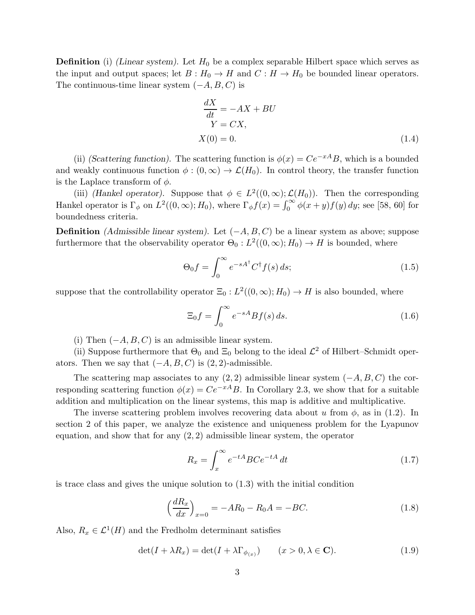**Definition** (i) (Linear system). Let  $H_0$  be a complex separable Hilbert space which serves as the input and output spaces; let  $B : H_0 \to H$  and  $C : H \to H_0$  be bounded linear operators. The continuous-time linear system  $(-A, B, C)$  is

$$
\frac{dX}{dt} = -AX + BU
$$
  
 
$$
Y = CX,
$$
  
 
$$
X(0) = 0.
$$
 (1.4)

(ii) (Scattering function). The scattering function is  $\phi(x) = Ce^{-xA}B$ , which is a bounded and weakly continuous function  $\phi : (0, \infty) \to \mathcal{L}(H_0)$ . In control theory, the transfer function is the Laplace transform of  $\phi$ .

(iii) (Hankel operator). Suppose that  $\phi \in L^2((0,\infty); \mathcal{L}(H_0))$ . Then the corresponding Hankel operator is  $\Gamma_{\phi}$  on  $L^2((0,\infty); H_0)$ , where  $\Gamma_{\phi}f(x) = \int_0^{\infty} \phi(x+y)f(y) dy$ ; see [58, 60] for boundedness criteria.

**Definition** (Admissible linear system). Let  $(-A, B, C)$  be a linear system as above; suppose furthermore that the observability operator  $\Theta_0: L^2((0,\infty); H_0) \to H$  is bounded, where

$$
\Theta_0 f = \int_0^\infty e^{-sA^\dagger} C^\dagger f(s) \, ds; \tag{1.5}
$$

suppose that the controllability operator  $\Xi_0: L^2((0,\infty);H_0) \to H$  is also bounded, where

$$
\Xi_0 f = \int_0^\infty e^{-sA} Bf(s) \, ds. \tag{1.6}
$$

(i) Then  $(-A, B, C)$  is an admissible linear system.

(ii) Suppose furthermore that  $\Theta_0$  and  $\Xi_0$  belong to the ideal  $\mathcal{L}^2$  of Hilbert–Schmidt operators. Then we say that  $(-A, B, C)$  is  $(2, 2)$ -admissible.

The scattering map associates to any  $(2, 2)$  admissible linear system  $(-A, B, C)$  the corresponding scattering function  $\phi(x) = Ce^{-xA}B$ . In Corollary 2.3, we show that for a suitable addition and multiplication on the linear systems, this map is additive and multiplicative.

The inverse scattering problem involves recovering data about u from  $\phi$ , as in (1.2). In section 2 of this paper, we analyze the existence and uniqueness problem for the Lyapunov equation, and show that for any  $(2, 2)$  admissible linear system, the operator

$$
R_x = \int_x^{\infty} e^{-tA} BC e^{-tA} dt
$$
 (1.7)

is trace class and gives the unique solution to (1.3) with the initial condition

$$
\left(\frac{dR_x}{dx}\right)_{x=0} = -AR_0 - R_0A = -BC.
$$
\n(1.8)

Also,  $R_x \in \mathcal{L}^1(H)$  and the Fredholm determinant satisfies

$$
\det(I + \lambda R_x) = \det(I + \lambda \Gamma_{\phi_{(x)}}) \qquad (x > 0, \lambda \in \mathbf{C}). \tag{1.9}
$$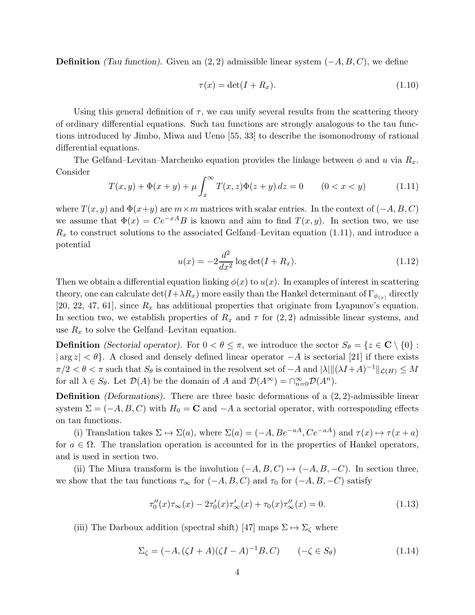**Definition** (Tau function). Given an  $(2, 2)$  admissible linear system  $(-A, B, C)$ , we define

$$
\tau(x) = \det(I + R_x). \tag{1.10}
$$

Using this general definition of  $\tau$ , we can unify several results from the scattering theory of ordinary differential equations. Such tau functions are strongly analogous to the tau functions introduced by Jimbo, Miwa and Ueno [55, 33] to describe the isomonodromy of rational differential equations.

The Gelfand–Levitan–Marchenko equation provides the linkage between  $\phi$  and u via  $R_x$ . Consider

$$
T(x, y) + \Phi(x + y) + \mu \int_{x}^{\infty} T(x, z)\Phi(z + y) dz = 0 \qquad (0 < x < y)
$$
 (1.11)

where  $T(x, y)$  and  $\Phi(x+y)$  are  $m \times m$  matrices with scalar entries. In the context of  $(-A, B, C)$ we assume that  $\Phi(x) = Ce^{-xA}B$  is known and aim to find  $T(x, y)$ . In section two, we use  $R_x$  to construct solutions to the associated Gelfand–Levitan equation (1.11), and introduce a potential

$$
u(x) = -2\frac{d^2}{dx^2}\log \det(I + R_x).
$$
 (1.12)

Then we obtain a differential equation linking  $\phi(x)$  to  $u(x)$ . In examples of interest in scattering theory, one can calculate  $\det(I+\lambda R_x)$  more easily than the Hankel determinant of  $\Gamma_{\phi_{(x)}}$  directly [20, 22, 47, 61], since  $R_x$  has additional properties that originate from Lyapunov's equation. In section two, we establish properties of  $R_x$  and  $\tau$  for  $(2, 2)$  admissible linear systems, and use  $R_x$  to solve the Gelfand–Levitan equation.

**Definition** (Sectorial operator). For  $0 < \theta \leq \pi$ , we introduce the sector  $S_{\theta} = \{z \in \mathbb{C} \setminus \{0\} :$  $|\arg z| < \theta$ . A closed and densely defined linear operator  $-A$  is sectorial [21] if there exists  $\pi/2 < \theta < \pi$  such that  $S_{\theta}$  is contained in the resolvent set of  $-A$  and  $|\lambda| ||(\lambda I + A)^{-1}||_{\mathcal{L}(H)} \leq M$ for all  $\lambda \in S_{\theta}$ . Let  $\mathcal{D}(A)$  be the domain of A and  $\mathcal{D}(A^{\infty}) = \cap_{n=0}^{\infty} \mathcal{D}(A^n)$ .

**Definition** (Deformations). There are three basic deformations of a  $(2, 2)$ -admissible linear system  $\Sigma = (-A, B, C)$  with  $H_0 = \mathbf{C}$  and  $-A$  a sectorial operator, with corresponding effects on tau functions.

(i) Translation takes  $\Sigma \mapsto \Sigma(a)$ , where  $\Sigma(a) = (-A, Be^{-aA}, Ce^{-aA})$  and  $\tau(x) \mapsto \tau(x+a)$ for  $a \in \Omega$ . The translation operation is accounted for in the properties of Hankel operators, and is used in section two.

(ii) The Miura transform is the involution  $(-A, B, C) \mapsto (-A, B, -C)$ . In section three, we show that the tau functions  $\tau_{\infty}$  for  $(-A, B, C)$  and  $\tau_0$  for  $(-A, B, -C)$  satisfy

$$
\tau_0''(x)\tau_\infty(x) - 2\tau_0'(x)\tau_\infty'(x) + \tau_0(x)\tau_\infty''(x) = 0.
$$
\n(1.13)

(iii) The Darboux addition (spectral shift) [47] maps  $\Sigma \mapsto \Sigma_{\zeta}$  where

$$
\Sigma_{\zeta} = (-A, (\zeta I + A)(\zeta I - A)^{-1}B, C) \qquad (-\zeta \in S_{\theta}) \tag{1.14}
$$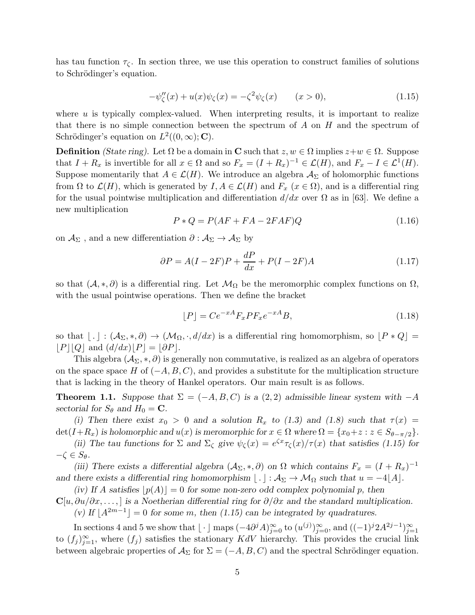has tau function  $\tau_{\zeta}$ . In section three, we use this operation to construct families of solutions to Schrödinger's equation.

$$
-\psi''_{\zeta}(x) + u(x)\psi_{\zeta}(x) = -\zeta^2 \psi_{\zeta}(x) \qquad (x > 0),
$$
\n(1.15)

where  $u$  is typically complex-valued. When interpreting results, it is important to realize that there is no simple connection between the spectrum of A on H and the spectrum of Schrödinger's equation on  $L^2((0,\infty); \mathbf{C})$ .

**Definition** (State ring). Let  $\Omega$  be a domain in **C** such that  $z, w \in \Omega$  implies  $z+w \in \Omega$ . Suppose that  $I + R_x$  is invertible for all  $x \in \Omega$  and so  $F_x = (I + R_x)^{-1} \in \mathcal{L}(H)$ , and  $F_x - I \in \mathcal{L}^1(H)$ . Suppose momentarily that  $A \in \mathcal{L}(H)$ . We introduce an algebra  $\mathcal{A}_{\Sigma}$  of holomorphic functions from  $\Omega$  to  $\mathcal{L}(H)$ , which is generated by  $I, A \in \mathcal{L}(H)$  and  $F_x$   $(x \in \Omega)$ , and is a differential ring for the usual pointwise multiplication and differentiation  $d/dx$  over  $\Omega$  as in [63]. We define a new multiplication

$$
P * Q = P(AF + FA - 2FAF)Q \tag{1.16}
$$

on  $\mathcal{A}_{\Sigma}$  , and a new differentiation  $\partial:\mathcal{A}_{\Sigma}\to \mathcal{A}_{\Sigma}$  by

$$
\partial P = A(I - 2F)P + \frac{dP}{dx} + P(I - 2F)A\tag{1.17}
$$

so that  $(\mathcal{A},*,\partial)$  is a differential ring. Let  $\mathcal{M}_{\Omega}$  be the meromorphic complex functions on  $\Omega$ , with the usual pointwise operations. Then we define the bracket

$$
[P] = Ce^{-xA}F_xPF_xe^{-xA}B,
$$
\n(1.18)

so that  $| \cdot | : (\mathcal{A}_{\Sigma},*,\partial) \to (\mathcal{M}_{\Omega},\cdot,d/dx)$  is a differential ring homomorphism, so  $|P * Q| =$  $|P||Q|$  and  $(d/dx)|P| = |\partial P|$ .

This algebra  $(\mathcal{A}_{\Sigma},*,\partial)$  is generally non commutative, is realized as an algebra of operators on the space space H of  $(-A, B, C)$ , and provides a substitute for the multiplication structure that is lacking in the theory of Hankel operators. Our main result is as follows.

**Theorem 1.1.** Suppose that  $\Sigma = (-A, B, C)$  is a  $(2, 2)$  admissible linear system with  $-A$ sectorial for  $S_{\theta}$  and  $H_0 = \mathbf{C}$ .

(i) Then there exist  $x_0 > 0$  and a solution  $R_x$  to (1.3) and (1.8) such that  $\tau(x) =$  $\det(I+R_x)$  is holomorphic and  $u(x)$  is meromorphic for  $x \in \Omega$  where  $\Omega = \{x_0 + z : z \in S_{\theta - \pi/2}\}.$ 

(ii) The tau functions for  $\Sigma$  and  $\Sigma_{\zeta}$  give  $\psi_{\zeta}(x) = e^{\zeta x} \tau_{\zeta}(x)/\tau(x)$  that satisfies (1.15) for  $-\zeta \in S_{\theta}$ .

(iii) There exists a differential algebra  $(A_{\Sigma}, *, \partial)$  on  $\Omega$  which contains  $F_x = (I + R_x)^{-1}$ and there exists a differential ring homomorphism  $|\cdot| : A_{\Sigma} \to \mathcal{M}_{\Omega}$  such that  $u = -4|A|$ .

(iv) If A satisfies  $|p(A)| = 0$  for some non-zero odd complex polynomial p, then  $\mathbf{C}[u, \partial u/\partial x, \dots]$  is a Noetherian differential ring for  $\partial/\partial x$  and the standard multiplication.

(v) If  $\lfloor A^{2m-1} \rfloor = 0$  for some m, then (1.15) can be integrated by quadratures.

In sections 4 and 5 we show that  $\lfloor \cdot \rfloor$  maps  $(-4\partial^j A)_{j=0}^{\infty}$  to  $(u^{(j)})_{j=0}^{\infty}$ , and  $((-1)^j 2A^{2j-1})_{j=1}^{\infty}$ to  $(f_j)_{j=1}^{\infty}$ , where  $(f_j)$  satisfies the stationary KdV hierarchy. This provides the crucial link between algebraic properties of  $\mathcal{A}_{\Sigma}$  for  $\Sigma = (-A, B, C)$  and the spectral Schrödinger equation.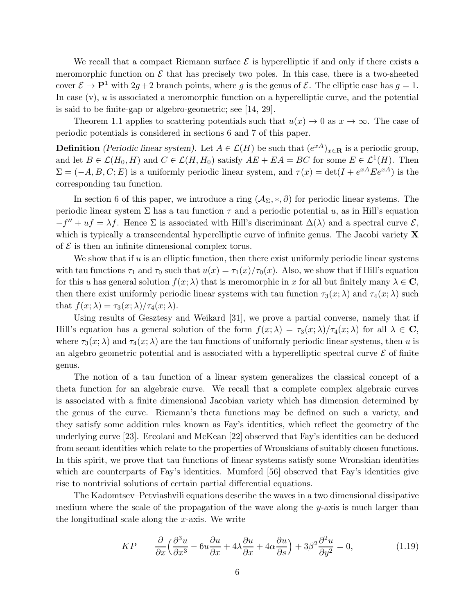We recall that a compact Riemann surface  $\mathcal E$  is hyperelliptic if and only if there exists a meromorphic function on  $\mathcal E$  that has precisely two poles. In this case, there is a two-sheeted cover  $\mathcal{E} \to \mathbf{P}^1$  with  $2g + 2$  branch points, where g is the genus of  $\mathcal{E}$ . The elliptic case has  $g = 1$ . In case  $(v)$ ,  $u$  is associated a meromorphic function on a hyperelliptic curve, and the potential is said to be finite-gap or algebro-geometric; see [14, 29].

Theorem 1.1 applies to scattering potentials such that  $u(x) \to 0$  as  $x \to \infty$ . The case of periodic potentials is considered in sections 6 and 7 of this paper.

**Definition** (Periodic linear system). Let  $A \in \mathcal{L}(H)$  be such that  $(e^{xA})_{x \in \mathbf{R}}$  is a periodic group, and let  $B \in \mathcal{L}(H_0, H)$  and  $C \in \mathcal{L}(H, H_0)$  satisfy  $AE + EA = BC$  for some  $E \in \mathcal{L}^1(H)$ . Then  $\Sigma = (-A, B, C; E)$  is a uniformly periodic linear system, and  $\tau(x) = \det(I + e^{xA} E e^{xA})$  is the corresponding tau function.

In section 6 of this paper, we introduce a ring  $(\mathcal{A}_{\Sigma},*,\partial)$  for periodic linear systems. The periodic linear system  $\Sigma$  has a tau function  $\tau$  and a periodic potential u, as in Hill's equation  $-f'' + uf = \lambda f$ . Hence  $\Sigma$  is associated with Hill's discriminant  $\Delta(\lambda)$  and a spectral curve  $\mathcal{E}$ , which is typically a transcendental hyperelliptic curve of infinite genus. The Jacobi variety  $\bf{X}$ of  $\mathcal E$  is then an infinite dimensional complex torus.

We show that if  $u$  is an elliptic function, then there exist uniformly periodic linear systems with tau functions  $\tau_1$  and  $\tau_0$  such that  $u(x) = \tau_1(x)/\tau_0(x)$ . Also, we show that if Hill's equation for this u has general solution  $f(x; \lambda)$  that is meromorphic in x for all but finitely many  $\lambda \in \mathbb{C}$ , then there exist uniformly periodic linear systems with tau function  $\tau_3(x; \lambda)$  and  $\tau_4(x; \lambda)$  such that  $f(x; \lambda) = \tau_3(x; \lambda) / \tau_4(x; \lambda)$ .

Using results of Gesztesy and Weikard [31], we prove a partial converse, namely that if Hill's equation has a general solution of the form  $f(x; \lambda) = \tau_3(x; \lambda)/\tau_4(x; \lambda)$  for all  $\lambda \in \mathbb{C}$ , where  $\tau_3(x; \lambda)$  and  $\tau_4(x; \lambda)$  are the tau functions of uniformly periodic linear systems, then u is an algebro geometric potential and is associated with a hyperelliptic spectral curve  $\mathcal E$  of finite genus.

The notion of a tau function of a linear system generalizes the classical concept of a theta function for an algebraic curve. We recall that a complete complex algebraic curves is associated with a finite dimensional Jacobian variety which has dimension determined by the genus of the curve. Riemann's theta functions may be defined on such a variety, and they satisfy some addition rules known as Fay's identities, which reflect the geometry of the underlying curve [23]. Ercolani and McKean [22] observed that Fay's identities can be deduced from secant identities which relate to the properties of Wronskians of suitably chosen functions. In this spirit, we prove that tau functions of linear systems satisfy some Wronskian identities which are counterparts of Fay's identities. Mumford [56] observed that Fay's identities give rise to nontrivial solutions of certain partial differential equations.

The Kadomtsev–Petviashvili equations describe the waves in a two dimensional dissipative medium where the scale of the propagation of the wave along the y-axis is much larger than the longitudinal scale along the  $x$ -axis. We write

$$
KP \qquad \frac{\partial}{\partial x} \Big( \frac{\partial^3 u}{\partial x^3} - 6u \frac{\partial u}{\partial x} + 4\lambda \frac{\partial u}{\partial x} + 4\alpha \frac{\partial u}{\partial s} \Big) + 3\beta^2 \frac{\partial^2 u}{\partial y^2} = 0, \tag{1.19}
$$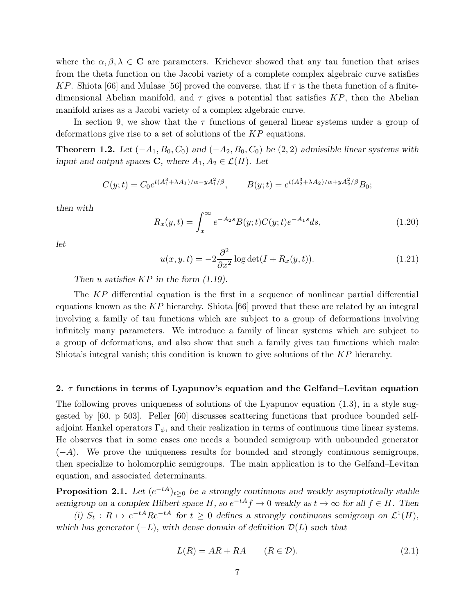where the  $\alpha, \beta, \lambda \in \mathbf{C}$  are parameters. Krichever showed that any tau function that arises from the theta function on the Jacobi variety of a complete complex algebraic curve satisfies KP. Shiota [66] and Mulase [56] proved the converse, that if  $\tau$  is the theta function of a finitedimensional Abelian manifold, and  $\tau$  gives a potential that satisfies KP, then the Abelian manifold arises as a Jacobi variety of a complex algebraic curve.

In section 9, we show that the  $\tau$  functions of general linear systems under a group of deformations give rise to a set of solutions of the KP equations.

**Theorem 1.2.** Let  $(-A_1, B_0, C_0)$  and  $(-A_2, B_0, C_0)$  be  $(2, 2)$  admissible linear systems with input and output spaces C, where  $A_1, A_2 \in \mathcal{L}(H)$ . Let

$$
C(y;t) = C_0 e^{t(A_1^3 + \lambda A_1)/\alpha - yA_1^2/\beta}, \qquad B(y;t) = e^{t(A_2^3 + \lambda A_2)/\alpha + yA_2^2/\beta} B_0;
$$

then with

$$
R_x(y,t) = \int_x^{\infty} e^{-A_2 s} B(y;t) C(y;t) e^{-A_1 s} ds,
$$
\n(1.20)

let

$$
u(x, y, t) = -2 \frac{\partial^2}{\partial x^2} \log \det(I + R_x(y, t)).
$$
\n(1.21)

Then u satisfies  $KP$  in the form  $(1.19)$ .

The KP differential equation is the first in a sequence of nonlinear partial differential equations known as the  $KP$  hierarchy. Shiota [66] proved that these are related by an integral involving a family of tau functions which are subject to a group of deformations involving infinitely many parameters. We introduce a family of linear systems which are subject to a group of deformations, and also show that such a family gives tau functions which make Shiota's integral vanish; this condition is known to give solutions of the KP hierarchy.

## 2.  $\tau$  functions in terms of Lyapunov's equation and the Gelfand–Levitan equation

The following proves uniqueness of solutions of the Lyapunov equation (1.3), in a style suggested by [60, p 503]. Peller [60] discusses scattering functions that produce bounded selfadjoint Hankel operators  $\Gamma_{\phi}$ , and their realization in terms of continuous time linear systems. He observes that in some cases one needs a bounded semigroup with unbounded generator  $(-A)$ . We prove the uniqueness results for bounded and strongly continuous semigroups, then specialize to holomorphic semigroups. The main application is to the Gelfand–Levitan equation, and associated determinants.

**Proposition 2.1.** Let  $(e^{-tA})_{t\geq 0}$  be a strongly continuous and weakly asymptotically stable semigroup on a complex Hilbert space  $H$ , so  $e^{-tA}f \to 0$  weakly as  $t \to \infty$  for all  $f \in H$ . Then

(i)  $S_t$ :  $R \mapsto e^{-tA}Re^{-tA}$  for  $t \geq 0$  defines a strongly continuous semigroup on  $\mathcal{L}^1(H)$ , which has generator  $(-L)$ , with dense domain of definition  $\mathcal{D}(L)$  such that

$$
L(R) = AR + RA \qquad (R \in \mathcal{D}). \tag{2.1}
$$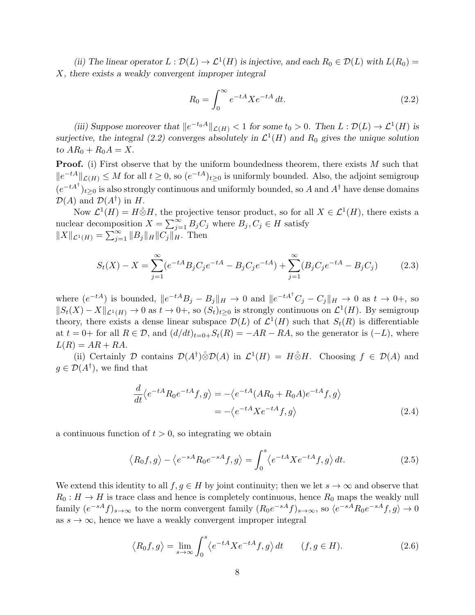(ii) The linear operator  $L : \mathcal{D}(L) \to \mathcal{L}^1(H)$  is injective, and each  $R_0 \in \mathcal{D}(L)$  with  $L(R_0) =$ X, there exists a weakly convergent improper integral

$$
R_0 = \int_0^\infty e^{-tA} X e^{-tA} dt.
$$
\n(2.2)

(iii) Suppose moreover that  $||e^{-t_0A}||_{\mathcal{L}(H)} < 1$  for some  $t_0 > 0$ . Then  $L : \mathcal{D}(L) \to \mathcal{L}^1(H)$  is surjective, the integral (2.2) converges absolutely in  $\mathcal{L}^1(H)$  and  $R_0$  gives the unique solution to  $AR_0 + R_0A = X$ .

**Proof.** (i) First observe that by the uniform boundedness theorem, there exists  $M$  such that  $||e^{-tA}||_{\mathcal{L}(H)} \leq M$  for all  $t \geq 0$ , so  $(e^{-tA})_{t \geq 0}$  is uniformly bounded. Also, the adjoint semigroup  $(e^{-tA^{\dagger}})_{t\geq 0}$  is also strongly continuous and uniformly bounded, so A and  $A^{\dagger}$  have dense domains  $\mathcal{D}(A)$  and  $\mathcal{D}(A^{\dagger})$  in H.

Now  $\mathcal{L}^1(H) = H \hat{\otimes} H$ , the projective tensor product, so for all  $X \in \mathcal{L}^1(H)$ , there exists a nuclear decomposition  $X = \sum_{j=1}^{\infty} B_j C_j$  where  $B_j, C_j \in H$  satisfy  $||X||_{\mathcal{L}^1(H)} = \sum_{j=1}^{\infty} ||B_j||_H ||C_j||_H^{\frac{1}{n}}$ . Then

$$
S_t(X) - X = \sum_{j=1}^{\infty} (e^{-tA} B_j C_j e^{-tA} - B_j C_j e^{-tA}) + \sum_{j=1}^{\infty} (B_j C_j e^{-tA} - B_j C_j)
$$
(2.3)

where  $(e^{-tA})$  is bounded,  $||e^{-tA}B_j - B_j||_H \to 0$  and  $||e^{-tA^{\dagger}}C_j - C_j||_H \to 0$  as  $t \to 0^+$ , so  $||S_t(X) - X||_{\mathcal{L}^1(H)} \to 0$  as  $t \to 0^+,$  so  $(S_t)_{t \geq 0}$  is strongly continuous on  $\mathcal{L}^1(H)$ . By semigroup theory, there exists a dense linear subspace  $\mathcal{D}(L)$  of  $\mathcal{L}^1(H)$  such that  $S_t(R)$  is differentiable at  $t = 0+$  for all  $R \in \mathcal{D}$ , and  $(d/dt)_{t=0+}S_t(R) = -AR - RA$ , so the generator is  $(-L)$ , where  $L(R) = AR + RA.$ 

(ii) Certainly D contains  $\mathcal{D}(A^{\dagger})\hat{\otimes}\mathcal{D}(A)$  in  $\mathcal{L}^1(H) = H\hat{\otimes}H$ . Choosing  $f \in \mathcal{D}(A)$  and  $g \in \mathcal{D}(A^{\dagger})$ , we find that

$$
\frac{d}{dt}\langle e^{-tA}R_0e^{-tA}f,g\rangle = -\langle e^{-tA}(AR_0 + R_0A)e^{-tA}f,g\rangle
$$

$$
= -\langle e^{-tA}Xe^{-tA}f,g\rangle
$$
(2.4)

a continuous function of  $t > 0$ , so integrating we obtain

$$
\langle R_0 f, g \rangle - \langle e^{-sA} R_0 e^{-sA} f, g \rangle = \int_0^s \langle e^{-tA} X e^{-tA} f, g \rangle dt. \tag{2.5}
$$

We extend this identity to all  $f, g \in H$  by joint continuity; then we let  $s \to \infty$  and observe that  $R_0: H \to H$  is trace class and hence is completely continuous, hence  $R_0$  maps the weakly null family  $(e^{-sA}f)_{s\to\infty}$  to the norm convergent family  $(R_0e^{-sA}f)_{s\to\infty}$ , so  $\langle e^{-sA}R_0e^{-sA}f, g\rangle \to 0$ as  $s \to \infty$ , hence we have a weakly convergent improper integral

$$
\langle R_0 f, g \rangle = \lim_{s \to \infty} \int_0^s \langle e^{-tA} X e^{-tA} f, g \rangle dt \qquad (f, g \in H). \tag{2.6}
$$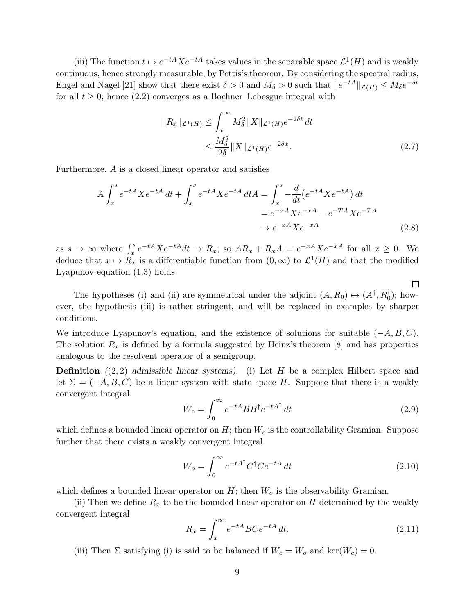(iii) The function  $t \mapsto e^{-tA} X e^{-tA}$  takes values in the separable space  $\mathcal{L}^1(H)$  and is weakly continuous, hence strongly measurable, by Pettis's theorem. By considering the spectral radius, Engel and Nagel [21] show that there exist  $\delta > 0$  and  $M_{\delta} > 0$  such that  $||e^{-tA}||_{\mathcal{L}(H)} \leq M_{\delta}e^{-\delta t}$ for all  $t \geq 0$ ; hence (2.2) converges as a Bochner–Lebesgue integral with

$$
||R_x||_{\mathcal{L}^1(H)} \le \int_x^\infty M_\delta^2 ||X||_{\mathcal{L}^1(H)} e^{-2\delta t} dt
$$
  
 
$$
\le \frac{M_\delta^2}{2\delta} ||X||_{\mathcal{L}^1(H)} e^{-2\delta x}.
$$
 (2.7)

Furthermore, A is a closed linear operator and satisfies

$$
A \int_{x}^{s} e^{-tA} X e^{-tA} dt + \int_{x}^{s} e^{-tA} X e^{-tA} dt A = \int_{x}^{s} -\frac{d}{dt} (e^{-tA} X e^{-tA}) dt
$$
  
=  $e^{-xA} X e^{-xA} - e^{-TA} X e^{-TA}$   
 $\rightarrow e^{-xA} X e^{-xA}$  (2.8)

as  $s \to \infty$  where  $\int_x^s e^{-tA} X e^{-tA} dt \to R_x$ ; so  $AR_x + R_x A = e^{-xA} X e^{-xA}$  for all  $x \ge 0$ . We deduce that  $x \mapsto R_x$  is a differentiable function from  $(0, \infty)$  to  $\mathcal{L}^1(H)$  and that the modified Lyapunov equation (1.3) holds.

The hypotheses (i) and (ii) are symmetrical under the adjoint  $(A, R_0) \mapsto (A^{\dagger}, R_0^{\dagger})$ ; however, the hypothesis (iii) is rather stringent, and will be replaced in examples by sharper conditions.

We introduce Lyapunov's equation, and the existence of solutions for suitable  $(-A, B, C)$ . The solution  $R_x$  is defined by a formula suggested by Heinz's theorem [8] and has properties analogous to the resolvent operator of a semigroup.

**Definition**  $((2, 2)$  admissible linear systems). (i) Let H be a complex Hilbert space and let  $\Sigma = (-A, B, C)$  be a linear system with state space H. Suppose that there is a weakly convergent integral

$$
W_c = \int_0^\infty e^{-tA} BB^\dagger e^{-tA^\dagger} dt
$$
\n(2.9)

 $\Box$ 

which defines a bounded linear operator on  $H$ ; then  $W_c$  is the controllability Gramian. Suppose further that there exists a weakly convergent integral

$$
W_o = \int_0^\infty e^{-tA^\dagger} C^\dagger C e^{-tA} dt
$$
\n(2.10)

which defines a bounded linear operator on  $H$ ; then  $W<sub>o</sub>$  is the observability Gramian.

(ii) Then we define  $R_x$  to be the bounded linear operator on H determined by the weakly convergent integral

$$
R_x = \int_x^{\infty} e^{-tA} BC e^{-tA} dt.
$$
 (2.11)

(iii) Then  $\Sigma$  satisfying (i) is said to be balanced if  $W_c = W_o$  and ker( $W_c = 0$ .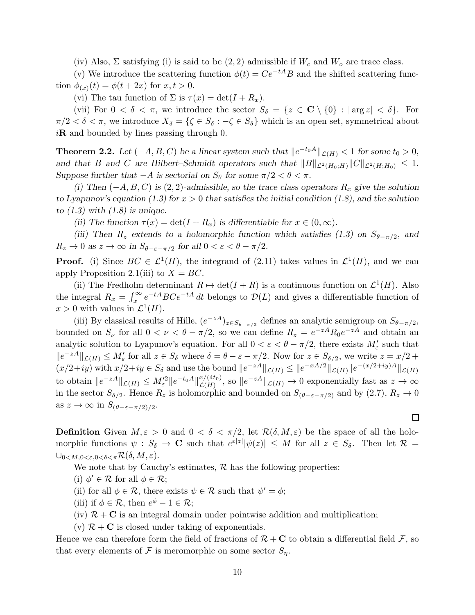(iv) Also,  $\Sigma$  satisfying (i) is said to be  $(2, 2)$  admissible if  $W_c$  and  $W_o$  are trace class.

(v) We introduce the scattering function  $\phi(t) = Ce^{-tA}B$  and the shifted scattering function  $\phi_{(x)}(t) = \phi(t + 2x)$  for  $x, t > 0$ .

(vi) The tau function of  $\Sigma$  is  $\tau(x) = \det(I + R_x)$ .

(vii) For  $0 < \delta < \pi$ , we introduce the sector  $S_{\delta} = \{z \in \mathbb{C} \setminus \{0\} : |\arg z| < \delta\}.$  For  $\pi/2 < \delta < \pi$ , we introduce  $X_{\delta} = {\{\zeta \in S_{\delta} : -\zeta \in S_{\delta}\}}$  which is an open set, symmetrical about  $i\mathbf{R}$  and bounded by lines passing through 0.

**Theorem 2.2.** Let  $(-A, B, C)$  be a linear system such that  $||e^{-t_0A}||_{\mathcal{L}(H)} < 1$  for some  $t_0 > 0$ , and that B and C are Hilbert–Schmidt operators such that  $||B||_{\mathcal{L}^2(H_0;H)}||C||_{\mathcal{L}^2(H;H_0)} \leq 1$ . Suppose further that  $-A$  is sectorial on  $S_{\theta}$  for some  $\pi/2 < \theta < \pi$ .

(i) Then  $(-A, B, C)$  is  $(2, 2)$ -admissible, so the trace class operators  $R_x$  give the solution to Lyapunov's equation (1.3) for  $x > 0$  that satisfies the initial condition (1.8), and the solution to  $(1.3)$  with  $(1.8)$  is unique.

(ii) The function  $\tau(x) = \det(I + R_x)$  is differentiable for  $x \in (0, \infty)$ .

(iii) Then R<sub>z</sub> extends to a holomorphic function which satisfies (1.3) on  $S_{\theta-\pi/2}$ , and  $R_z \to 0$  as  $z \to \infty$  in  $S_{\theta-\varepsilon-\pi/2}$  for all  $0 < \varepsilon < \theta - \pi/2$ .

**Proof.** (i) Since  $BC \in \mathcal{L}^1(H)$ , the integrand of (2.11) takes values in  $\mathcal{L}^1(H)$ , and we can apply Proposition 2.1(iii) to  $X = BC$ .

(ii) The Fredholm determinant  $R \mapsto \det(I + R)$  is a continuous function on  $\mathcal{L}^1(H)$ . Also the integral  $R_x = \int_x^{\infty} e^{-tA} BC e^{-tA} dt$  belongs to  $\mathcal{D}(L)$  and gives a differentiable function of  $x > 0$  with values in  $\mathcal{L}^1(H)$ .

(iii) By classical results of Hille,  $(e^{-zA})_{z \in S_{\theta-\pi/2}}$  defines an analytic semigroup on  $S_{\theta-\pi/2}$ , bounded on  $S_{\nu}$  for all  $0 < \nu < \theta - \pi/2$ , so we can define  $R_z = e^{-zA} R_0 e^{-zA}$  and obtain an analytic solution to Lyapunov's equation. For all  $0 < \varepsilon < \theta - \pi/2$ , there exists  $M'_{\varepsilon}$  such that  $||e^{-zA}||_{\mathcal{L}(H)} \leq M'_{\varepsilon}$  for all  $z \in S_{\delta}$  where  $\delta = \theta - \varepsilon - \pi/2$ . Now for  $z \in S_{\delta/2}$ , we write  $z = x/2 +$  $(x/2+iy)$  with  $x/2+iy \in S_\delta$  and use the bound  $||e^{-zA}||_{\mathcal{L}(H)} \leq ||e^{-xA/2}||_{\mathcal{L}(H)} ||e^{-(x/2+iy)A}||_{\mathcal{L}(H)}$ to obtain  $||e^{-zA}||_{\mathcal{L}(H)} \leq M_{\varepsilon}'^2 ||e^{-t_0A}||_{\mathcal{L}(H)}^{x/(4t_0)}$  $\mathcal{L}(H^{(4t_0)}),$  so  $||e^{-zA}||_{\mathcal{L}(H)} \to 0$  exponentially fast as  $z \to \infty$ in the sector  $S_{\delta/2}$ . Hence  $R_z$  is holomorphic and bounded on  $S_{(\theta-\varepsilon-\pi/2)}$  and by (2.7),  $R_z \to 0$ as  $z \to \infty$  in  $S_{(\theta-\varepsilon-\pi/2)/2}$ .

**Definition** Given  $M, \varepsilon > 0$  and  $0 < \delta < \pi/2$ , let  $\mathcal{R}(\delta, M, \varepsilon)$  be the space of all the holomorphic functions  $\psi : S_{\delta} \to \mathbb{C}$  such that  $e^{\varepsilon |z|} |\psi(z)| \leq M$  for all  $z \in S_{\delta}$ . Then let  $\mathcal{R} =$  $\bigcup_{0 \le M, 0 \le \varepsilon, 0 \le \delta \le \pi} \mathcal{R}(\delta, M, \varepsilon).$ 

We note that by Cauchy's estimates,  $R$  has the following properties:

(i)  $\phi' \in \mathcal{R}$  for all  $\phi \in \mathcal{R}$ ;

(ii) for all  $\phi \in \mathcal{R}$ , there exists  $\psi \in \mathcal{R}$  such that  $\psi' = \phi$ ;

(iii) if  $\phi \in \mathcal{R}$ , then  $e^{\phi} - 1 \in \mathcal{R}$ ;

 $(iv)$   $\mathcal{R}$  + C is an integral domain under pointwise addition and multiplication;

(v)  $\mathcal{R} + \mathbf{C}$  is closed under taking of exponentials.

Hence we can therefore form the field of fractions of  $\mathcal{R} + \mathbf{C}$  to obtain a differential field  $\mathcal{F}$ , so that every elements of F is meromorphic on some sector  $S_n$ .

 $\Box$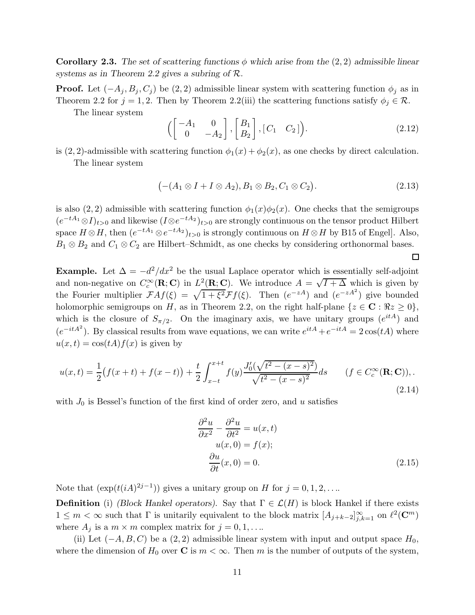Corollary 2.3. The set of scattering functions  $\phi$  which arise from the (2, 2) admissible linear systems as in Theorem 2.2 gives a subring of R.

**Proof.** Let  $(-A_j, B_j, C_j)$  be  $(2, 2)$  admissible linear system with scattering function  $\phi_j$  as in Theorem 2.2 for  $j = 1, 2$ . Then by Theorem 2.2(iii) the scattering functions satisfy  $\phi_j \in \mathcal{R}$ .

The linear system

$$
\left(\begin{bmatrix} -A_1 & 0 \\ 0 & -A_2 \end{bmatrix}, \begin{bmatrix} B_1 \\ B_2 \end{bmatrix}, \begin{bmatrix} C_1 & C_2 \end{bmatrix}\right). \tag{2.12}
$$

is (2, 2)-admissible with scattering function  $\phi_1(x) + \phi_2(x)$ , as one checks by direct calculation. The linear system

$$
(-(A_1 \otimes I + I \otimes A_2), B_1 \otimes B_2, C_1 \otimes C_2).
$$
\n
$$
(2.13)
$$

 $\Box$ 

is also (2, 2) admissible with scattering function  $\phi_1(x)\phi_2(x)$ . One checks that the semigroups  $(e^{-tA_1}\otimes I)_{t>0}$  and likewise  $(I\otimes e^{-tA_2})_{t>0}$  are strongly continuous on the tensor product Hilbert space  $H \otimes H$ , then  $(e^{-tA_1} \otimes e^{-tA_2})_{t>0}$  is strongly continuous on  $H \otimes H$  by B15 of Engel]. Also,  $B_1 \otimes B_2$  and  $C_1 \otimes C_2$  are Hilbert–Schmidt, as one checks by considering orthonormal bases.

**Example.** Let  $\Delta = -d^2/dx^2$  be the usual Laplace operator which is essentially self-adjoint and non-negative on  $C_c^{\infty}(\mathbf{R}; \mathbf{C})$  in  $L^2(\mathbf{R}; \mathbf{C})$ . We introduce  $A = \sqrt{I + \Delta}$  which is given by the Fourier multiplier  $\mathcal{F}Af(\xi) = \sqrt{1 + \xi^2} \mathcal{F}f(\xi)$ . Then  $(e^{-zA})$  and  $(e^{-zA^2})$  give bounded holomorphic semigroups on H, as in Theorem 2.2, on the right half-plane  $\{z \in \mathbf{C} : \Re z \ge 0\},\$ which is the closure of  $S_{\pi/2}$ . On the imaginary axis, we have unitary groups  $(e^{itA})$  and  $(e^{-itA^2})$ . By classical results from wave equations, we can write  $e^{itA} + e^{-itA} = 2\cos(tA)$  where  $u(x, t) = \cos(tA) f(x)$  is given by

$$
u(x,t) = \frac{1}{2} \left( f(x+t) + f(x-t) \right) + \frac{t}{2} \int_{x-t}^{x+t} f(y) \frac{J_0'(\sqrt{t^2 - (x-s)^2})}{\sqrt{t^2 - (x-s)^2}} ds \qquad (f \in C_c^{\infty}(\mathbf{R}; \mathbf{C})),
$$
\n(2.14)

with  $J_0$  is Bessel's function of the first kind of order zero, and u satisfies

$$
\frac{\partial^2 u}{\partial x^2} - \frac{\partial^2 u}{\partial t^2} = u(x, t)
$$
  
 
$$
u(x, 0) = f(x);
$$
  
\n
$$
\frac{\partial u}{\partial t}(x, 0) = 0.
$$
 (2.15)

Note that  $(\exp(t(iA)^{2j-1}))$  gives a unitary group on H for  $j = 0, 1, 2, \ldots$ 

**Definition** (i) (Block Hankel operators). Say that  $\Gamma \in \mathcal{L}(H)$  is block Hankel if there exists  $1 \leq m < \infty$  such that  $\Gamma$  is unitarily equivalent to the block matrix  $[A_{j+k-2}]_{j,k=1}^{\infty}$  on  $\ell^2(\mathbb{C}^m)$ where  $A_j$  is a  $m \times m$  complex matrix for  $j = 0, 1, \ldots$ .

(ii) Let  $(-A, B, C)$  be a  $(2, 2)$  admissible linear system with input and output space  $H_0$ , where the dimension of  $H_0$  over **C** is  $m < \infty$ . Then m is the number of outputs of the system,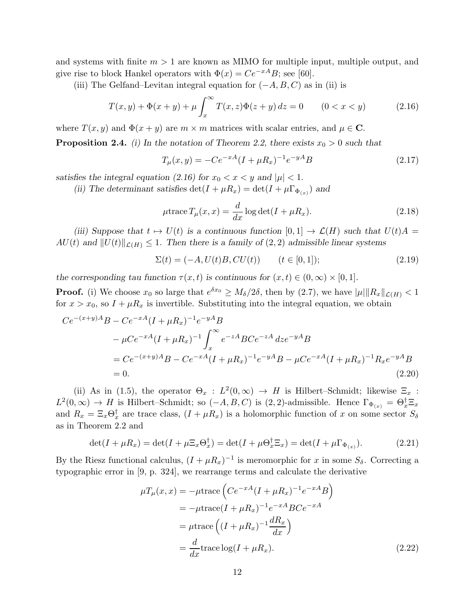and systems with finite  $m > 1$  are known as MIMO for multiple input, multiple output, and give rise to block Hankel operators with  $\Phi(x) = Ce^{-xA}B$ ; see [60].

(iii) The Gelfand–Levitan integral equation for  $(-A, B, C)$  as in (ii) is

$$
T(x, y) + \Phi(x + y) + \mu \int_{x}^{\infty} T(x, z)\Phi(z + y) dz = 0 \qquad (0 < x < y)
$$
 (2.16)

where  $T(x, y)$  and  $\Phi(x + y)$  are  $m \times m$  matrices with scalar entries, and  $\mu \in \mathbb{C}$ .

**Proposition 2.4.** (i) In the notation of Theorem 2.2, there exists  $x_0 > 0$  such that

$$
T_{\mu}(x,y) = -Ce^{-xA}(I + \mu R_x)^{-1}e^{-yA}B
$$
\n(2.17)

satisfies the integral equation (2.16) for  $x_0 < x < y$  and  $|\mu| < 1$ .

(ii) The determinant satisfies  $\det(I + \mu R_x) = \det(I + \mu \Gamma_{\Phi_{(x)}})$  and

$$
\mu \text{trace} \, T_{\mu}(x, x) = \frac{d}{dx} \log \det(I + \mu R_x). \tag{2.18}
$$

(iii) Suppose that  $t \mapsto U(t)$  is a continuous function  $[0, 1] \to \mathcal{L}(H)$  such that  $U(t)A =$  $AU(t)$  and  $||U(t)||_{\mathcal{L}(H)} \leq 1$ . Then there is a family of  $(2, 2)$  admissible linear systems

$$
\Sigma(t) = (-A, U(t)B, CU(t)) \qquad (t \in [0, 1]); \tag{2.19}
$$

the corresponding tau function  $\tau(x,t)$  is continuous for  $(x,t) \in (0,\infty) \times [0,1]$ .

**Proof.** (i) We choose  $x_0$  so large that  $e^{\delta x_0} \ge M_\delta/2\delta$ , then by (2.7), we have  $|\mu| \|R_x\|_{\mathcal{L}(H)} < 1$ for  $x > x_0$ , so  $I + \mu R_x$  is invertible. Substituting into the integral equation, we obtain

$$
Ce^{-(x+y)A}B - Ce^{-xA}(I + \mu R_x)^{-1}e^{-yA}B
$$
  
\n
$$
- \mu Ce^{-xA}(I + \mu R_x)^{-1} \int_x^{\infty} e^{-zA}BCe^{-zA} dz e^{-yA}B
$$
  
\n
$$
= Ce^{-(x+y)A}B - Ce^{-xA}(I + \mu R_x)^{-1}e^{-yA}B - \mu Ce^{-xA}(I + \mu R_x)^{-1}R_xe^{-yA}B
$$
  
\n
$$
= 0.
$$
\n(2.20)

(ii) As in (1.5), the operator  $\Theta_x : L^2(0, \infty) \to H$  is Hilbert–Schmidt; likewise  $\Xi_x$ :  $L^2(0,\infty) \to H$  is Hilbert–Schmidt; so  $(-A, B, C)$  is  $(2, 2)$ -admissible. Hence  $\Gamma_{\Phi_{(x)}} = \Theta_x^{\dagger} \Xi_x$ and  $R_x = \Xi_x \Theta_x^{\dagger}$  are trace class,  $(I + \mu R_x)$  is a holomorphic function of x on some sector  $S_{\delta}$ as in Theorem 2.2 and

$$
\det(I + \mu R_x) = \det(I + \mu \Xi_x \Theta_x^{\dagger}) = \det(I + \mu \Theta_x^{\dagger} \Xi_x) = \det(I + \mu \Gamma_{\Phi_{(x)}}). \tag{2.21}
$$

By the Riesz functional calculus,  $(I + \mu R_x)^{-1}$  is meromorphic for x in some  $S_\delta$ . Correcting a typographic error in [9, p. 324], we rearrange terms and calculate the derivative

$$
\mu T_{\mu}(x, x) = -\mu \text{trace}\left(Ce^{-xA}(I + \mu R_{x})^{-1}e^{-xA}B\right)
$$
  
= 
$$
-\mu \text{trace}(I + \mu R_{x})^{-1}e^{-xA}BCe^{-xA}
$$
  
= 
$$
\mu \text{trace}\left((I + \mu R_{x})^{-1}\frac{dR_{x}}{dx}\right)
$$
  
= 
$$
\frac{d}{dx}\text{trace}\log(I + \mu R_{x}).
$$
 (2.22)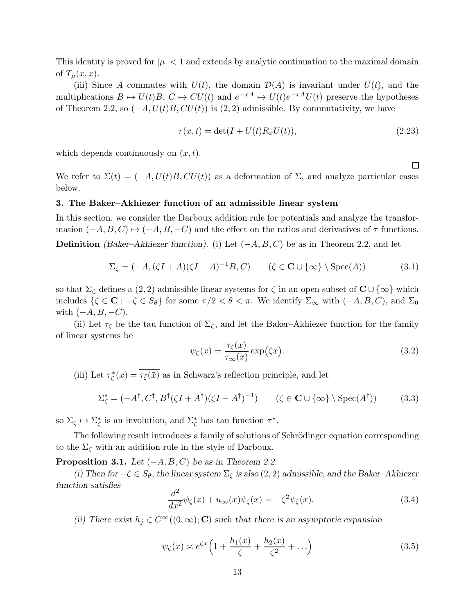This identity is proved for  $|\mu| < 1$  and extends by analytic continuation to the maximal domain of  $T_{\mu}(x, x)$ .

(iii) Since A commutes with  $U(t)$ , the domain  $\mathcal{D}(A)$  is invariant under  $U(t)$ , and the multiplications  $B \mapsto U(t)B$ ,  $C \mapsto CU(t)$  and  $e^{-xA} \mapsto U(t)e^{-xA}U(t)$  preserve the hypotheses of Theorem 2.2, so  $(-A, U(t)B, CU(t))$  is  $(2, 2)$  admissible. By commutativity, we have

$$
\tau(x,t) = \det(I + U(t)R_xU(t)),\tag{2.23}
$$

which depends continuously on  $(x, t)$ .

We refer to  $\Sigma(t) = (-A, U(t)B, CU(t))$  as a deformation of  $\Sigma$ , and analyze particular cases below.

#### 3. The Baker–Akhiezer function of an admissible linear system

In this section, we consider the Darboux addition rule for potentials and analyze the transformation  $(-A, B, C) \mapsto (-A, B, -C)$  and the effect on the ratios and derivatives of  $\tau$  functions. **Definition** (Baker–Akhiezer function). (i) Let  $(-A, B, C)$  be as in Theorem 2.2, and let

$$
\Sigma_{\zeta} = (-A, (\zeta I + A)(\zeta I - A)^{-1}B, C) \qquad (\zeta \in \mathbf{C} \cup {\{\infty\}} \setminus \operatorname{Spec}(A)) \tag{3.1}
$$

so that  $\Sigma_{\zeta}$  defines a (2, 2) admissible linear systems for  $\zeta$  in an open subset of  $\mathbb{C} \cup \{\infty\}$  which includes  $\{\zeta \in \mathbf{C} : -\zeta \in S_{\theta}\}\)$  for some  $\pi/2 < \theta < \pi$ . We identify  $\Sigma_{\infty}$  with  $(-A, B, C)$ , and  $\Sigma_0$ with  $(-A, B, -C)$ .

(ii) Let  $\tau_{\zeta}$  be the tau function of  $\Sigma_{\zeta}$ , and let the Baker–Akhiezer function for the family of linear systems be

$$
\psi_{\zeta}(x) = \frac{\tau_{\zeta}(x)}{\tau_{\infty}(x)} \exp(\zeta x). \tag{3.2}
$$

(iii) Let  $\tau_{\zeta}^*(x) = \overline{\tau_{\zeta}(\bar{x})}$  as in Schwarz's reflection principle, and let

$$
\Sigma_{\zeta}^{*} = (-A^{\dagger}, C^{\dagger}, B^{\dagger}(\zeta I + A^{\dagger})(\zeta I - A^{\dagger})^{-1}) \qquad (\zeta \in \mathbf{C} \cup \{\infty\} \setminus \operatorname{Spec}(A^{\dagger})) \tag{3.3}
$$

so  $\Sigma_{\zeta} \mapsto \Sigma_{\zeta}^{*}$  is an involution, and  $\Sigma_{\zeta}^{*}$  has tau function  $\tau^{*}$ .

The following result introduces a family of solutions of Schrödinger equation corresponding to the  $\Sigma_{\zeta}$  with an addition rule in the style of Darboux.

**Proposition 3.1.** Let  $(-A, B, C)$  be as in Theorem 2.2.

(i) Then for  $-\zeta \in S_\theta$ , the linear system  $\Sigma_\zeta$  is also  $(2, 2)$  admissible, and the Baker–Akhiezer function satisfies

$$
-\frac{d^2}{dx^2}\psi_{\zeta}(x) + u_{\infty}(x)\psi_{\zeta}(x) = -\zeta^2\psi_{\zeta}(x). \tag{3.4}
$$

(ii) There exist  $h_j \in C^{\infty}((0,\infty); \mathbb{C})$  such that there is an asymptotic expansion

$$
\psi_{\zeta}(x) \asymp e^{\zeta x} \left( 1 + \frac{h_1(x)}{\zeta} + \frac{h_2(x)}{\zeta^2} + \ldots \right) \tag{3.5}
$$

 $\Box$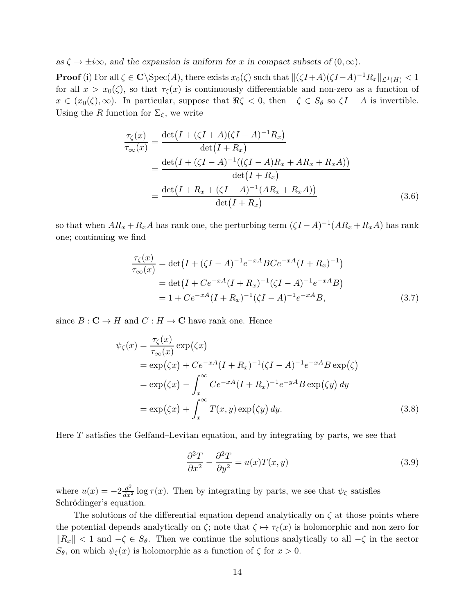as  $\zeta \to \pm i\infty$ , and the expansion is uniform for x in compact subsets of  $(0, \infty)$ .

**Proof** (i) For all  $\zeta \in \mathbb{C} \setminus \text{Spec}(A)$ , there exists  $x_0(\zeta)$  such that  $\|(\zeta I + A)(\zeta I - A)^{-1}R_x\|_{\mathcal{L}^1(H)} < 1$ for all  $x > x_0(\zeta)$ , so that  $\tau_{\zeta}(x)$  is continuously differentiable and non-zero as a function of  $x \in (x_0(\zeta), \infty)$ . In particular, suppose that  $\Re \zeta < 0$ , then  $-\zeta \in S_\theta$  so  $\zeta I - A$  is invertible. Using the R function for  $\Sigma_{\zeta}$ , we write

$$
\frac{\tau_{\zeta}(x)}{\tau_{\infty}(x)} = \frac{\det(I + (\zeta I + A)(\zeta I - A)^{-1}R_{x})}{\det(I + R_{x})}
$$
\n
$$
= \frac{\det(I + (\zeta I - A)^{-1}((\zeta I - A)R_{x} + AR_{x} + R_{x}A))}{\det(I + R_{x})}
$$
\n
$$
= \frac{\det(I + R_{x} + (\zeta I - A)^{-1}(AR_{x} + R_{x}A))}{\det(I + R_{x})}
$$
\n(3.6)

so that when  $AR_x + R_xA$  has rank one, the perturbing term  $(\zeta I - A)^{-1}(AR_x + R_xA)$  has rank one; continuing we find

$$
\frac{\tau_{\zeta}(x)}{\tau_{\infty}(x)} = \det(I + (\zeta I - A)^{-1}e^{-xA}BCe^{-xA}(I + R_x)^{-1})
$$
  
= det(I + Ce^{-xA}(I + R\_x)^{-1}(\zeta I - A)^{-1}e^{-xA}B)  
= 1 + Ce^{-xA}(I + R\_x)^{-1}(\zeta I - A)^{-1}e^{-xA}B, (3.7)

since  $B: \mathbf{C} \to H$  and  $C: H \to \mathbf{C}$  have rank one. Hence

$$
\psi_{\zeta}(x) = \frac{\tau_{\zeta}(x)}{\tau_{\infty}(x)} \exp(\zeta x)
$$
  
\n
$$
= \exp((\zeta x)) + Ce^{-xA}(I + R_x)^{-1}(\zeta I - A)^{-1}e^{-xA}B \exp(\zeta)
$$
  
\n
$$
= \exp((\zeta x)) - \int_{x}^{\infty} Ce^{-xA}(I + R_x)^{-1}e^{-yA}B \exp(\zeta y) dy
$$
  
\n
$$
= \exp((\zeta x)) + \int_{x}^{\infty} T(x, y) \exp(\zeta y) dy.
$$
\n(3.8)

Here  $T$  satisfies the Gelfand–Levitan equation, and by integrating by parts, we see that

$$
\frac{\partial^2 T}{\partial x^2} - \frac{\partial^2 T}{\partial y^2} = u(x)T(x, y)
$$
\n(3.9)

where  $u(x) = -2\frac{d^2}{dx^2} \log \tau(x)$ . Then by integrating by parts, we see that  $\psi_{\zeta}$  satisfies Schrödinger's equation.

The solutions of the differential equation depend analytically on  $\zeta$  at those points where the potential depends analytically on  $\zeta$ ; note that  $\zeta \mapsto \tau_{\zeta}(x)$  is holomorphic and non zero for  $\|R_x\| < 1$  and  $-\zeta \in S_\theta$ . Then we continue the solutions analytically to all  $-\zeta$  in the sector  $S_{\theta}$ , on which  $\psi_{\zeta}(x)$  is holomorphic as a function of  $\zeta$  for  $x > 0$ .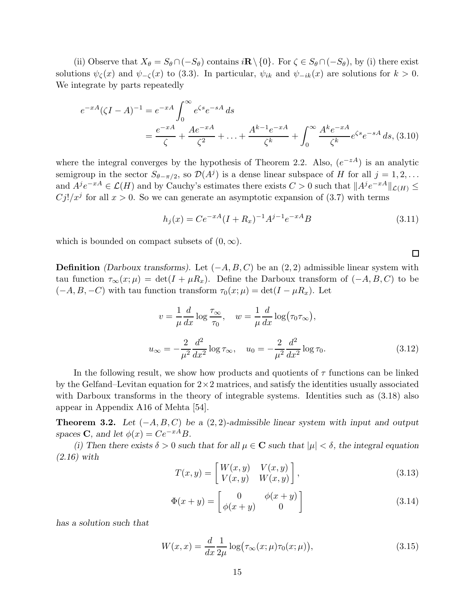(ii) Observe that  $X_{\theta} = S_{\theta} \cap (-S_{\theta})$  contains  $i \mathbb{R} \setminus \{0\}$ . For  $\zeta \in S_{\theta} \cap (-S_{\theta})$ , by (i) there exist solutions  $\psi_{\zeta}(x)$  and  $\psi_{-\zeta}(x)$  to (3.3). In particular,  $\psi_{ik}$  and  $\psi_{-ik}(x)$  are solutions for  $k > 0$ . We integrate by parts repeatedly

$$
e^{-xA}(\zeta I - A)^{-1} = e^{-xA} \int_0^\infty e^{\zeta s} e^{-sA} ds
$$
  
=  $\frac{e^{-xA}}{\zeta} + \frac{Ae^{-xA}}{\zeta^2} + \dots + \frac{A^{k-1}e^{-xA}}{\zeta^k} + \int_0^\infty \frac{A^k e^{-xA}}{\zeta^k} e^{\zeta s} e^{-sA} ds$ , (3.10)

where the integral converges by the hypothesis of Theorem 2.2. Also,  $(e^{-zA})$  is an analytic semigroup in the sector  $S_{\theta-\pi/2}$ , so  $\mathcal{D}(A^j)$  is a dense linear subspace of H for all  $j=1,2,...$ and  $A^j e^{-xA} \in \mathcal{L}(H)$  and by Cauchy's estimates there exists  $C > 0$  such that  $||A^j e^{-xA}||_{\mathcal{L}(H)} \le$  $C_j!/x^j$  for all  $x > 0$ . So we can generate an asymptotic expansion of (3.7) with terms

$$
h_j(x) = Ce^{-xA}(I + R_x)^{-1}A^{j-1}e^{-xA}B
$$
\n(3.11)

 $\Box$ 

which is bounded on compact subsets of  $(0, \infty)$ .

**Definition** (Darboux transforms). Let  $(-A, B, C)$  be an  $(2, 2)$  admissible linear system with tau function  $\tau_{\infty}(x;\mu) = \det(I + \mu R_x)$ . Define the Darboux transform of  $(-A, B, C)$  to be  $(-A, B, -C)$  with tau function transform  $\tau_0(x; \mu) = \det(I - \mu R_x)$ . Let

$$
v = \frac{1}{\mu} \frac{d}{dx} \log \frac{\tau_{\infty}}{\tau_0}, \quad w = \frac{1}{\mu} \frac{d}{dx} \log(\tau_0 \tau_{\infty}),
$$
  

$$
u_{\infty} = -\frac{2}{\mu^2} \frac{d^2}{dx^2} \log \tau_{\infty}, \quad u_0 = -\frac{2}{\mu^2} \frac{d^2}{dx^2} \log \tau_0.
$$
 (3.12)

In the following result, we show how products and quotients of  $\tau$  functions can be linked by the Gelfand–Levitan equation for  $2\times 2$  matrices, and satisfy the identities usually associated with Darboux transforms in the theory of integrable systems. Identities such as  $(3.18)$  also appear in Appendix A16 of Mehta [54].

**Theorem 3.2.** Let  $(-A, B, C)$  be a  $(2, 2)$ -admissible linear system with input and output spaces **C**, and let  $\phi(x) = Ce^{-xA}B$ .

(i) Then there exists  $\delta > 0$  such that for all  $\mu \in \mathbb{C}$  such that  $|\mu| < \delta$ , the integral equation  $(2.16)$  with

$$
T(x,y) = \begin{bmatrix} W(x,y) & V(x,y) \\ V(x,y) & W(x,y) \end{bmatrix},
$$
\n(3.13)

$$
\Phi(x+y) = \begin{bmatrix} 0 & \phi(x+y) \\ \phi(x+y) & 0 \end{bmatrix}
$$
\n(3.14)

has a solution such that

$$
W(x,x) = \frac{d}{dx}\frac{1}{2\mu}\log(\tau_{\infty}(x;\mu)\tau_0(x;\mu)),\tag{3.15}
$$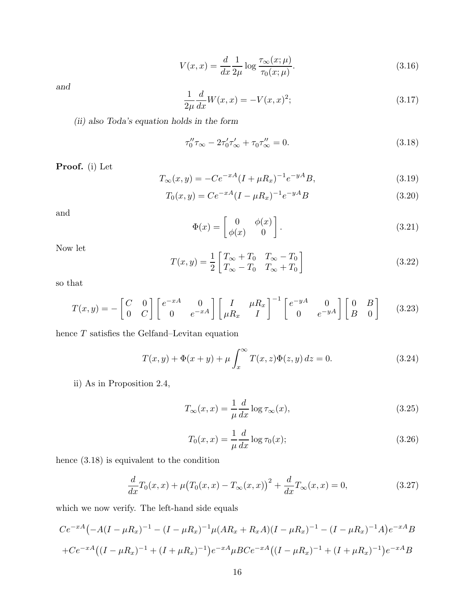$$
V(x,x) = \frac{d}{dx} \frac{1}{2\mu} \log \frac{\tau_{\infty}(x;\mu)}{\tau_0(x;\mu)}.
$$
\n(3.16)

and

$$
\frac{1}{2\mu} \frac{d}{dx} W(x, x) = -V(x, x)^2; \tag{3.17}
$$

(ii) also Toda's equation holds in the form

$$
\tau_0'' \tau_{\infty} - 2\tau_0' \tau_{\infty}' + \tau_0 \tau_{\infty}'' = 0.
$$
\n(3.18)

Proof. (i) Let

$$
T_{\infty}(x,y) = -Ce^{-xA}(I + \mu R_x)^{-1}e^{-yA}B,
$$
\n(3.19)

$$
T_0(x,y) = Ce^{-xA}(I - \mu R_x)^{-1}e^{-yA}B
$$
\n(3.20)

and

$$
\Phi(x) = \begin{bmatrix} 0 & \phi(x) \\ \phi(x) & 0 \end{bmatrix}.
$$
\n(3.21)

Now let

$$
T(x,y) = \frac{1}{2} \begin{bmatrix} T_{\infty} + T_0 & T_{\infty} - T_0 \\ T_{\infty} - T_0 & T_{\infty} + T_0 \end{bmatrix}
$$
 (3.22)

so that

$$
T(x,y) = -\begin{bmatrix} C & 0 \\ 0 & C \end{bmatrix} \begin{bmatrix} e^{-xA} & 0 \\ 0 & e^{-xA} \end{bmatrix} \begin{bmatrix} I & \mu R_x \\ \mu R_x & I \end{bmatrix}^{-1} \begin{bmatrix} e^{-yA} & 0 \\ 0 & e^{-yA} \end{bmatrix} \begin{bmatrix} 0 & B \\ B & 0 \end{bmatrix}
$$
 (3.23)

hence  $T$  satisfies the Gelfand–Levitan equation

$$
T(x, y) + \Phi(x + y) + \mu \int_{x}^{\infty} T(x, z) \Phi(z, y) dz = 0.
$$
 (3.24)

ii) As in Proposition 2.4,

$$
T_{\infty}(x,x) = \frac{1}{\mu} \frac{d}{dx} \log \tau_{\infty}(x),\tag{3.25}
$$

$$
T_0(x,x) = \frac{1}{\mu} \frac{d}{dx} \log \tau_0(x);
$$
\n(3.26)

hence (3.18) is equivalent to the condition

$$
\frac{d}{dx}T_0(x,x) + \mu (T_0(x,x) - T_\infty(x,x))^2 + \frac{d}{dx}T_\infty(x,x) = 0,
$$
\n(3.27)

which we now verify. The left-hand side equals

$$
Ce^{-xA}\left(-A(I-\mu R_x)^{-1}-(I-\mu R_x)^{-1}\mu (AR_x+R_xA)(I-\mu R_x)^{-1}-(I-\mu R_x)^{-1}A\right)e^{-xA}B
$$
  
+
$$
Ce^{-xA}\left((I-\mu R_x)^{-1}+(I+\mu R_x)^{-1}\right)e^{-xA}\mu BCe^{-xA}\left((I-\mu R_x)^{-1}+(I+\mu R_x)^{-1}\right)e^{-xA}B
$$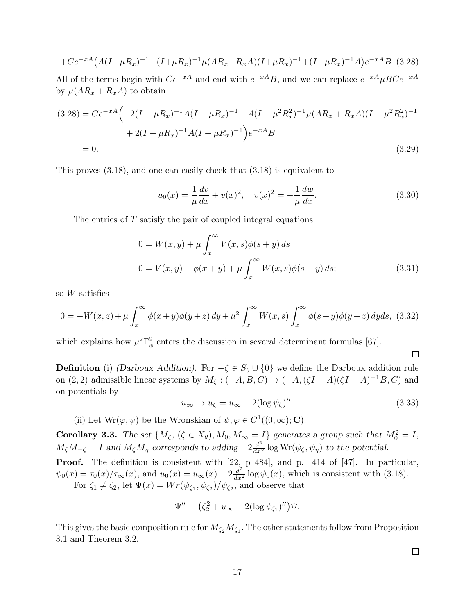$$
+Ce^{-xA}\left(A(I+\mu R_x)^{-1}-(I+\mu R_x)^{-1}\mu(AR_x+R_xA)(I+\mu R_x)^{-1}+(I+\mu R_x)^{-1}A\right)e^{-xA}B
$$
 (3.28)

All of the terms begin with  $Ce^{-xA}$  and end with  $e^{-xA}B$ , and we can replace  $e^{-xA} \mu B Ce^{-xA}$ by  $\mu(AR_x + R_xA)$  to obtain

$$
(3.28) = Ce^{-xA} \left( -2(I - \mu R_x)^{-1} A (I - \mu R_x)^{-1} + 4(I - \mu^2 R_x^2)^{-1} \mu (AR_x + R_x A)(I - \mu^2 R_x^2)^{-1} + 2(I + \mu R_x)^{-1} A (I + \mu R_x)^{-1} \right) e^{-xA} B
$$
  
= 0. (3.29)

This proves (3.18), and one can easily check that (3.18) is equivalent to

$$
u_0(x) = \frac{1}{\mu} \frac{dv}{dx} + v(x)^2, \quad v(x)^2 = -\frac{1}{\mu} \frac{dw}{dx}.
$$
 (3.30)

The entries of  $T$  satisfy the pair of coupled integral equations

$$
0 = W(x, y) + \mu \int_{x}^{\infty} V(x, s) \phi(s + y) ds
$$
  

$$
0 = V(x, y) + \phi(x + y) + \mu \int_{x}^{\infty} W(x, s) \phi(s + y) ds;
$$
 (3.31)

so  $W$  satisfies

$$
0 = -W(x, z) + \mu \int_x^{\infty} \phi(x+y)\phi(y+z) dy + \mu^2 \int_x^{\infty} W(x, s) \int_x^{\infty} \phi(s+y)\phi(y+z) dyds, (3.32)
$$

which explains how  $\mu^2 \Gamma_\phi^2$  enters the discussion in several determinant formulas [67].

 $\Box$ 

**Definition** (i) (Darboux Addition). For  $-\zeta \in S_\theta \cup \{0\}$  we define the Darboux addition rule on (2, 2) admissible linear systems by  $M_{\zeta} : (-A, B, C) \mapsto (-A, (\zeta I + A)(\zeta I - A)^{-1}B, C)$  and on potentials by

$$
u_{\infty} \mapsto u_{\zeta} = u_{\infty} - 2(\log \psi_{\zeta})''.
$$
\n(3.33)

(ii) Let  $Wr(\varphi, \psi)$  be the Wronskian of  $\psi, \varphi \in C^1((0, \infty); \mathbf{C})$ .

**Corollary 3.3.** The set  $\{M_\zeta, (\zeta \in X_\theta), M_0, M_\infty = I\}$  generates a group such that  $M_0^2 = I$ ,  $M_{\zeta}M_{-\zeta} = I$  and  $M_{\zeta}M_{\eta}$  corresponds to adding  $-2\frac{d^2}{dx^2}\log \text{Wr}(\psi_{\zeta}, \psi_{\eta})$  to the potential.

**Proof.** The definition is consistent with [22, p 484], and p. 414 of [47]. In particular,  $\psi_0(x) = \tau_0(x)/\tau_\infty(x)$ , and  $u_0(x) = u_\infty(x) - 2\frac{d^2}{dx^2}\log\psi_0(x)$ , which is consistent with (3.18). For  $\zeta_1 \neq \zeta_2$ , let  $\Psi(x) = Wr(\psi_{\zeta_1}, \psi_{\zeta_2})/\psi_{\zeta_2}$ , and observe that

$$
\Psi'' = (\zeta_2^2 + u_\infty - 2(\log \psi_{\zeta_1})'')\Psi.
$$

This gives the basic composition rule for  $M_{\zeta_2}M_{\zeta_1}$ . The other statements follow from Proposition 3.1 and Theorem 3.2.

 $\Box$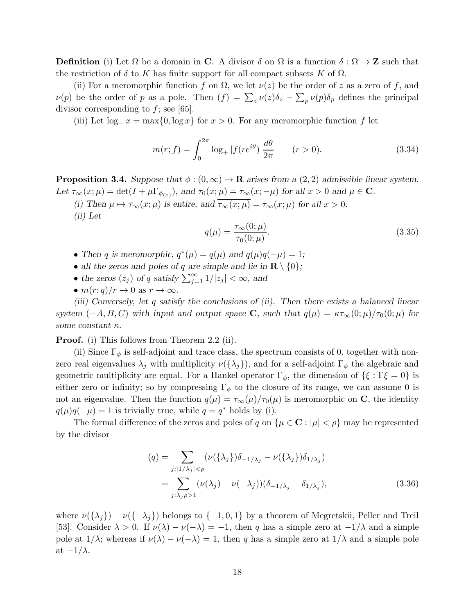**Definition** (i) Let  $\Omega$  be a domain in **C**. A divisor  $\delta$  on  $\Omega$  is a function  $\delta : \Omega \to \mathbb{Z}$  such that the restriction of  $\delta$  to K has finite support for all compact subsets K of  $\Omega$ .

(ii) For a meromorphic function f on  $\Omega$ , we let  $\nu(z)$  be the order of z as a zero of f, and  $\nu(p)$  be the order of p as a pole. Then  $(f) = \sum_{z} \nu(z)\delta_z - \sum_{p} \nu(p)\delta_p$  defines the principal divisor corresponding to  $f$ ; see [65].

(iii) Let  $\log_+ x = \max\{0, \log x\}$  for  $x > 0$ . For any meromorphic function f let

$$
m(r; f) = \int_0^{2\pi} \log_+ |f(re^{i\theta})| \frac{d\theta}{2\pi} \qquad (r > 0).
$$
 (3.34)

**Proposition 3.4.** Suppose that  $\phi$  :  $(0, \infty) \rightarrow \mathbb{R}$  arises from a  $(2, 2)$  admissible linear system. Let  $\tau_{\infty}(x;\mu) = \det(I + \mu \Gamma_{\phi_{(x)}})$ , and  $\tau_0(x;\mu) = \tau_{\infty}(x; -\mu)$  for all  $x > 0$  and  $\mu \in \mathbf{C}$ .

(i) Then  $\mu \mapsto \tau_{\infty}(x;\mu)$  is entire, and  $\overline{\tau_{\infty}(x;\mu)} = \tau_{\infty}(x;\mu)$  for all  $x > 0$ .

(ii) Let

$$
q(\mu) = \frac{\tau_{\infty}(0; \mu)}{\tau_0(0; \mu)}.
$$
\n(3.35)

- Then q is meromorphic,  $q^*(\mu) = q(\mu)$  and  $q(\mu)q(-\mu) = 1$ ;
- all the zeros and poles of q are simple and lie in  $\mathbf{R} \setminus \{0\};$
- the zeros  $(z_j)$  of q satisfy  $\sum_{j=1}^{\infty} 1/|z_j| < \infty$ , and
- $m(r; q)/r \rightarrow 0$  as  $r \rightarrow \infty$ .

(iii) Conversely, let q satisfy the conclusions of (ii). Then there exists a balanced linear system  $(-A, B, C)$  with input and output space **C**, such that  $q(\mu) = \kappa \tau_{\infty}(0; \mu)/\tau_0(0; \mu)$  for some constant  $\kappa$ .

**Proof.** (i) This follows from Theorem 2.2 (ii).

(ii) Since  $\Gamma_{\phi}$  is self-adjoint and trace class, the spectrum consists of 0, together with nonzero real eigenvalues  $\lambda_j$  with multiplicity  $\nu(\{\lambda_j\})$ , and for a self-adjoint  $\Gamma_\phi$  the algebraic and geometric multiplicity are equal. For a Hankel operator  $\Gamma_{\phi}$ , the dimension of  $\{\xi : \Gamma \xi = 0\}$  is either zero or infinity; so by compressing  $\Gamma_{\phi}$  to the closure of its range, we can assume 0 is not an eigenvalue. Then the function  $q(\mu) = \tau_{\infty}(\mu)/\tau_0(\mu)$  is meromorphic on C, the identity  $q(\mu)q(-\mu) = 1$  is trivially true, while  $q = q^*$  holds by (i).

The formal difference of the zeros and poles of q on  $\{\mu \in \mathbb{C} : |\mu| < \rho\}$  may be represented by the divisor

$$
(q) = \sum_{j:|1/\lambda_j|<\rho} (\nu(\{\lambda_j\})\delta_{-1/\lambda_j} - \nu(\{\lambda_j\})\delta_{1/\lambda_j})
$$
  
= 
$$
\sum_{j:\lambda_j\rho>1} (\nu(\lambda_j) - \nu(-\lambda_j))(\delta_{-1/\lambda_j} - \delta_{1/\lambda_j}),
$$
 (3.36)

where  $\nu({\{\lambda_j\}}) - \nu({-\lambda_j\})$  belongs to  ${-1,0,1}$  by a theorem of Megretskii, Peller and Treil [53]. Consider  $\lambda > 0$ . If  $\nu(\lambda) - \nu(-\lambda) = -1$ , then q has a simple zero at  $-1/\lambda$  and a simple pole at  $1/\lambda$ ; whereas if  $\nu(\lambda) - \nu(-\lambda) = 1$ , then q has a simple zero at  $1/\lambda$  and a simple pole at  $-1/\lambda$ .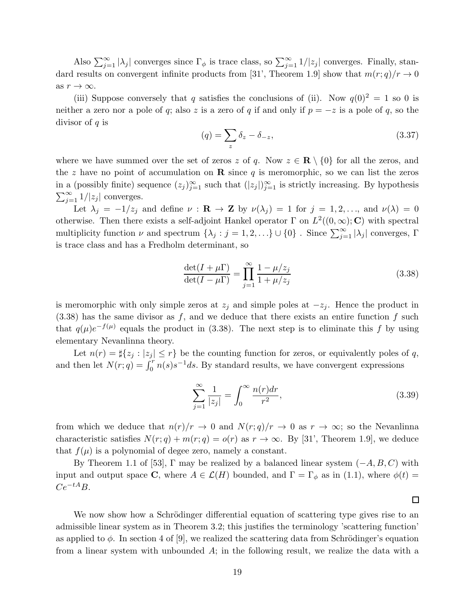Also  $\sum_{j=1}^{\infty} |\lambda_j|$  converges since  $\Gamma_{\phi}$  is trace class, so  $\sum_{j=1}^{\infty} 1/|z_j|$  converges. Finally, standard results on convergent infinite products from [31', Theorem 1.9] show that  $m(r; q)/r \to 0$ as  $r \to \infty$ .

(iii) Suppose conversely that q satisfies the conclusions of (ii). Now  $q(0)^2 = 1$  so 0 is neither a zero nor a pole of q; also z is a zero of q if and only if  $p = -z$  is a pole of q, so the divisor of  $q$  is

$$
(q) = \sum_{z} \delta_z - \delta_{-z}, \qquad (3.37)
$$

where we have summed over the set of zeros z of q. Now  $z \in \mathbb{R} \setminus \{0\}$  for all the zeros, and the z have no point of accumulation on **R** since q is meromorphic, so we can list the zeros in a (possibly finite) sequence  $(z_j)_{j=1}^{\infty}$  such that  $(|z_j|)_{j=1}^{\infty}$  is strictly increasing. By hypothesis  $\sum_{j=1}^{\infty} 1/|z_j|$  converges.

Let  $\lambda_j = -1/z_j$  and define  $\nu : \mathbf{R} \to \mathbf{Z}$  by  $\nu(\lambda_j) = 1$  for  $j = 1, 2, \ldots$ , and  $\nu(\lambda) = 0$ otherwise. Then there exists a self-adjoint Hankel operator  $\Gamma$  on  $L^2((0,\infty); \mathbb{C})$  with spectral multiplicity function  $\nu$  and spectrum  $\{\lambda_j : j = 1, 2, ...\} \cup \{0\}$ . Since  $\sum_{j=1}^{\infty} |\lambda_j|$  converges,  $\Gamma$ is trace class and has a Fredholm determinant, so

$$
\frac{\det(I + \mu \Gamma)}{\det(I - \mu \Gamma)} = \prod_{j=1}^{\infty} \frac{1 - \mu/z_j}{1 + \mu/z_j}
$$
\n(3.38)

is meromorphic with only simple zeros at  $z_j$  and simple poles at  $-z_j$ . Hence the product in  $(3.38)$  has the same divisor as f, and we deduce that there exists an entire function f such that  $q(\mu)e^{-f(\mu)}$  equals the product in (3.38). The next step is to eliminate this f by using elementary Nevanlinna theory.

Let  $n(r) = \sharp \{z_i : |z_i| \leq r\}$  be the counting function for zeros, or equivalently poles of q, and then let  $N(r; q) = \int_0^r n(s) s^{-1} ds$ . By standard results, we have convergent expressions

$$
\sum_{j=1}^{\infty} \frac{1}{|z_j|} = \int_0^{\infty} \frac{n(r)dr}{r^2},
$$
\n(3.39)

 $\Box$ 

from which we deduce that  $n(r)/r \to 0$  and  $N(r;q)/r \to 0$  as  $r \to \infty$ ; so the Nevanlinna characteristic satisfies  $N(r; q) + m(r; q) = o(r)$  as  $r \to \infty$ . By [31', Theorem 1.9], we deduce that  $f(\mu)$  is a polynomial of degee zero, namely a constant.

By Theorem 1.1 of [53],  $\Gamma$  may be realized by a balanced linear system ( $-A, B, C$ ) with input and output space C, where  $A \in \mathcal{L}(H)$  bounded, and  $\Gamma = \Gamma_{\phi}$  as in (1.1), where  $\phi(t) =$  $Ce^{-tA}B$ .

We now show how a Schrödinger differential equation of scattering type gives rise to an admissible linear system as in Theorem 3.2; this justifies the terminology 'scattering function' as applied to  $\phi$ . In section 4 of [9], we realized the scattering data from Schrödinger's equation from a linear system with unbounded  $A$ ; in the following result, we realize the data with a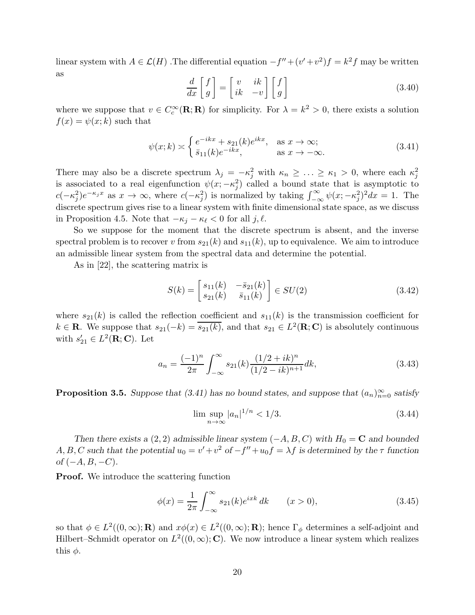linear system with  $A \in \mathcal{L}(H)$ . The differential equation  $-f'' + (v' + v^2)f = k^2f$  may be written as

$$
\frac{d}{dx}\begin{bmatrix} f \\ g \end{bmatrix} = \begin{bmatrix} v & ik \\ ik & -v \end{bmatrix} \begin{bmatrix} f \\ g \end{bmatrix}
$$
\n(3.40)

where we suppose that  $v \in C_c^{\infty}(\mathbf{R}; \mathbf{R})$  for simplicity. For  $\lambda = k^2 > 0$ , there exists a solution  $f(x) = \psi(x; k)$  such that

$$
\psi(x;k) \approx \begin{cases} e^{-ikx} + s_{21}(k)e^{ikx}, & \text{as } x \to \infty; \\ \bar{s}_{11}(k)e^{-ikx}, & \text{as } x \to -\infty. \end{cases}
$$
(3.41)

There may also be a discrete spectrum  $\lambda_j = -\kappa_j^2$  with  $\kappa_n \geq \ldots \geq \kappa_1 > 0$ , where each  $\kappa_j^2$ is associated to a real eigenfunction  $\psi(x; -\kappa_j^2)$  called a bound state that is asymptotic to  $c(-\kappa_j^2)e^{-\kappa_j x}$  as  $x \to \infty$ , where  $c(-\kappa_j^2)$  is normalized by taking  $\int_{-\infty}^{\infty} \psi(x; -\kappa_j^2)^2 dx = 1$ . The discrete spectrum gives rise to a linear system with finite dimensional state space, as we discuss in Proposition 4.5. Note that  $-\kappa_i - \kappa_\ell < 0$  for all j,  $\ell$ .

So we suppose for the moment that the discrete spectrum is absent, and the inverse spectral problem is to recover v from  $s_{21}(k)$  and  $s_{11}(k)$ , up to equivalence. We aim to introduce an admissible linear system from the spectral data and determine the potential.

As in [22], the scattering matrix is

$$
S(k) = \begin{bmatrix} s_{11}(k) & -\bar{s}_{21}(k) \\ s_{21}(k) & \bar{s}_{11}(k) \end{bmatrix} \in SU(2)
$$
 (3.42)

where  $s_{21}(k)$  is called the reflection coefficient and  $s_{11}(k)$  is the transmission coefficient for  $k \in \mathbf{R}$ . We suppose that  $s_{21}(-k) = \overline{s_{21}(k)}$ , and that  $s_{21} \in L^2(\mathbf{R}; \mathbf{C})$  is absolutely continuous with  $s'_{21} \in L^2(\mathbf{R}; \mathbf{C})$ . Let

$$
a_n = \frac{(-1)^n}{2\pi} \int_{-\infty}^{\infty} s_{21}(k) \frac{(1/2 + ik)^n}{(1/2 - ik)^{n+1}} dk,
$$
\n(3.43)

**Proposition 3.5.** Suppose that (3.41) has no bound states, and suppose that  $(a_n)_{n=0}^{\infty}$  satisfy

$$
\limsup_{n \to \infty} |a_n|^{1/n} < 1/3. \tag{3.44}
$$

Then there exists a (2, 2) admissible linear system  $(-A, B, C)$  with  $H_0 = \mathbf{C}$  and bounded A, B, C such that the potential  $u_0 = v' + v^2$  of  $-f'' + u_0 f = \lambda f$  is determined by the  $\tau$  function  $of (-A, B, -C).$ 

Proof. We introduce the scattering function

$$
\phi(x) = \frac{1}{2\pi} \int_{-\infty}^{\infty} s_{21}(k) e^{ixk} dk \qquad (x > 0),
$$
\n(3.45)

so that  $\phi \in L^2((0,\infty); \mathbf{R})$  and  $x\phi(x) \in L^2((0,\infty); \mathbf{R})$ ; hence  $\Gamma_{\phi}$  determines a self-adjoint and Hilbert–Schmidt operator on  $L^2((0,\infty); \mathbb{C})$ . We now introduce a linear system which realizes this  $\phi$ .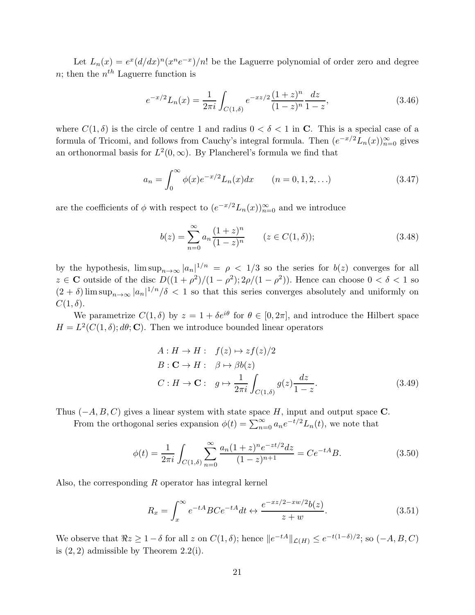Let  $L_n(x) = e^x (d/dx)^n (x^n e^{-x})/n!$  be the Laguerre polynomial of order zero and degree *n*; then the  $n^{th}$  Laguerre function is

$$
e^{-x/2}L_n(x) = \frac{1}{2\pi i} \int_{C(1,\delta)} e^{-xz/2} \frac{(1+z)^n}{(1-z)^n} \frac{dz}{1-z},
$$
\n(3.46)

where  $C(1,\delta)$  is the circle of centre 1 and radius  $0 < \delta < 1$  in C. This is a special case of a formula of Tricomi, and follows from Cauchy's integral formula. Then  $(e^{-x/2}L_n(x))_{n=0}^{\infty}$  gives an orthonormal basis for  $L^2(0,\infty)$ . By Plancherel's formula we find that

$$
a_n = \int_0^\infty \phi(x) e^{-x/2} L_n(x) dx \qquad (n = 0, 1, 2, ...)
$$
 (3.47)

are the coefficients of  $\phi$  with respect to  $(e^{-x/2}L_n(x))_{n=0}^{\infty}$  and we introduce

$$
b(z) = \sum_{n=0}^{\infty} a_n \frac{(1+z)^n}{(1-z)^n} \qquad (z \in C(1,\delta));
$$
\n(3.48)

by the hypothesis,  $\limsup_{n\to\infty} |a_n|^{1/n} = \rho < 1/3$  so the series for  $b(z)$  converges for all  $z \in \mathbb{C}$  outside of the disc  $D((1+\rho^2)/(1-\rho^2); 2\rho/(1-\rho^2))$ . Hence can choose  $0 < \delta < 1$  so  $(2 + \delta)$  lim sup<sub>n→∞</sub>  $|a_n|^{1/n}/\delta$  < 1 so that this series converges absolutely and uniformly on  $C(1,\delta).$ 

We parametrize  $C(1,\delta)$  by  $z = 1 + \delta e^{i\theta}$  for  $\theta \in [0,2\pi]$ , and introduce the Hilbert space  $H = L^2(C(1, \delta); d\theta; \mathbf{C})$ . Then we introduce bounded linear operators

$$
A: H \to H: \quad f(z) \mapsto z f(z)/2
$$
  
\n
$$
B: \mathbf{C} \to H: \quad \beta \mapsto \beta b(z)
$$
  
\n
$$
C: H \to \mathbf{C}: \quad g \mapsto \frac{1}{2\pi i} \int_{C(1,\delta)} g(z) \frac{dz}{1-z}.
$$
\n(3.49)

Thus  $(-A, B, C)$  gives a linear system with state space H, input and output space C.

From the orthogonal series expansion  $\phi(t) = \sum_{n=0}^{\infty} a_n e^{-t/2} L_n(t)$ , we note that

$$
\phi(t) = \frac{1}{2\pi i} \int_{C(1,\delta)} \sum_{n=0}^{\infty} \frac{a_n (1+z)^n e^{-zt/2} dz}{(1-z)^{n+1}} = C e^{-tA} B.
$$
 (3.50)

Also, the corresponding R operator has integral kernel

$$
R_x = \int_x^{\infty} e^{-tA} BC e^{-tA} dt \leftrightarrow \frac{e^{-xz/2 - xw/2} b(z)}{z + w}.
$$
 (3.51)

We observe that  $\Re z \ge 1 - \delta$  for all z on  $C(1, \delta)$ ; hence  $||e^{-tA}||_{\mathcal{L}(H)} \le e^{-t(1-\delta)/2}$ ; so  $(-A, B, C)$ is  $(2, 2)$  admissible by Theorem 2.2(i).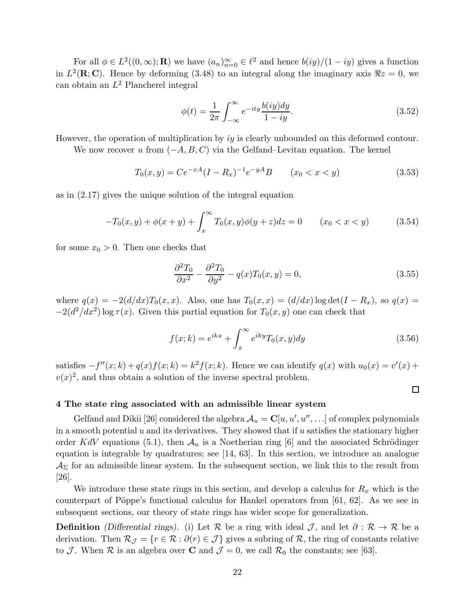For all  $\phi \in L^2((0,\infty); \mathbf{R})$  we have  $(a_n)_{n=0}^{\infty} \in \ell^2$  and hence  $b(iy)/(1 - iy)$  gives a function in  $L^2(\mathbf{R}; \mathbf{C})$ . Hence by deforming (3.48) to an integral along the imaginary axis  $\Re z = 0$ , we can obtain an  $L^2$  Plancherel integral

$$
\phi(t) = \frac{1}{2\pi} \int_{-\infty}^{\infty} e^{-ity} \frac{b(iy)dy}{1 - iy}.
$$
\n(3.52)

However, the operation of multiplication by iy is clearly unbounded on this deformed contour.

We now recover u from  $(-A, B, C)$  via the Gelfand–Levitan equation. The kernel

$$
T_0(x,y) = Ce^{-xA}(I - R_x)^{-1}e^{-yA}B \qquad (x_0 < x < y)
$$
\n(3.53)

as in (2.17) gives the unique solution of the integral equation

$$
-T_0(x,y) + \phi(x+y) + \int_x^{\infty} T_0(x,y)\phi(y+z)dz = 0 \qquad (x_0 < x < y)
$$
 (3.54)

for some  $x_0 > 0$ . Then one checks that

$$
\frac{\partial^2 T_0}{\partial x^2} - \frac{\partial^2 T_0}{\partial y^2} - q(x)T_0(x, y) = 0,\tag{3.55}
$$

where  $q(x) = -2(d/dx)T_0(x, x)$ . Also, one has  $T_0(x, x) = (d/dx) \log \det(I - R_x)$ , so  $q(x) =$  $-2(d^2/dx^2)$  log  $\tau(x)$ . Given this partial equation for  $T_0(x, y)$  one can check that

$$
f(x;k) = e^{ikx} + \int_x^{\infty} e^{iky} T_0(x,y) dy
$$
\n(3.56)

 $\Box$ 

satisfies  $-f''(x;k) + q(x)f(x;k) = k^2f(x;k)$ . Hence we can identify  $q(x)$  with  $u_0(x) = v'(x) +$  $v(x)^2$ , and thus obtain a solution of the inverse spectral problem.

#### 4 The state ring associated with an admissible linear system

Gelfand and Dikii [26] considered the algebra  $\mathcal{A}_u = \mathbf{C}[u, u', u'', \ldots]$  of complex polynomials in a smooth potential  $u$  and its derivatives. They showed that if  $u$  satisfies the stationary higher order KdV equations (5.1), then  $\mathcal{A}_u$  is a Noetherian ring [6] and the associated Schrödinger equation is integrable by quadratures; see [14, 63]. In this section, we introduce an analogue  $\mathcal{A}_{\Sigma}$  for an admissible linear system. In the subsequent section, we link this to the result from [26].

We introduce these state rings in this section, and develop a calculus for  $R_x$  which is the counterpart of Pöppe's functional calculus for Hankel operators from  $[61, 62]$ . As we see in subsequent sections, our theory of state rings has wider scope for generalization.

**Definition** (Differential rings). (i) Let R be a ring with ideal J, and let  $\partial : \mathcal{R} \to \mathcal{R}$  be a derivation. Then  $\mathcal{R}_{\mathcal{J}} = \{r \in \mathcal{R} : \partial(r) \in \mathcal{J}\}\$ gives a subring of  $\mathcal{R}$ , the ring of constants relative to J. When R is an algebra over C and  $\mathcal{J} = 0$ , we call  $\mathcal{R}_0$  the constants; see [63].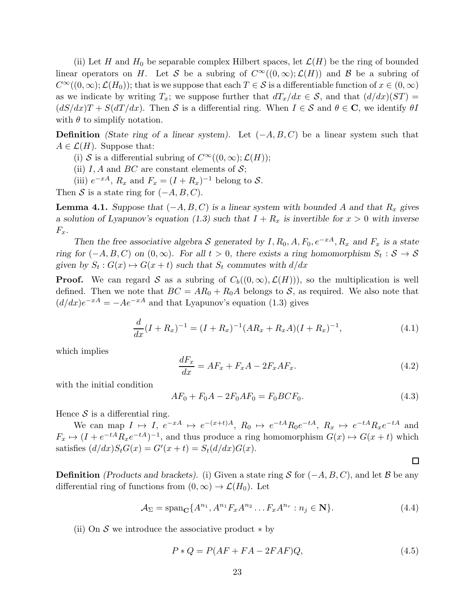(ii) Let H and  $H_0$  be separable complex Hilbert spaces, let  $\mathcal{L}(H)$  be the ring of bounded linear operators on H. Let S be a subring of  $C^{\infty}((0,\infty); \mathcal{L}(H))$  and B be a subring of  $C^{\infty}((0,\infty); \mathcal{L}(H_0))$ ; that is we suppose that each  $T \in \mathcal{S}$  is a differentiable function of  $x \in (0,\infty)$ as we indicate by writing  $T_x$ ; we suppose further that  $dT_x/dx \in S$ , and that  $(d/dx)(ST) =$  $(dS/dx)T + S(dT/dx)$ . Then S is a differential ring. When  $I \in S$  and  $\theta \in \mathbb{C}$ , we identify  $\theta I$ with  $\theta$  to simplify notation.

**Definition** (State ring of a linear system). Let  $(-A, B, C)$  be a linear system such that  $A \in \mathcal{L}(H)$ . Suppose that:

(i) S is a differential subring of  $C^{\infty}((0,\infty); \mathcal{L}(H));$ 

- (ii) I, A and BC are constant elements of  $S$ ;
- (iii)  $e^{-xA}$ ,  $R_x$  and  $F_x = (I + R_x)^{-1}$  belong to S.

Then S is a state ring for  $(-A, B, C)$ .

**Lemma 4.1.** Suppose that  $(-A, B, C)$  is a linear system with bounded A and that  $R_x$  gives a solution of Lyapunov's equation (1.3) such that  $I + R_x$  is invertible for  $x > 0$  with inverse  $F_x$ .

Then the free associative algebra S generated by  $I, R_0, A, F_0, e^{-xA}, R_x$  and  $F_x$  is a state ring for  $(-A, B, C)$  on  $(0, \infty)$ . For all  $t > 0$ , there exists a ring homomorphism  $S_t : S \to S$ given by  $S_t$ :  $G(x) \mapsto G(x + t)$  such that  $S_t$  commutes with  $d/dx$ 

**Proof.** We can regard S as a subring of  $C_b((0,\infty), \mathcal{L}(H)))$ , so the multiplication is well defined. Then we note that  $BC = AR_0 + R_0A$  belongs to S, as required. We also note that  $(d/dx)e^{-xA} = -Ae^{-xA}$  and that Lyapunov's equation (1.3) gives

$$
\frac{d}{dx}(I + R_x)^{-1} = (I + R_x)^{-1}(AR_x + R_xA)(I + R_x)^{-1},\tag{4.1}
$$

which implies

$$
\frac{dF_x}{dx} = AF_x + F_xA - 2F_xAF_x.
$$
\n(4.2)

with the initial condition

$$
AF_0 + F_0A - 2F_0AF_0 = F_0BCF_0.
$$
\n(4.3)

 $\Box$ 

Hence  $S$  is a differential ring.

We can map  $I \mapsto I$ ,  $e^{-xA} \mapsto e^{-(x+t)A}$ ,  $R_0 \mapsto e^{-tA}R_0e^{-tA}$ ,  $R_x \mapsto e^{-tA}R_xe^{-tA}$  and  $F_x \mapsto (I + e^{-tA}R_xe^{-tA})^{-1}$ , and thus produce a ring homomorphism  $G(x) \mapsto G(x + t)$  which satisfies  $(d/dx)S_tG(x) = G'(x+t) = S_t(d/dx)G(x)$ .

**Definition** (Products and brackets). (i) Given a state ring S for  $(-A, B, C)$ , and let B be any differential ring of functions from  $(0, \infty) \to \mathcal{L}(H_0)$ . Let

$$
\mathcal{A}_{\Sigma} = \text{span}_{\mathbf{C}} \{ A^{n_1}, A^{n_1} F_x A^{n_2} \dots F_x A^{n_r} : n_j \in \mathbf{N} \}. \tag{4.4}
$$

(ii) On  $S$  we introduce the associative product  $*$  by

$$
P * Q = P(AF + FA - 2FAF)Q,
$$
\n
$$
(4.5)
$$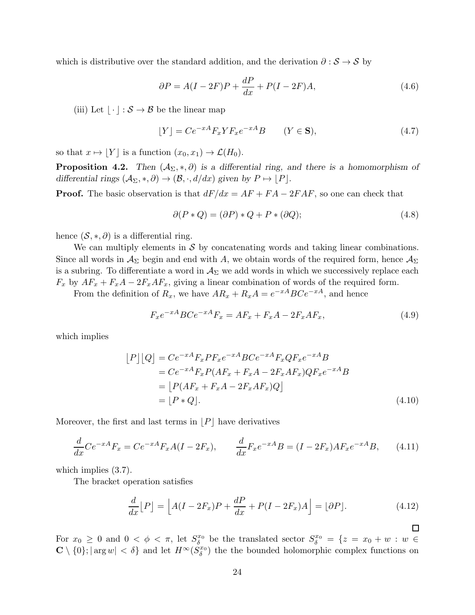which is distributive over the standard addition, and the derivation  $\partial : \mathcal{S} \to \mathcal{S}$  by

$$
\partial P = A(I - 2F)P + \frac{dP}{dx} + P(I - 2F)A,\tag{4.6}
$$

(iii) Let  $\lfloor \cdot \rfloor : \mathcal{S} \to \mathcal{B}$  be the linear map

$$
[Y] = Ce^{-xA}F_x Y F_x e^{-xA} B \qquad (Y \in \mathbf{S}), \tag{4.7}
$$

so that  $x \mapsto \lfloor Y \rfloor$  is a function  $(x_0, x_1) \to \mathcal{L}(H_0)$ .

**Proposition 4.2.** Then  $(A_{\Sigma}, *, \partial)$  is a differential ring, and there is a homomorphism of differential rings  $(\mathcal{A}_{\Sigma}, *, \partial) \rightarrow (\mathcal{B}, \cdot, d/dx)$  given by  $P \mapsto |P|$ .

**Proof.** The basic observation is that  $dF/dx = AF + FA - 2FAF$ , so one can check that

$$
\partial(P * Q) = (\partial P) * Q + P * (\partial Q); \tag{4.8}
$$

hence  $(S, *, \partial)$  is a differential ring.

We can multiply elements in  $\mathcal S$  by concatenating words and taking linear combinations. Since all words in  $\mathcal{A}_{\Sigma}$  begin and end with A, we obtain words of the required form, hence  $\mathcal{A}_{\Sigma}$ is a subring. To differentiate a word in  $A_{\Sigma}$  we add words in which we successively replace each  $F_x$  by  $AF_x + F_xA - 2F_xAF_x$ , giving a linear combination of words of the required form.

From the definition of  $R_x$ , we have  $AR_x + R_xA = e^{-xA}BCe^{-xA}$ , and hence

$$
F_x e^{-xA} B C e^{-xA} F_x = AF_x + F_x A - 2F_x AF_x,
$$
\n(4.9)

which implies

$$
[P][Q] = Ce^{-xA}F_xPF_xe^{-xA}BCe^{-xA}F_xQF_xe^{-xA}B
$$
  
=  $Ce^{-xA}F_xP(AF_x + F_xA - 2F_xAF_x)QF_xe^{-xA}B$   
=  $[P(AF_x + F_xA - 2F_xAF_x)Q]$   
=  $[P * Q].$  (4.10)

Moreover, the first and last terms in  $|P|$  have derivatives

$$
\frac{d}{dx}Ce^{-xA}F_x = Ce^{-xA}F_xA(I - 2F_x), \qquad \frac{d}{dx}F_xe^{-xA}B = (I - 2F_x)AF_xe^{-xA}B, \qquad (4.11)
$$

which implies  $(3.7)$ .

The bracket operation satisfies

$$
\frac{d}{dx}[P] = \left[ A(I - 2F_x)P + \frac{dP}{dx} + P(I - 2F_x)A \right] = \left[ \partial P \right].\tag{4.12}
$$

 $\Box$ 

For  $x_0 \geq 0$  and  $0 < \phi < \pi$ , let  $S_{\delta}^{x_0}$  $\delta_{\delta}^{x_0}$  be the translated sector  $S_{\delta}^{x_0} = \{z = x_0 + w : w \in$  $\mathbb{C} \setminus \{0\}$ ;  $|\arg w| < \delta\}$  and let  $H^{\infty}(S^x_{\delta})$  the the bounded holomorphic complex functions on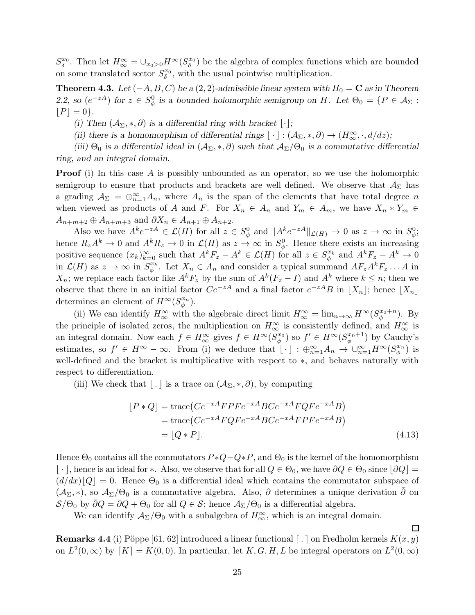$S_\delta^{x_0}$ . Then let  $H_\infty^{\infty} = \cup_{x_0>0} H^\infty(S_\delta^{x_0})$  be the algebra of complex functions which are bounded on some translated sector  $S_\delta^{x_0}$ , with the usual pointwise multiplication.

**Theorem 4.3.** Let  $(-A, B, C)$  be a  $(2, 2)$ -admissible linear system with  $H_0 = \mathbf{C}$  as in Theorem 2.2, so  $(e^{-zA})$  for  $z \in S^0_\phi$  is a bounded holomorphic semigroup on H. Let  $\Theta_0 = \{P \in \mathcal{A}_{\Sigma} :$  $|P| = 0$ .

(i) Then  $(A_{\Sigma},*,\partial)$  is a differential ring with bracket  $|\cdot|$ ;

(ii) there is a homomorphism of differential rings  $\lfloor \cdot \rfloor : (\mathcal{A}_{\Sigma}, *, \partial) \to (H^{\infty}_{\infty}, \cdot, d/dz);$ 

(iii)  $\Theta_0$  is a differential ideal in  $(\mathcal{A}_{\Sigma},*,\partial)$  such that  $\mathcal{A}_{\Sigma}/\Theta_0$  is a commutative differential ring, and an integral domain.

**Proof** (i) In this case A is possibly unbounded as an operator, so we use the holomorphic semigroup to ensure that products and brackets are well defined. We observe that  $\mathcal{A}_{\Sigma}$  has a grading  $\mathcal{A}_{\Sigma} = \bigoplus_{n=1}^{\infty} A_n$ , where  $A_n$  is the span of the elements that have total degree n when viewed as products of A and F. For  $X_n \in A_n$  and  $Y_m \in A_m$ , we have  $X_n * Y_m \in A_m$  $A_{n+m+2} \oplus A_{n+m+3}$  and  $\partial X_n \in A_{n+1} \oplus A_{n+2}$ .

Also we have  $A^k e^{-zA} \in \mathcal{L}(H)$  for all  $z \in S^0_\phi$  and  $||A^k e^{-zA}||_{\mathcal{L}(H)} \to 0$  as  $z \to \infty$  in  $S^0_\phi$ ; hence  $R_z A^k \to 0$  and  $A^k R_z \to 0$  in  $\mathcal{L}(H)$  as  $z \to \infty$  in  $S^0_{\phi}$ . Hence there exists an increasing positive sequence  $(x_k)_{k=0}^{\infty}$  such that  $A^k F_z - A^k \in \mathcal{L}(H)$  for all  $z \in S_{\phi}^{x_k}$  $\phi_{\phi}^{x_k}$  and  $A^k F_z - A^k \to 0$ in  $\mathcal{L}(H)$  as  $z \to \infty$  in  $S_{\phi}^{x_k}$  $x_k^x$ . Let  $X_n \in A_n$  and consider a typical summand  $AF_zA^kF_z \dots A$  in  $X_n$ ; we replace each factor like  $A^k F_z$  by the sum of  $A^k (F_z - I)$  and  $A^k$  where  $k \leq n$ ; then we observe that there in an initial factor  $Ce^{-zA}$  and a final factor  $e^{-zA}B$  in  $\lfloor X_n \rfloor$ ; hence  $\lfloor X_n \rfloor$ determines an element of  $H^{\infty}(S_{\phi}^{x_n})$ .

(ii) We can identify  $H_{\infty}^{\infty}$  with the algebraic direct limit  $H_{\infty}^{\infty} = \lim_{n \to \infty} H^{\infty}(S_{\phi}^{x_0+n})$ . By the principle of isolated zeros, the multiplication on  $H_{\infty}^{\infty}$  is consistently defined, and  $H_{\infty}^{\infty}$  is an integral domain. Now each  $f \in H_{\infty}^{\infty}$  gives  $f \in H^{\infty}(S_{\phi}^{x_0})$  so  $f' \in H^{\infty}(S_{\phi}^{x_0+1})$  by Cauchy's estimates, so  $f' \in H^{\infty} - \infty$ . From (i) we deduce that  $\lfloor \cdot \rfloor : \bigoplus_{n=1}^{\infty} A_n \to \bigcup_{n=1}^{\infty} H^{\infty}(S_{\phi}^{x_n})$  $\binom{x_n}{\phi}$  is well-defined and the bracket is multiplicative with respect to ∗, and behaves naturally with respect to differentiation.

(iii) We check that  $| \cdot |$  is a trace on  $(\mathcal{A}_{\Sigma}, *, \partial)$ , by computing

$$
[P * Q] = \text{trace}(Ce^{-xA}FPFe^{-xA}BCe^{-xA}FQFe^{-xA}B)
$$
  
=\text{trace}(Ce^{-xA}FQFe^{-xA}BCe^{-xA}FPFe^{-xA}B)  
= [Q \* P]. (4.13)

Hence  $\Theta_0$  contains all the commutators  $P * Q - Q * P$ , and  $\Theta_0$  is the kernel of the homomorphism  $\lfloor \cdot \rfloor$ , hence is an ideal for ∗. Also, we observe that for all  $Q \in \Theta_0$ , we have  $\partial Q \in \Theta_0$  since  $\lfloor \partial Q \rfloor$  =  $(d/dx)\lfloor Q\rfloor = 0$ . Hence  $\Theta_0$  is a differential ideal which contains the commutator subspace of  $(\mathcal{A}_{\Sigma},*)$ , so  $\mathcal{A}_{\Sigma}/\Theta_0$  is a commutative algebra. Also,  $\partial$  determines a unique derivation  $\partial$  on  $S/\Theta_0$  by  $\partial Q = \partial Q + \Theta_0$  for all  $Q \in S$ ; hence  $\mathcal{A}_{\Sigma}/\Theta_0$  is a differential algebra.

We can identify  $A_{\Sigma}/\Theta_0$  with a subalgebra of  $H^{\infty}_{\infty}$ , which is an integral domain.

 $\Box$ 

**Remarks 4.4** (i) Pöppe [61, 62] introduced a linear functional  $\lceil . \rceil$  on Fredholm kernels  $K(x, y)$ on  $L^2(0,\infty)$  by  $\lceil K \rceil = K(0,0)$ . In particular, let  $K, G, H, L$  be integral operators on  $L^2(0,\infty)$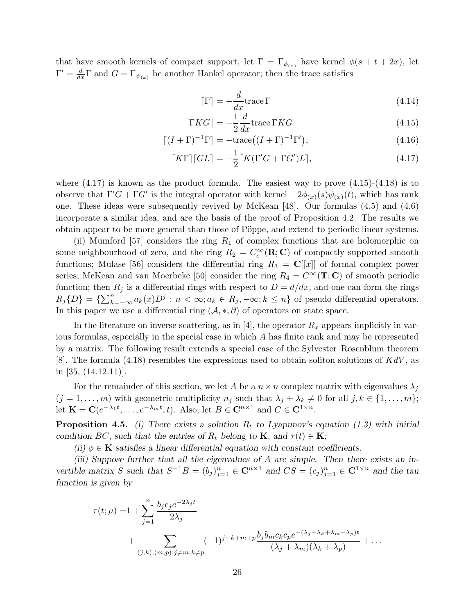that have smooth kernels of compact support, let  $\Gamma = \Gamma_{\phi_{(x)}}$  have kernel  $\phi(s+t+2x)$ , let  $\Gamma' = \frac{d}{dx}\Gamma$  and  $G = \Gamma_{\psi_{(x)}}$  be another Hankel operator; then the trace satisfies

$$
\lceil \Gamma \rceil = -\frac{d}{dx} \text{trace} \, \Gamma \tag{4.14}
$$

$$
\lceil \Gamma KG \rceil = -\frac{1}{2} \frac{d}{dx} \operatorname{trace} \Gamma KG \tag{4.15}
$$

$$
\lceil (I + \Gamma)^{-1} \Gamma \rceil = -\text{trace}\big( (I + \Gamma)^{-1} \Gamma' \big),\tag{4.16}
$$

$$
\lceil K\Gamma \rceil \lceil GL \rceil = -\frac{1}{2} \lceil K(\Gamma'G + \Gamma G')L \rceil, \tag{4.17}
$$

where  $(4.17)$  is known as the product formula. The easiest way to prove  $(4.15)-(4.18)$  is to observe that  $\Gamma'G + \Gamma G'$  is the integral operator with kernel  $-2\phi_{(x)}(s)\psi_{(x)}(t)$ , which has rank one. These ideas were subsequently revived by McKean [48]. Our formulas (4.5) and (4.6) incorporate a similar idea, and are the basis of the proof of Proposition 4.2. The results we obtain appear to be more general than those of Pöppe, and extend to periodic linear systems.

(ii) Mumford [57] considers the ring  $R_1$  of complex functions that are holomorphic on some neighbourhood of zero, and the ring  $R_2 = C_c^{\infty}(\mathbf{R}; \mathbf{C})$  of compactly supported smooth functions; Mulase [56] considers the differential ring  $R_3 = \mathbb{C}[[x]]$  of formal complex power series; McKean and van Moerbeke [50] consider the ring  $R_4 = C^{\infty}(\mathbf{T}; \mathbf{C})$  of smooth periodic function; then  $R_j$  is a differential rings with respect to  $D = d/dx$ , and one can form the rings  $R_j\{D\} = \{\sum_{k=-\infty}^n a_k(x)D^j : n < \infty; a_k \in R_j, -\infty; k \leq n\}$  of pseudo differential operators. In this paper we use a differential ring  $(\mathcal{A}, *, \partial)$  of operators on state space.

In the literature on inverse scattering, as in [4], the operator  $R_x$  appears implicitly in various formulas, especially in the special case in which A has finite rank and may be represented by a matrix. The following result extends a special case of the Sylvester–Rosenblum theorem [8]. The formula (4.18) resembles the expressions used to obtain soliton solutions of  $KdV$ , as in [35, (14.12.11)].

For the remainder of this section, we let A be a  $n \times n$  complex matrix with eigenvalues  $\lambda_i$  $(j = 1, \ldots, m)$  with geometric multiplicity  $n_j$  such that  $\lambda_j + \lambda_k \neq 0$  for all  $j, k \in \{1, \ldots, m\};$ let  $\mathbf{K} = \mathbf{C}(e^{-\lambda_1 t}, \dots, e^{-\lambda_m t}, t)$ . Also, let  $B \in \mathbf{C}^{n \times 1}$  and  $C \in \mathbf{C}^{1 \times n}$ .

**Proposition 4.5.** (i) There exists a solution  $R_t$  to Lyapunov's equation (1.3) with initial condition BC, such that the entries of  $R_t$  belong to **K**, and  $\tau(t) \in \mathbf{K}$ ;

(ii)  $\phi \in \mathbf{K}$  satisfies a linear differential equation with constant coefficients.

(iii) Suppose further that all the eigenvalues of A are simple. Then there exists an invertible matrix S such that  $S^{-1}B = (b_j)_{j=1}^n \in \mathbb{C}^{n \times 1}$  and  $CS = (c_j)_{j=1}^n \in \mathbb{C}^{1 \times n}$  and the tau function is given by

$$
\tau(t; \mu) = 1 + \sum_{j=1}^{n} \frac{b_j c_j e^{-2\lambda_j t}}{2\lambda_j} + \sum_{(j,k),(m,p):j \neq m; k \neq p} (-1)^{j+k+m+p} \frac{b_j b_m c_k c_p e^{-(\lambda_j + \lambda_k + \lambda_m + \lambda_p)t}}{(\lambda_j + \lambda_m)(\lambda_k + \lambda_p)} + \dots
$$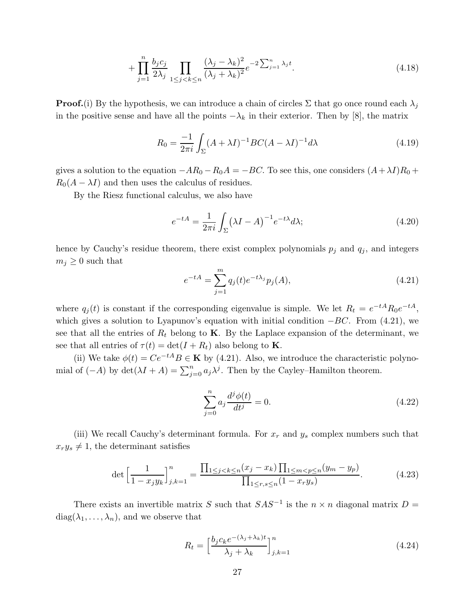$$
+\prod_{j=1}^{n} \frac{b_j c_j}{2\lambda_j} \prod_{1 \le j < k \le n} \frac{(\lambda_j - \lambda_k)^2}{(\lambda_j + \lambda_k)^2} e^{-2\sum_{j=1}^{n} \lambda_j t}.\tag{4.18}
$$

**Proof.**(i) By the hypothesis, we can introduce a chain of circles  $\Sigma$  that go once round each  $\lambda_j$ in the positive sense and have all the points  $-\lambda_k$  in their exterior. Then by [8], the matrix

$$
R_0 = \frac{-1}{2\pi i} \int_{\Sigma} (A + \lambda I)^{-1} BC(A - \lambda I)^{-1} d\lambda \tag{4.19}
$$

gives a solution to the equation  $-A R_0 - R_0 A = -BC$ . To see this, one considers  $(A + \lambda I)R_0 +$  $R_0(A - \lambda I)$  and then uses the calculus of residues.

By the Riesz functional calculus, we also have

$$
e^{-tA} = \frac{1}{2\pi i} \int_{\Sigma} (\lambda I - A)^{-1} e^{-t\lambda} d\lambda; \tag{4.20}
$$

hence by Cauchy's residue theorem, there exist complex polynomials  $p_j$  and  $q_j$ , and integers  $m_j \geq 0$  such that

$$
e^{-tA} = \sum_{j=1}^{m} q_j(t)e^{-t\lambda_j}p_j(A),
$$
\n(4.21)

where  $q_j(t)$  is constant if the corresponding eigenvalue is simple. We let  $R_t = e^{-tA}R_0e^{-tA}$ , which gives a solution to Lyapunov's equation with initial condition  $-BC$ . From (4.21), we see that all the entries of  $R_t$  belong to **K**. By the Laplace expansion of the determinant, we see that all entries of  $\tau(t) = \det(I + R_t)$  also belong to **K**.

(ii) We take  $\phi(t) = Ce^{-tA}B \in \mathbf{K}$  by (4.21). Also, we introduce the characteristic polynomial of  $(-A)$  by  $\det(\lambda I + A) = \sum_{j=0}^{n} a_j \lambda^j$ . Then by the Cayley–Hamilton theorem.

$$
\sum_{j=0}^{n} a_j \frac{d^j \phi(t)}{dt^j} = 0.
$$
\n(4.22)

(iii) We recall Cauchy's determinant formula. For  $x_r$  and  $y_s$  complex numbers such that  $x_ry_s \neq 1$ , the determinant satisfies

$$
\det \left[ \frac{1}{1 - x_j y_k} \right]_{j,k=1}^n = \frac{\prod_{1 \le j < k \le n} (x_j - x_k) \prod_{1 \le m < p \le n} (y_m - y_p)}{\prod_{1 \le r, s \le n} (1 - x_r y_s)}.\tag{4.23}
$$

There exists an invertible matrix S such that  $SAS^{-1}$  is the  $n \times n$  diagonal matrix  $D =$  $diag(\lambda_1, \ldots, \lambda_n)$ , and we observe that

$$
R_t = \left[\frac{b_j c_k e^{-(\lambda_j + \lambda_k)t}}{\lambda_j + \lambda_k}\right]_{j,k=1}^n
$$
\n(4.24)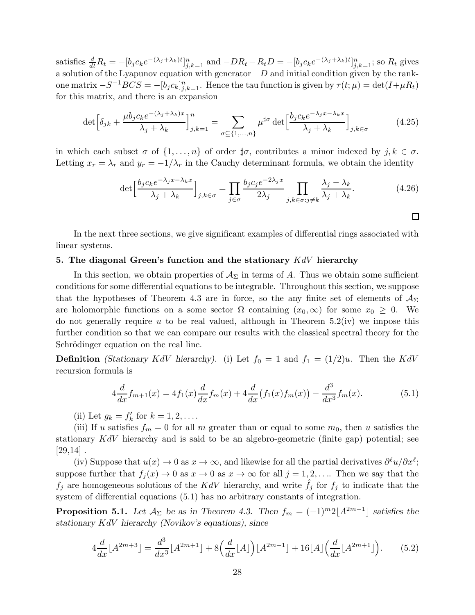satisfies  $\frac{d}{dt}R_t = -[b_j c_k e^{-(\lambda_j + \lambda_k)t}]_{j,k=1}^n$  and  $-DR_t - R_tD = -[b_j c_k e^{-(\lambda_j + \lambda_k)t}]_{j,k=1}^n$ ; so  $R_t$  gives a solution of the Lyapunov equation with generator  $-D$  and initial condition given by the rankone matrix  $-S^{-1}BCS = -[b_j c_k]_{j,k=1}^n$ . Hence the tau function is given by  $\tau(t; \mu) = \det(I + \mu R_t)$ for this matrix, and there is an expansion

$$
\det \left[ \delta_{jk} + \frac{\mu b_j c_k e^{-(\lambda_j + \lambda_k)x}}{\lambda_j + \lambda_k} \right]_{j,k=1}^n = \sum_{\sigma \subseteq \{1, \dots, n\}} \mu^{\sharp \sigma} \det \left[ \frac{b_j c_k e^{-\lambda_j x - \lambda_k x}}{\lambda_j + \lambda_k} \right]_{j,k \in \sigma}
$$
(4.25)

in which each subset  $\sigma$  of  $\{1,\ldots,n\}$  of order  $\sharp \sigma$ , contributes a minor indexed by  $j, k \in \sigma$ . Letting  $x_r = \lambda_r$  and  $y_r = -1/\lambda_r$  in the Cauchy determinant formula, we obtain the identity

$$
\det \left[ \frac{b_j c_k e^{-\lambda_j x - \lambda_k x}}{\lambda_j + \lambda_k} \right]_{j,k \in \sigma} = \prod_{j \in \sigma} \frac{b_j c_j e^{-2\lambda_j x}}{2\lambda_j} \prod_{j,k \in \sigma : j \neq k} \frac{\lambda_j - \lambda_k}{\lambda_j + \lambda_k}.
$$
 (4.26)

 $\Box$ 

In the next three sections, we give significant examples of differential rings associated with linear systems.

## 5. The diagonal Green's function and the stationary  $KdV$  hierarchy

In this section, we obtain properties of  $\mathcal{A}_{\Sigma}$  in terms of A. Thus we obtain some sufficient conditions for some differential equations to be integrable. Throughout this section, we suppose that the hypotheses of Theorem 4.3 are in force, so the any finite set of elements of  $A_{\Sigma}$ are holomorphic functions on a some sector  $\Omega$  containing  $(x_0, \infty)$  for some  $x_0 \geq 0$ . We do not generally require u to be real valued, although in Theorem  $5.2(iv)$  we impose this further condition so that we can compare our results with the classical spectral theory for the Schrödinger equation on the real line.

**Definition** (Stationary KdV hierarchy). (i) Let  $f_0 = 1$  and  $f_1 = (1/2)u$ . Then the KdV recursion formula is

$$
4\frac{d}{dx}f_{m+1}(x) = 4f_1(x)\frac{d}{dx}f_m(x) + 4\frac{d}{dx}(f_1(x)f_m(x)) - \frac{d^3}{dx^3}f_m(x).
$$
 (5.1)

(ii) Let  $g_k = f'_k$  for  $k = 1, 2, ...$ 

(iii) If u satisfies  $f_m = 0$  for all m greater than or equal to some  $m_0$ , then u satisfies the stationary  $KdV$  hierarchy and is said to be an algebro-geometric (finite gap) potential; see  $[29,14]$ .

(iv) Suppose that  $u(x) \to 0$  as  $x \to \infty$ , and likewise for all the partial derivatives  $\partial^{\ell}u/\partial x^{\ell}$ ; suppose further that  $f_j(x) \to 0$  as  $x \to 0$  as  $x \to \infty$  for all  $j = 1, 2, \ldots$ . Then we say that the  $f_j$  are homogeneous solutions of the KdV hierarchy, and write  $f_j$  for  $f_j$  to indicate that the system of differential equations (5.1) has no arbitrary constants of integration.

**Proposition 5.1.** Let  $\mathcal{A}_{\Sigma}$  be as in Theorem 4.3. Then  $f_m = (-1)^m 2 \lfloor A^{2m-1} \rfloor$  satisfies the stationary KdV hierarchy (Novikov's equations), since

$$
4\frac{d}{dx}[A^{2m+3}] = \frac{d^3}{dx^3}[A^{2m+1}] + 8\left(\frac{d}{dx}[A]\right)[A^{2m+1}] + 16[A]\left(\frac{d}{dx}[A^{2m+1}]\right). \tag{5.2}
$$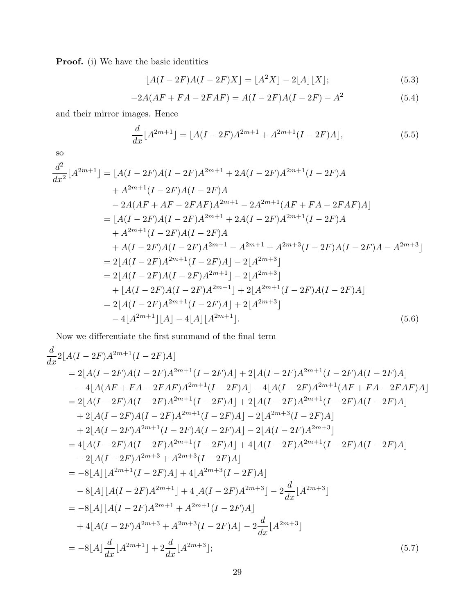Proof. (i) We have the basic identities

$$
[A(I - 2F)A(I - 2F)X] = [A2X] - 2[A][X];
$$
\n(5.3)

$$
-2A(AF + FA - 2FAF) = A(I - 2F)A(I - 2F) - A2
$$
\n(5.4)

and their mirror images. Hence

$$
\frac{d}{dx}[A^{2m+1}] = [A(I - 2F)A^{2m+1} + A^{2m+1}(I - 2F)A],
$$
\n(5.5)

so

$$
\frac{d^2}{dx^2}[A^{2m+1}] = [A(I - 2F)A(I - 2F)A^{2m+1} + 2A(I - 2F)A^{2m+1}(I - 2F)A \n+ A^{2m+1}(I - 2F)A(I - 2F)A \n- 2A(AF + AF - 2FAF)A^{2m+1} - 2A^{2m+1}(AF + FA - 2FAF)A] \n= [A(I - 2F)A(I - 2F)A^{2m+1} + 2A(I - 2F)A^{2m+1}(I - 2F)A \n+ A^{2m+1}(I - 2F)A(I - 2F)A \n+ A(I - 2F)A(I - 2F)A^{2m+1} - A^{2m+1} + A^{2m+3}(I - 2F)A(I - 2F)A - A^{2m+3}] \n= 2[A(I - 2F)A^{2m+1}(I - 2F)A] - 2[A^{2m+3}] \n= 2[A(I - 2F)A(I - 2F)A^{2m+1}] - 2[A^{2m+3}] \n+ [A(I - 2F)A(I - 2F)A^{2m+1}] + 2[A^{2m+1}(I - 2F)A(I - 2F)A] \n= 2[A(I - 2F)A^{2m+1}(I - 2F)A] + 2[A^{2m+3}] \n- 4[A^{2m+1}][A] - 4[A][A^{2m+1}]. \n(5.6)
$$

Now we differentiate the first summand of the final term

$$
\frac{d}{dx}2[A(I-2F)A^{2m+1}(I-2F)A]
$$
\n
$$
= 2[A(I-2F)A(I-2F)A^{2m+1}(I-2F)A] + 2[A(I-2F)A^{2m+1}(I-2F)A(I-2F)A]
$$
\n
$$
- 4[A(AF + FA - 2FAF)A^{2m+1}(I-2F)A] - 4[A(I-2F)A^{2m+1}(AF + FA - 2FAF)A]
$$
\n
$$
= 2[A(I-2F)A(I-2F)A^{2m+1}(I-2F)A] + 2[A(I-2F)A^{2m+1}(I-2F)A(I-2F)A]
$$
\n
$$
+ 2[A(I-2F)A(I-2F)A^{2m+1}(I-2F)A] - 2[A^{2m+3}(I-2F)A]
$$
\n
$$
+ 2[A(I-2F)A^{2m+1}(I-2F)A(I-2F)A] - 2[A(I-2F)A^{2m+3}]
$$
\n
$$
= 4[A(I-2F)A(I-2F)A^{2m+1}(I-2F)A] + 4[A(I-2F)A^{2m+1}(I-2F)A(I-2F)A]
$$
\n
$$
- 2[A(I-2F)A^{2m+3} + A^{2m+3}(I-2F)A]
$$
\n
$$
= -8[A][A^{2m+1}(I-2F)A] + 4[A^{2m+3}(I-2F)A]
$$
\n
$$
- 8[A][A(I-2F)A^{2m+1}] + 4[A(I-2F)A^{2m+3}] - 2\frac{d}{dx}[A^{2m+3}]
$$
\n
$$
= -8[A][A(I-2F)A^{2m+1} + A^{2m+1}(I-2F)A]
$$
\n
$$
+ 4[A(I-2F)A^{2m+3} + A^{2m+3}(I-2F)A]
$$
\n
$$
+ 4[A(I-2F)A^{2m+3} + A^{2m+3}(I-2F)A] - 2\frac{d}{dx}[A^{2m+3}]
$$
\n
$$
= -8[A]\frac{d}{dx}[A^{2m+1}] + 2\frac{d}{dx}[A^{2m+3}];
$$
\n(5.7)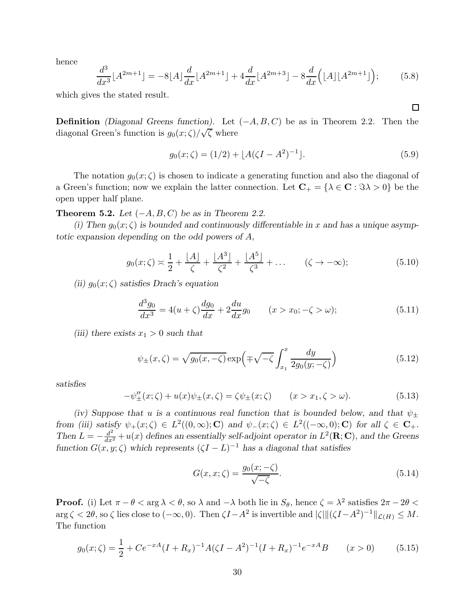hence

$$
\frac{d^3}{dx^3} [A^{2m+1}] = -8[A] \frac{d}{dx} [A^{2m+1}] + 4 \frac{d}{dx} [A^{2m+3}] - 8 \frac{d}{dx} ([A] [A^{2m+1}]), \tag{5.8}
$$

which gives the stated result.

**Definition** (Diagonal Greens function). Let  $(-A, B, C)$  be as in Theorem 2.2. Then the diagonal Green's function is  $g_0(x;\zeta)/\sqrt{\zeta}$  where

$$
g_0(x;\zeta) = (1/2) + \lfloor A(\zeta I - A^2)^{-1} \rfloor.
$$
\n(5.9)

The notation  $g_0(x;\zeta)$  is chosen to indicate a generating function and also the diagonal of a Green's function; now we explain the latter connection. Let  $\mathbf{C}_+ = {\lambda \in \mathbf{C} : \Im \lambda > 0}$  be the open upper half plane.

Theorem 5.2. Let  $(-A, B, C)$  be as in Theorem 2.2.

(i) Then  $g_0(x;\zeta)$  is bounded and continuously differentiable in x and has a unique asymptotic expansion depending on the odd powers of A,

$$
g_0(x;\zeta) \approx \frac{1}{2} + \frac{|A|}{\zeta} + \frac{|A^3|}{\zeta^2} + \frac{|A^5|}{\zeta^3} + \dots \qquad (\zeta \to -\infty); \tag{5.10}
$$

(ii)  $g_0(x;\zeta)$  satisfies Drach's equation

$$
\frac{d^3g_0}{dx^3} = 4(u+\zeta)\frac{dg_0}{dx} + 2\frac{du}{dx}g_0 \qquad (x > x_0; -\zeta > \omega); \tag{5.11}
$$

(iii) there exists  $x_1 > 0$  such that

$$
\psi_{\pm}(x,\zeta) = \sqrt{g_0(x,-\zeta)} \exp\left(\mp\sqrt{-\zeta} \int_{x_1}^x \frac{dy}{2g_0(y;-\zeta)}\right) \tag{5.12}
$$

satisfies

$$
-\psi_{\pm}^{\prime\prime}(x;\zeta) + u(x)\psi_{\pm}(x,\zeta) = \zeta\psi_{\pm}(x;\zeta) \qquad (x > x_1, \zeta > \omega). \tag{5.13}
$$

(iv) Suppose that u is a continuous real function that is bounded below, and that  $\psi_+$ from (iii) satisfy  $\psi_+(x;\zeta) \in L^2((0,\infty);{\bf C})$  and  $\psi_-(x;\zeta) \in L^2((-\infty,0);{\bf C})$  for all  $\zeta \in {\bf C}_+$ . Then  $L = -\frac{d^2}{dx^2} + u(x)$  defines an essentially self-adjoint operator in  $L^2(\mathbf{R}; \mathbf{C})$ , and the Greens function  $G(x, y; \zeta)$  which represents  $(\zeta I - L)^{-1}$  has a diagonal that satisfies

$$
G(x, x; \zeta) = \frac{g_0(x; -\zeta)}{\sqrt{-\zeta}}.
$$
\n
$$
(5.14)
$$

**Proof.** (i) Let  $\pi - \theta < \arg \lambda < \theta$ , so  $\lambda$  and  $-\lambda$  both lie in  $S_{\theta}$ , hence  $\zeta = \lambda^2$  satisfies  $2\pi - 2\theta < \theta$  $\arg \zeta < 2\theta$ , so  $\zeta$  lies close to  $(-\infty, 0)$ . Then  $\zeta I - A^2$  is invertible and  $|\zeta| ||(\zeta I - A^2)^{-1}||_{\mathcal{L}(H)} \leq M$ . The function

$$
g_0(x;\zeta) = \frac{1}{2} + Ce^{-xA}(I + R_x)^{-1}A(\zeta I - A^2)^{-1}(I + R_x)^{-1}e^{-xA}B \qquad (x > 0)
$$
 (5.15)

 $\Box$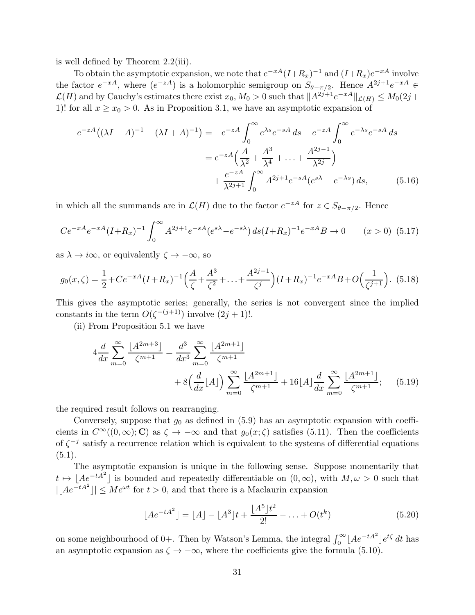is well defined by Theorem 2.2(iii).

To obtain the asymptotic expansion, we note that  $e^{-xA}(I+R_x)^{-1}$  and  $(I+R_x)e^{-xA}$  involve the factor  $e^{-xA}$ , where  $(e^{-zA})$  is a holomorphic semigroup on  $S_{\theta-\pi/2}$ . Hence  $A^{2j+1}e^{-xA} \in$  $\mathcal{L}(H)$  and by Cauchy's estimates there exist  $x_0, M_0 > 0$  such that  $||A^{2j+1}e^{-xA}||_{\mathcal{L}(H)} \leq M_0(2j+1)$ 1)! for all  $x \ge x_0 > 0$ . As in Proposition 3.1, we have an asymptotic expansion of

$$
e^{-zA}((\lambda I - A)^{-1} - (\lambda I + A)^{-1}) = -e^{-zA} \int_0^\infty e^{\lambda s} e^{-sA} ds - e^{-zA} \int_0^\infty e^{-\lambda s} e^{-sA} ds
$$
  

$$
= e^{-zA} \left(\frac{A}{\lambda^2} + \frac{A^3}{\lambda^4} + \dots + \frac{A^{2j-1}}{\lambda^{2j}}\right)
$$
  

$$
+ \frac{e^{-zA}}{\lambda^{2j+1}} \int_0^\infty A^{2j+1} e^{-sA} (e^{s\lambda} - e^{-\lambda s}) ds, \qquad (5.16)
$$

in which all the summands are in  $\mathcal{L}(H)$  due to the factor  $e^{-zA}$  for  $z \in S_{\theta-\pi/2}$ . Hence

$$
Ce^{-xA}e^{-xA}(I+R_x)^{-1}\int_0^\infty A^{2j+1}e^{-sA}(e^{s\lambda}-e^{-s\lambda})\,ds(I+R_x)^{-1}e^{-xA}B\to 0\qquad (x>0)\tag{5.17}
$$

as  $\lambda \to i\infty$ , or equivalently  $\zeta \to -\infty$ , so

$$
g_0(x,\zeta) = \frac{1}{2} + Ce^{-xA}(I + R_x)^{-1} \left(\frac{A}{\zeta} + \frac{A^3}{\zeta^2} + \ldots + \frac{A^{2j-1}}{\zeta^j}\right)(I + R_x)^{-1}e^{-xA}B + O\left(\frac{1}{\zeta^{j+1}}\right). \tag{5.18}
$$

This gives the asymptotic series; generally, the series is not convergent since the implied constants in the term  $O(\zeta^{-(j+1)})$  involve  $(2j + 1)!$ .

(ii) From Proposition 5.1 we have

$$
4\frac{d}{dx}\sum_{m=0}^{\infty}\frac{\lfloor A^{2m+3}\rfloor}{\zeta^{m+1}} = \frac{d^3}{dx^3}\sum_{m=0}^{\infty}\frac{\lfloor A^{2m+1}\rfloor}{\zeta^{m+1}} + 8\left(\frac{d}{dx}\lfloor A\rfloor\right)\sum_{m=0}^{\infty}\frac{\lfloor A^{2m+1}\rfloor}{\zeta^{m+1}} + 16\lfloor A\rfloor\frac{d}{dx}\sum_{m=0}^{\infty}\frac{\lfloor A^{2m+1}\rfloor}{\zeta^{m+1}}; \quad (5.19)
$$

the required result follows on rearranging.

Conversely, suppose that  $g_0$  as defined in (5.9) has an asymptotic expansion with coefficients in  $C^{\infty}((0,\infty); \mathbb{C})$  as  $\zeta \to -\infty$  and that  $g_0(x;\zeta)$  satisfies (5.11). Then the coefficients of  $\zeta^{-j}$  satisfy a recurrence relation which is equivalent to the systems of differential equations  $(5.1).$ 

The asymptotic expansion is unique in the following sense. Suppose momentarily that  $t \mapsto [Ae^{-tA^2}]$  is bounded and repeatedly differentiable on  $(0, \infty)$ , with  $M, \omega > 0$  such that  $|\lfloor Ae^{-tA^2}\rfloor| \le Me^{\omega t}$  for  $t > 0$ , and that there is a Maclaurin expansion

$$
\lfloor Ae^{-tA^2}\rfloor = \lfloor A\rfloor - \lfloor A^3\rfloor t + \frac{\lfloor A^5\rfloor t^2}{2!} - \ldots + O(t^k)
$$
\n(5.20)

on some neighbourhood of 0+. Then by Watson's Lemma, the integral  $\int_0^\infty [Ae^{-tA^2}]e^{t\zeta} dt$  has an asymptotic expansion as  $\zeta \to -\infty$ , where the coefficients give the formula (5.10).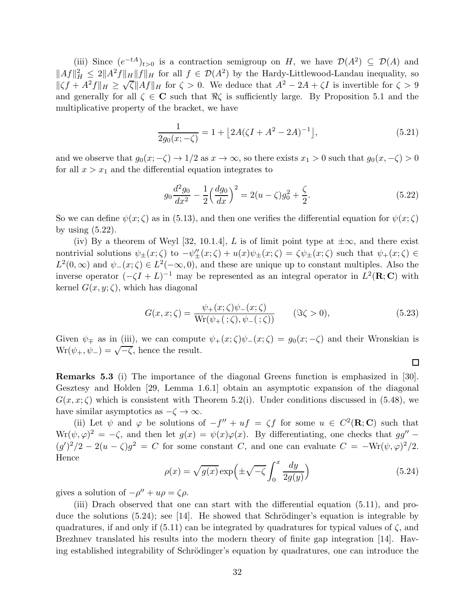(iii) Since  $(e^{-tA})_{t>0}$  is a contraction semigroup on H, we have  $\mathcal{D}(A^2) \subseteq \mathcal{D}(A)$  and  $||Af||_H^2 \leq 2||A^2f||_H ||f||_H$  for all  $f \in \mathcal{D}(A^2)$  by the Hardy-Littlewood-Landau inequality, so  $\|\zeta f + A^2 f\|_H \geq \sqrt{\zeta} \|Af\|_H$  for  $\zeta > 0$ . We deduce that  $A^2 - 2A + \zeta I$  is invertible for  $\zeta > 9$ and generally for all  $\zeta \in \mathbb{C}$  such that  $\Re \zeta$  is sufficiently large. By Proposition 5.1 and the multiplicative property of the bracket, we have

$$
\frac{1}{2g_0(x; -\zeta)} = 1 + \left[2A(\zeta I + A^2 - 2A)^{-1}\right],\tag{5.21}
$$

and we observe that  $g_0(x; -\zeta) \to 1/2$  as  $x \to \infty$ , so there exists  $x_1 > 0$  such that  $g_0(x, -\zeta) > 0$ for all  $x > x_1$  and the differential equation integrates to

$$
g_0 \frac{d^2 g_0}{dx^2} - \frac{1}{2} \left(\frac{d g_0}{dx}\right)^2 = 2(u - \zeta)g_0^2 + \frac{\zeta}{2}.
$$
 (5.22)

So we can define  $\psi(x;\zeta)$  as in (5.13), and then one verifies the differential equation for  $\psi(x;\zeta)$ by using (5.22).

(iv) By a theorem of Weyl [32, 10.1.4], L is of limit point type at  $\pm \infty$ , and there exist nontrivial solutions  $\psi_{\pm}(x;\zeta)$  to  $-\psi''_{\pm}(x;\zeta) + u(x)\psi_{\pm}(x;\zeta) = \zeta\psi_{\pm}(x;\zeta)$  such that  $\psi_{+}(x;\zeta) \in$  $L^2(0,\infty)$  and  $\psi_-(x;\zeta) \in L^2(-\infty,0)$ , and these are unique up to constant multiples. Also the inverse operator  $(-\zeta I + L)^{-1}$  may be represented as an integral operator in  $L^2(\mathbf{R}; \mathbf{C})$  with kernel  $G(x, y; \zeta)$ , which has diagonal

$$
G(x, x; \zeta) = \frac{\psi_+(x; \zeta)\psi_-(x; \zeta)}{\text{Wr}(\psi_+(\cdot; \zeta), \psi_-(\cdot; \zeta))} \qquad (\Im \zeta > 0), \tag{5.23}
$$

 $\Box$ 

Given  $\psi_{\pm}$  as in (iii), we can compute  $\psi_{+}(x;\zeta)\psi_{-}(x;\zeta) = g_0(x; -\zeta)$  and their Wronskian is  $Wr(\psi_+, \psi_-) = \sqrt{-\zeta}$ , hence the result.

Remarks 5.3 (i) The importance of the diagonal Greens function is emphasized in [30]. Gesztesy and Holden [29, Lemma 1.6.1] obtain an asymptotic expansion of the diagonal  $G(x, x; \zeta)$  which is consistent with Theorem 5.2(i). Under conditions discussed in (5.48), we have similar asymptotics as  $-\zeta \to \infty$ .

(ii) Let  $\psi$  and  $\varphi$  be solutions of  $-f'' + uf = \zeta f$  for some  $u \in C^2(\mathbf{R}; \mathbf{C})$  such that  $Wf(\psi, \varphi)^2 = -\zeta$ , and then let  $g(x) = \psi(x)\varphi(x)$ . By differentiating, one checks that  $gg''$  $(g')^2/2 - 2(u - \zeta)g^2 = C$  for some constant C, and one can evaluate  $C = -\text{Wr}(\psi, \varphi)^2/2$ . Hence

$$
\rho(x) = \sqrt{g(x)} \exp\left(\pm\sqrt{-\zeta} \int_0^x \frac{dy}{2g(y)}\right) \tag{5.24}
$$

gives a solution of  $-\rho'' + u\rho = \zeta \rho$ .

(iii) Drach observed that one can start with the differential equation (5.11), and produce the solutions  $(5.24)$ ; see [14]. He showed that Schrödinger's equation is integrable by quadratures, if and only if  $(5.11)$  can be integrated by quadratures for typical values of  $\zeta$ , and Brezhnev translated his results into the modern theory of finite gap integration [14]. Having established integrability of Schrödinger's equation by quadratures, one can introduce the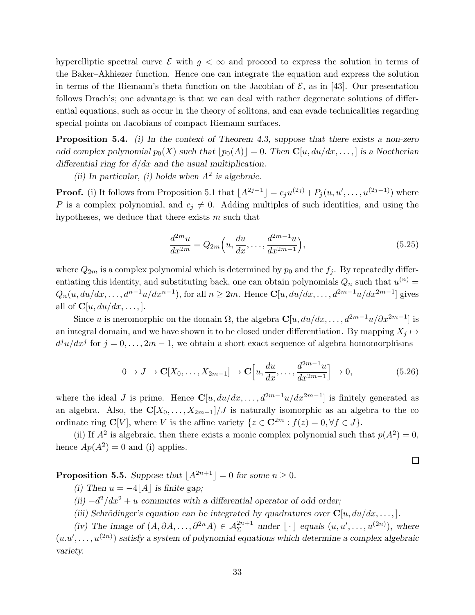hyperelliptic spectral curve  $\mathcal E$  with  $g < \infty$  and proceed to express the solution in terms of the Baker–Akhiezer function. Hence one can integrate the equation and express the solution in terms of the Riemann's theta function on the Jacobian of  $\mathcal{E}$ , as in [43]. Our presentation follows Drach's; one advantage is that we can deal with rather degenerate solutions of differential equations, such as occur in the theory of solitons, and can evade technicalities regarding special points on Jacobians of compact Riemann surfaces.

**Proposition 5.4.** (i) In the context of Theorem 4.3, suppose that there exists a non-zero odd complex polynomial  $p_0(X)$  such that  $[p_0(A)] = 0$ . Then  $\mathbb{C}[u, du/dx, \dots]$  is a Noetherian differential ring for  $d/dx$  and the usual multiplication.

(ii) In particular, (i) holds when  $A^2$  is algebraic.

**Proof.** (i) It follows from Proposition 5.1 that  $[A^{2j-1}] = c_j u^{(2j)} + P_j(u, u', \dots, u^{(2j-1)})$  where P is a complex polynomial, and  $c_j \neq 0$ . Adding multiples of such identities, and using the hypotheses, we deduce that there exists  $m$  such that

$$
\frac{d^{2m}u}{dx^{2m}} = Q_{2m}\left(u, \frac{du}{dx}, \dots, \frac{d^{2m-1}u}{dx^{2m-1}}\right),\tag{5.25}
$$

where  $Q_{2m}$  is a complex polynomial which is determined by  $p_0$  and the  $f_j$ . By repeatedly differentiating this identity, and substituting back, one can obtain polynomials  $Q_n$  such that  $u^{(n)} =$  $Q_n(u, du/dx, \ldots, d^{n-1}u/dx^{n-1}),$  for all  $n \geq 2m$ . Hence  $\mathbb{C}[u, du/dx, \ldots, d^{2m-1}u/dx^{2m-1}]$  gives all of  $\mathbf{C}[u, du/dx, \dots].$ 

Since u is meromorphic on the domain  $\Omega$ , the algebra  $\mathbf{C}[u, du/dx, \dots, d^{2m-1}u/\partial x^{2m-1}]$  is an integral domain, and we have shown it to be closed under differentiation. By mapping  $X_j \mapsto$  $d^{j}u/dx^{j}$  for  $j = 0, \ldots, 2m - 1$ , we obtain a short exact sequence of algebra homomorphisms

$$
0 \to J \to \mathbf{C}[X_0, \dots, X_{2m-1}] \to \mathbf{C}\Big[u, \frac{du}{dx}, \dots, \frac{d^{2m-1}u}{dx^{2m-1}}\Big] \to 0,
$$
\n(5.26)

 $\Box$ 

where the ideal J is prime. Hence  $\mathbb{C}[u, du/dx, \ldots, d^{2m-1}u/dx^{2m-1}]$  is finitely generated as an algebra. Also, the  $\mathbb{C}[X_0,\ldots,X_{2m-1}]/J$  is naturally isomorphic as an algebra to the co ordinate ring  $\mathbf{C}[V]$ , where V is the affine variety  $\{z \in \mathbf{C}^{2m} : f(z) = 0, \forall f \in J\}.$ 

(ii) If  $A^2$  is algebraic, then there exists a monic complex polynomial such that  $p(A^2) = 0$ , hence  $Ap(A^2) = 0$  and (i) applies.

**Proposition 5.5.** Suppose that  $|A^{2n+1}| = 0$  for some  $n \ge 0$ .

(i) Then  $u = -4|A|$  is finite gap;

(ii)  $-d^2/dx^2 + u$  commutes with a differential operator of odd order;

(iii) Schrödinger's equation can be integrated by quadratures over  $\mathbf{C}[u, du/dx, \dots]$ .

(iv) The image of  $(A, \partial A, \ldots, \partial^{2n} A) \in \mathcal{A}_{\Sigma}^{2n+1}$  under  $\lfloor \cdot \rfloor$  equals  $(u, u', \ldots, u^{(2n)})$ , where  $(u.u', \ldots, u^{(2n)})$  satisfy a system of polynomial equations which determine a complex algebraic variety.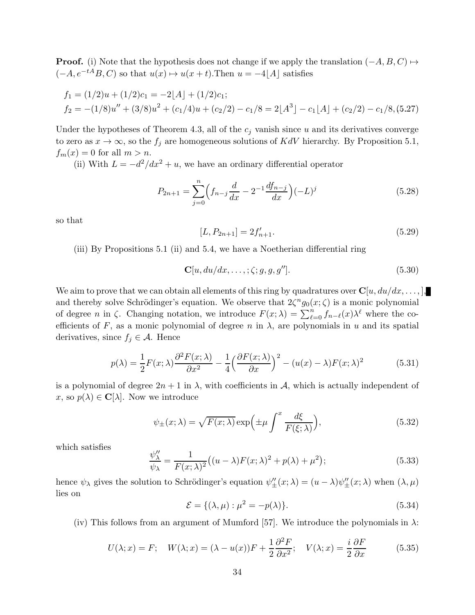**Proof.** (i) Note that the hypothesis does not change if we apply the translation  $(-A, B, C) \mapsto$  $(-A, e^{-tA}B, C)$  so that  $u(x) \mapsto u(x + t)$ . Then  $u = -4|A|$  satisfies

$$
f_1 = (1/2)u + (1/2)c_1 = -2[A] + (1/2)c_1;
$$
  
\n
$$
f_2 = -(1/8)u'' + (3/8)u^2 + (c_1/4)u + (c_2/2) - c_1/8 = 2[A^3] - c_1[A] + (c_2/2) - c_1/8, (5.27)
$$

Under the hypotheses of Theorem 4.3, all of the  $c_j$  vanish since u and its derivatives converge to zero as  $x \to \infty$ , so the  $f_j$  are homogeneous solutions of KdV hierarchy. By Proposition 5.1,  $f_m(x) = 0$  for all  $m > n$ .

(ii) With  $L = -d^2/dx^2 + u$ , we have an ordinary differential operator

$$
P_{2n+1} = \sum_{j=0}^{n} \left( f_{n-j} \frac{d}{dx} - 2^{-1} \frac{df_{n-j}}{dx} \right) (-L)^{j}
$$
(5.28)

so that

$$
[L, P_{2n+1}] = 2f'_{n+1}.
$$
\n(5.29)

(iii) By Propositions 5.1 (ii) and 5.4, we have a Noetherian differential ring

$$
\mathbf{C}[u, du/dx, \dots, ; \zeta; g, g, g''].
$$
\n
$$
(5.30)
$$

We aim to prove that we can obtain all elements of this ring by quadratures over  $\mathbf{C}[u, du/dx, \dots],$ and thereby solve Schrödinger's equation. We observe that  $2\zeta^{n}g_{0}(x;\zeta)$  is a monic polynomial of degree *n* in  $\zeta$ . Changing notation, we introduce  $F(x; \lambda) = \sum_{\ell=0}^{n} f_{n-\ell}(x) \lambda^{\ell}$  where the coefficients of F, as a monic polynomial of degree n in  $\lambda$ , are polynomials in u and its spatial derivatives, since  $f_i \in \mathcal{A}$ . Hence

$$
p(\lambda) = \frac{1}{2}F(x;\lambda)\frac{\partial^2 F(x;\lambda)}{\partial x^2} - \frac{1}{4}\left(\frac{\partial F(x;\lambda)}{\partial x}\right)^2 - (u(x)-\lambda)F(x;\lambda)^2
$$
(5.31)

is a polynomial of degree  $2n + 1$  in  $\lambda$ , with coefficients in A, which is actually independent of x, so  $p(\lambda) \in \mathbf{C}[\lambda]$ . Now we introduce

$$
\psi_{\pm}(x;\lambda) = \sqrt{F(x;\lambda)} \exp\left(\pm \mu \int^x \frac{d\xi}{F(\xi;\lambda)}\right),\tag{5.32}
$$

which satisfies

$$
\frac{\psi_{\lambda}^{\prime\prime}}{\psi_{\lambda}} = \frac{1}{F(x;\lambda)^2} \big( (u-\lambda)F(x;\lambda)^2 + p(\lambda) + \mu^2 \big);
$$
\n(5.33)

hence  $\psi_{\lambda}$  gives the solution to Schrödinger's equation  $\psi''_{\pm}(x;\lambda) = (u - \lambda)\psi''_{\pm}(x;\lambda)$  when  $(\lambda, \mu)$ lies on

$$
\mathcal{E} = \{ (\lambda, \mu) : \mu^2 = -p(\lambda) \}. \tag{5.34}
$$

(iv) This follows from an argument of Mumford [57]. We introduce the polynomials in  $\lambda$ :

$$
U(\lambda; x) = F; \quad W(\lambda; x) = (\lambda - u(x))F + \frac{1}{2}\frac{\partial^2 F}{\partial x^2}; \quad V(\lambda; x) = \frac{i}{2}\frac{\partial F}{\partial x}
$$
(5.35)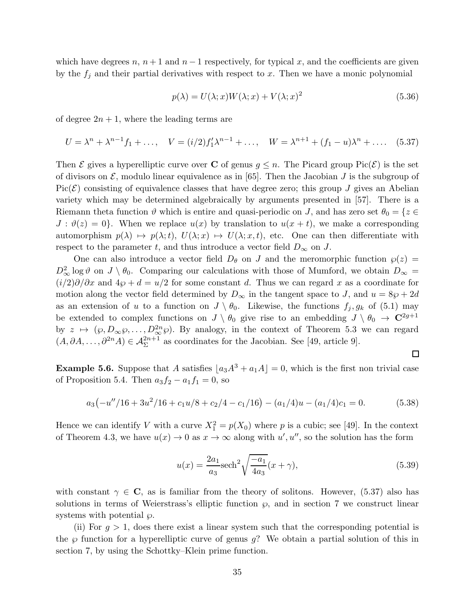which have degrees n,  $n + 1$  and  $n - 1$  respectively, for typical x, and the coefficients are given by the  $f_i$  and their partial derivatives with respect to x. Then we have a monic polynomial

$$
p(\lambda) = U(\lambda; x)W(\lambda; x) + V(\lambda; x)^{2}
$$
\n(5.36)

of degree  $2n + 1$ , where the leading terms are

$$
U = \lambda^{n} + \lambda^{n-1} f_1 + \dots, \quad V = (i/2) f'_1 \lambda^{n-1} + \dots, \quad W = \lambda^{n+1} + (f_1 - u)\lambda^{n} + \dots \quad (5.37)
$$

Then  $\mathcal E$  gives a hyperelliptic curve over C of genus  $g \leq n$ . The Picard group Pic( $\mathcal E$ ) is the set of divisors on  $\mathcal{E}$ , modulo linear equivalence as in [65]. Then the Jacobian J is the subgroup of  $Pic(\mathcal{E})$  consisting of equivalence classes that have degree zero; this group J gives an Abelian variety which may be determined algebraically by arguments presented in [57]. There is a Riemann theta function  $\vartheta$  which is entire and quasi-periodic on J, and has zero set  $\theta_0 = \{z \in$  $J : \vartheta(z) = 0$ . When we replace  $u(x)$  by translation to  $u(x + t)$ , we make a corresponding automorphism  $p(\lambda) \mapsto p(\lambda; t), U(\lambda; x) \mapsto U(\lambda; x, t)$ , etc. One can then differentiate with respect to the parameter t, and thus introduce a vector field  $D_{\infty}$  on J.

One can also introduce a vector field  $D_{\theta}$  on J and the meromorphic function  $\varphi(z)$  =  $D_{\infty}^2$  log  $\vartheta$  on  $J \setminus \theta_0$ . Comparing our calculations with those of Mumford, we obtain  $D_{\infty} =$  $(i/2)\partial/\partial x$  and  $4\wp + d = u/2$  for some constant d. Thus we can regard x as a coordinate for motion along the vector field determined by  $D_{\infty}$  in the tangent space to J, and  $u = 8\wp + 2d$ as an extension of u to a function on  $J \setminus \theta_0$ . Likewise, the functions  $f_j, g_k$  of (5.1) may be extended to complex functions on  $J \setminus \theta_0$  give rise to an embedding  $J \setminus \theta_0 \to \mathbb{C}^{2g+1}$ by  $z \mapsto (\varphi, D_{\infty}\varphi, \ldots, D_{\infty}^{2n}\varphi)$ . By analogy, in the context of Theorem 5.3 we can regard  $(A, \partial A, \dots, \partial^{2n} A) \in \mathcal{A}_{\Sigma}^{2n+1}$  as coordinates for the Jacobian. See [49, article 9].

 $\Box$ 

**Example 5.6.** Suppose that A satisfies  $|a_3A^3 + a_1A| = 0$ , which is the first non trivial case of Proposition 5.4. Then  $a_3f_2 - a_1f_1 = 0$ , so

$$
a_3\left(-u''/16+3u^2/16+c_1u/8+c_2/4-c_1/16\right)-(a_1/4)u-(a_1/4)c_1=0.\tag{5.38}
$$

Hence we can identify V with a curve  $X_1^2 = p(X_0)$  where p is a cubic; see [49]. In the context of Theorem 4.3, we have  $u(x) \to 0$  as  $x \to \infty$  along with  $u', u''$ , so the solution has the form

$$
u(x) = \frac{2a_1}{a_3} \text{sech}^2 \sqrt{\frac{-a_1}{4a_3}} (x + \gamma), \tag{5.39}
$$

with constant  $\gamma \in \mathbb{C}$ , as is familiar from the theory of solitons. However, (5.37) also has solutions in terms of Weierstrass's elliptic function  $\wp$ , and in section 7 we construct linear systems with potential  $\wp$ .

(ii) For  $g > 1$ , does there exist a linear system such that the corresponding potential is the  $\wp$  function for a hyperelliptic curve of genus g? We obtain a partial solution of this in section 7, by using the Schottky–Klein prime function.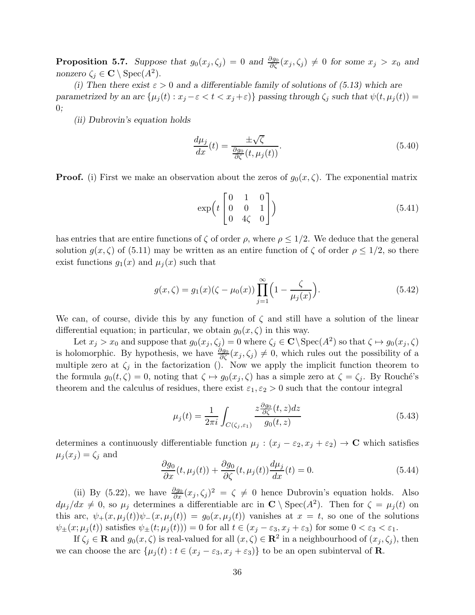**Proposition 5.7.** Suppose that  $g_0(x_j, \zeta_j) = 0$  and  $\frac{\partial g_0}{\partial \zeta}(x_j, \zeta_j) \neq 0$  for some  $x_j > x_0$  and nonzero  $\zeta_j \in \mathbf{C} \setminus \text{Spec}(A^2)$ .

(i) Then there exist  $\varepsilon > 0$  and a differentiable family of solutions of (5.13) which are parametrized by an arc  $\{\mu_j(t) : x_j - \varepsilon < t < x_j + \varepsilon\}$  passing through  $\zeta_j$  such that  $\psi(t, \mu_j(t)) =$  $0;$ 

(ii) Dubrovin's equation holds

$$
\frac{d\mu_j}{dx}(t) = \frac{\pm\sqrt{\zeta}}{\frac{\partial g_0}{\partial \zeta}(t, \mu_j(t))}.
$$
\n(5.40)

**Proof.** (i) First we make an observation about the zeros of  $g_0(x, \zeta)$ . The exponential matrix

$$
\exp\left(t\begin{bmatrix}0&1&0\\0&0&1\\0&4\zeta&0\end{bmatrix}\right) \tag{5.41}
$$

has entries that are entire functions of  $\zeta$  of order  $\rho$ , where  $\rho \leq 1/2$ . We deduce that the general solution  $g(x,\zeta)$  of (5.11) may be written as an entire function of  $\zeta$  of order  $\rho \leq 1/2$ , so there exist functions  $g_1(x)$  and  $\mu_i(x)$  such that

$$
g(x,\zeta) = g_1(x)(\zeta - \mu_0(x)) \prod_{j=1}^{\infty} \left(1 - \frac{\zeta}{\mu_j(x)}\right).
$$
 (5.42)

We can, of course, divide this by any function of  $\zeta$  and still have a solution of the linear differential equation; in particular, we obtain  $g_0(x, \zeta)$  in this way.

Let  $x_j > x_0$  and suppose that  $g_0(x_j, \zeta_j) = 0$  where  $\zeta_j \in \mathbf{C} \backslash \operatorname{Spec}(A^2)$  so that  $\zeta \mapsto g_0(x_j, \zeta)$ is holomorphic. By hypothesis, we have  $\frac{\partial g_0}{\partial \zeta}(x_j, \zeta_j) \neq 0$ , which rules out the possibility of a multiple zero at  $\zeta_j$  in the factorization (). Now we apply the implicit function theorem to the formula  $g_0(t, \zeta) = 0$ , noting that  $\zeta \mapsto g_0(x_j, \zeta)$  has a simple zero at  $\zeta = \zeta_j$ . By Rouché's theorem and the calculus of residues, there exist  $\varepsilon_1, \varepsilon_2 > 0$  such that the contour integral

$$
\mu_j(t) = \frac{1}{2\pi i} \int_{C(\zeta_j, \varepsilon_1)} \frac{z \frac{\partial g_0}{\partial \zeta}(t, z) dz}{g_0(t, z)}
$$
(5.43)

determines a continuously differentiable function  $\mu_j : (x_j - \varepsilon_2, x_j + \varepsilon_2) \to \mathbb{C}$  which satisfies  $\mu_j(x_j) = \zeta_j$  and

$$
\frac{\partial g_0}{\partial x}(t, \mu_j(t)) + \frac{\partial g_0}{\partial \zeta}(t, \mu_j(t)) \frac{d\mu_j}{dx}(t) = 0.
$$
\n(5.44)

(ii) By (5.22), we have  $\frac{\partial g_0}{\partial x}(x_j, \zeta_j)^2 = \zeta \neq 0$  hence Dubrovin's equation holds. Also  $d\mu_j/dx \neq 0$ , so  $\mu_j$  determines a differentiable arc in  $\mathbb{C} \setminus \text{Spec}(A^2)$ . Then for  $\zeta = \mu_j(t)$  on this arc,  $\psi_+(x,\mu_i(t))\psi_-(x,\mu_i(t)) = g_0(x,\mu_i(t))$  vanishes at  $x = t$ , so one of the solutions  $\psi_{\pm}(x;\mu_j(t))$  satisfies  $\psi_{\pm}(t;\mu_j(t))) = 0$  for all  $t \in (x_j - \varepsilon_3, x_j + \varepsilon_3)$  for some  $0 < \varepsilon_3 < \varepsilon_1$ .

If  $\zeta_j \in \mathbf{R}$  and  $g_0(x,\zeta)$  is real-valued for all  $(x,\zeta) \in \mathbf{R}^2$  in a neighbourhood of  $(x_j,\zeta_j)$ , then we can choose the arc  $\{\mu_j(t): t \in (x_j - \varepsilon_3, x_j + \varepsilon_3)\}\)$  to be an open subinterval of **R**.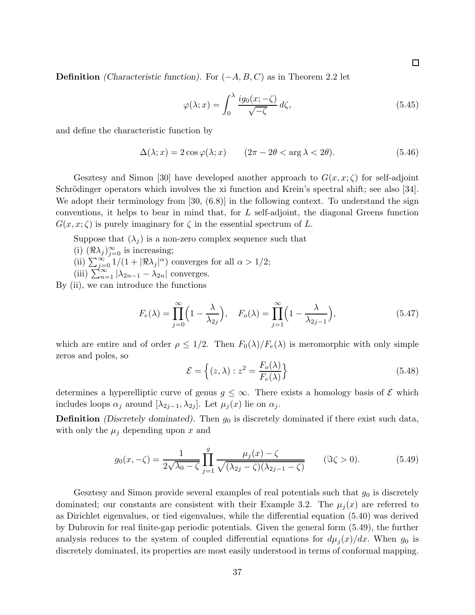**Definition** (Characteristic function). For  $(-A, B, C)$  as in Theorem 2.2 let

$$
\varphi(\lambda; x) = \int_0^\lambda \frac{ig_0(x; -\zeta)}{\sqrt{-\zeta}} d\zeta,\tag{5.45}
$$

and define the characteristic function by

$$
\Delta(\lambda; x) = 2\cos\varphi(\lambda; x) \qquad (2\pi - 2\theta < \arg\lambda < 2\theta). \tag{5.46}
$$

Gesztesy and Simon [30] have developed another approach to  $G(x, x; \zeta)$  for self-adjoint Schrödinger operators which involves the xi function and Krein's spectral shift; see also [34]. We adopt their terminology from [30,  $(6.8)$ ] in the following context. To understand the sign conventions, it helps to bear in mind that, for L self-adjoint, the diagonal Greens function  $G(x, x; \zeta)$  is purely imaginary for  $\zeta$  in the essential spectrum of L.

Suppose that  $(\lambda_i)$  is a non-zero complex sequence such that

- (i)  $(\Re \lambda_j)_{j=0}^{\infty}$  is increasing;
- (ii)  $\sum_{j=0}^{\infty} 1/(1+|\Re\lambda_j|^{\alpha})$  converges for all  $\alpha > 1/2$ ;
- (iii)  $\sum_{n=1}^{\infty} |\lambda_{2n-1} \lambda_{2n}|$  converges.

By (ii), we can introduce the functions

$$
F_e(\lambda) = \prod_{j=0}^{\infty} \left( 1 - \frac{\lambda}{\lambda_{2j}} \right), \quad F_o(\lambda) = \prod_{j=1}^{\infty} \left( 1 - \frac{\lambda}{\lambda_{2j-1}} \right), \tag{5.47}
$$

which are entire and of order  $\rho \leq 1/2$ . Then  $F_0(\lambda)/F_e(\lambda)$  is meromorphic with only simple zeros and poles, so

$$
\mathcal{E} = \left\{ (z, \lambda) : z^2 = \frac{F_o(\lambda)}{F_e(\lambda)} \right\}
$$
\n(5.48)

determines a hyperelliptic curve of genus  $g \leq \infty$ . There exists a homology basis of  $\mathcal E$  which includes loops  $\alpha_j$  around  $[\lambda_{2j-1}, \lambda_{2j}]$ . Let  $\mu_j(x)$  lie on  $\alpha_j$ .

**Definition** (Discretely dominated). Then  $g_0$  is discretely dominated if there exist such data, with only the  $\mu_j$  depending upon x and

$$
g_0(x, -\zeta) = \frac{1}{2\sqrt{\lambda_0 - \zeta}} \prod_{j=1}^g \frac{\mu_j(x) - \zeta}{\sqrt{(\lambda_{2j} - \zeta)(\lambda_{2j-1} - \zeta)}} \qquad (\Im \zeta > 0). \tag{5.49}
$$

Gesztesy and Simon provide several examples of real potentials such that  $g_0$  is discretely dominated; our constants are consistent with their Example 3.2. The  $\mu_i(x)$  are referred to as Dirichlet eigenvalues, or tied eigenvalues, while the differential equation (5.40) was derived by Dubrovin for real finite-gap periodic potentials. Given the general form (5.49), the further analysis reduces to the system of coupled differential equations for  $d\mu_i(x)/dx$ . When  $g_0$  is discretely dominated, its properties are most easily understood in terms of conformal mapping.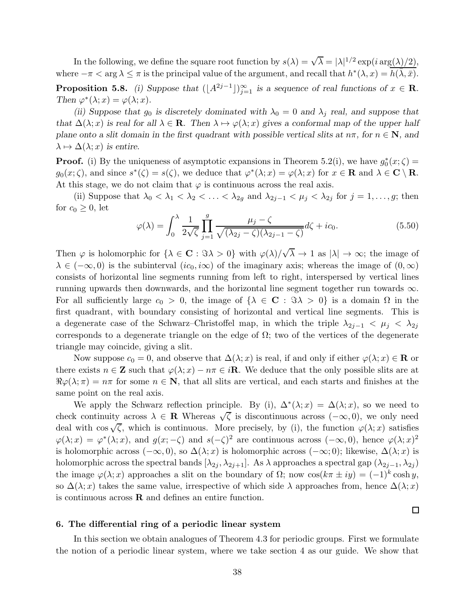In the following, we define the square root function by  $s(\lambda) = \sqrt{\lambda} = |\lambda|^{1/2} \exp(i \arg(\lambda)/2)$ , where  $-\pi < \arg \lambda \leq \pi$  is the principal value of the argument, and recall that  $h^*(\lambda, x) = \overline{h(\bar{\lambda}, \bar{x})}$ .

**Proposition 5.8.** (i) Suppose that  $(\lfloor A^{2j-1} \rfloor)_{j=1}^{\infty}$  is a sequence of real functions of  $x \in \mathbb{R}$ . Then  $\varphi^*(\lambda; x) = \varphi(\lambda; x)$ .

(ii) Suppose that  $g_0$  is discretely dominated with  $\lambda_0 = 0$  and  $\lambda_j$  real, and suppose that that  $\Delta(\lambda; x)$  is real for all  $\lambda \in \mathbf{R}$ . Then  $\lambda \mapsto \varphi(\lambda; x)$  gives a conformal map of the upper half plane onto a slit domain in the first quadrant with possible vertical slits at  $n\pi$ , for  $n \in \mathbb{N}$ , and  $\lambda \mapsto \Delta(\lambda; x)$  is entire.

**Proof.** (i) By the uniqueness of asymptotic expansions in Theorem 5.2(i), we have  $g_0^*(x;\zeta)$  =  $g_0(x;\zeta)$ , and since  $s^*(\zeta) = s(\zeta)$ , we deduce that  $\varphi^*(\lambda;x) = \varphi(\lambda;x)$  for  $x \in \mathbf{R}$  and  $\lambda \in \mathbf{C} \setminus \mathbf{R}$ . At this stage, we do not claim that  $\varphi$  is continuous across the real axis.

(ii) Suppose that  $\lambda_0 < \lambda_1 < \lambda_2 < \ldots < \lambda_{2g}$  and  $\lambda_{2j-1} < \mu_j < \lambda_{2j}$  for  $j = 1, \ldots, g$ ; then for  $c_0 \geq 0$ , let

$$
\varphi(\lambda) = \int_0^{\lambda} \frac{1}{2\sqrt{\zeta}} \prod_{j=1}^g \frac{\mu_j - \zeta}{\sqrt{(\lambda_{2j} - \zeta)(\lambda_{2j-1} - \zeta)}} d\zeta + ic_0.
$$
 (5.50)

Then  $\varphi$  is holomorphic for  $\{\lambda \in \mathbf{C} : \Im \lambda > 0\}$  with  $\varphi(\lambda)/\sqrt{\lambda} \to 1$  as  $|\lambda| \to \infty$ ; the image of  $\lambda \in (-\infty, 0)$  is the subinterval  $(ic_0, i\infty)$  of the imaginary axis; whereas the image of  $(0, \infty)$ consists of horizontal line segments running from left to right, interspersed by vertical lines running upwards then downwards, and the horizontal line segment together run towards  $\infty$ . For all sufficiently large  $c_0 > 0$ , the image of  $\{\lambda \in \mathbb{C} : \Im \lambda > 0\}$  is a domain  $\Omega$  in the first quadrant, with boundary consisting of horizontal and vertical line segments. This is a degenerate case of the Schwarz–Christoffel map, in which the triple  $\lambda_{2j-1} < \mu_j < \lambda_{2j}$ corresponds to a degenerate triangle on the edge of  $\Omega$ ; two of the vertices of the degenerate triangle may coincide, giving a slit.

Now suppose  $c_0 = 0$ , and observe that  $\Delta(\lambda; x)$  is real, if and only if either  $\varphi(\lambda; x) \in \mathbf{R}$  or there exists  $n \in \mathbb{Z}$  such that  $\varphi(\lambda; x) - n\pi \in i\mathbb{R}$ . We deduce that the only possible slits are at  $\Re \varphi(\lambda;\pi) = n\pi$  for some  $n \in \mathbb{N}$ , that all slits are vertical, and each starts and finishes at the same point on the real axis.

We apply the Schwarz reflection principle. By (i),  $\Delta^*(\lambda; x) = \Delta(\lambda; x)$ , so we need to check continuity across  $\lambda \in \mathbf{R}$  Whereas  $\sqrt{\zeta}$  is discontinuous across  $(-\infty, 0)$ , we only need deal with  $\cos \sqrt{\zeta}$ , which is continuous. More precisely, by (i), the function  $\varphi(\lambda; x)$  satisfies  $\varphi(\lambda; x) = \varphi^*(\lambda; x)$ , and  $g(x; -\zeta)$  and  $s(-\zeta)^2$  are continuous across  $(-\infty, 0)$ , hence  $\varphi(\lambda; x)^2$ is holomorphic across  $(-\infty, 0)$ , so  $\Delta(\lambda; x)$  is holomorphic across  $(-\infty; 0)$ ; likewise,  $\Delta(\lambda; x)$  is holomorphic across the spectral bands  $[\lambda_{2i}, \lambda_{2i+1}]$ . As  $\lambda$  approaches a spectral gap  $(\lambda_{2i-1}, \lambda_{2i})$ the image  $\varphi(\lambda; x)$  approaches a slit on the boundary of  $\Omega$ ; now  $\cos(k\pi \pm iy) = (-1)^k \cosh y$ , so  $\Delta(\lambda; x)$  takes the same value, irrespective of which side  $\lambda$  approaches from, hence  $\Delta(\lambda; x)$ is continuous across  $\bf{R}$  and defines an entire function.

 $\Box$ 

## 6. The differential ring of a periodic linear system

In this section we obtain analogues of Theorem 4.3 for periodic groups. First we formulate the notion of a periodic linear system, where we take section 4 as our guide. We show that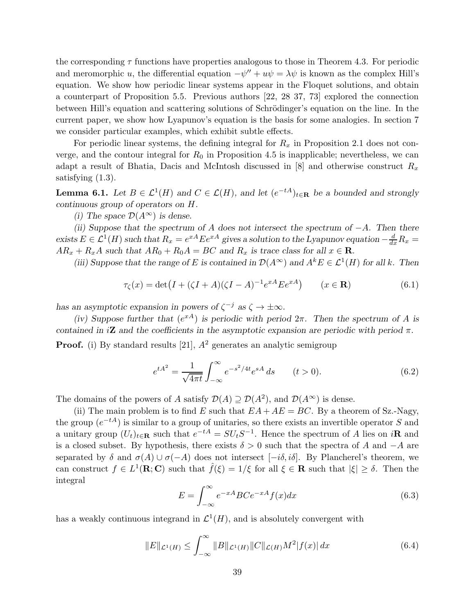the corresponding  $\tau$  functions have properties analogous to those in Theorem 4.3. For periodic and meromorphic u, the differential equation  $-\psi'' + u\psi = \lambda\psi$  is known as the complex Hill's equation. We show how periodic linear systems appear in the Floquet solutions, and obtain a counterpart of Proposition 5.5. Previous authors [22, 28 37, 73] explored the connection between Hill's equation and scattering solutions of Schrödinger's equation on the line. In the current paper, we show how Lyapunov's equation is the basis for some analogies. In section 7 we consider particular examples, which exhibit subtle effects.

For periodic linear systems, the defining integral for  $R_x$  in Proposition 2.1 does not converge, and the contour integral for  $R_0$  in Proposition 4.5 is inapplicable; nevertheless, we can adapt a result of Bhatia, Dacis and McIntosh discussed in [8] and otherwise construct  $R_x$ satisfying (1.3).

**Lemma 6.1.** Let  $B \in \mathcal{L}^1(H)$  and  $C \in \mathcal{L}(H)$ , and let  $(e^{-tA})_{t \in \mathbf{R}}$  be a bounded and strongly continuous group of operators on H.

(i) The space  $\mathcal{D}(A^{\infty})$  is dense.

(ii) Suppose that the spectrum of A does not intersect the spectrum of  $-A$ . Then there exists  $E \in \mathcal{L}^1(H)$  such that  $R_x = e^{xA} E e^{xA}$  gives a solution to the Lyapunov equation  $-\frac{d}{dx}R_x =$  $AR_x + R_xA$  such that  $AR_0 + R_0A = BC$  and  $R_x$  is trace class for all  $x \in \mathbb{R}$ .

(iii) Suppose that the range of E is contained in  $\mathcal{D}(A^{\infty})$  and  $A^k E \in \mathcal{L}^1(H)$  for all k. Then

$$
\tau_{\zeta}(x) = \det(I + (\zeta I + A)(\zeta I - A)^{-1} e^{xA} E e^{xA}) \qquad (x \in \mathbf{R})
$$
 (6.1)

has an asymptotic expansion in powers of  $\zeta^{-j}$  as  $\zeta \to \pm \infty$ .

(iv) Suppose further that  $(e^{xA})$  is periodic with period  $2\pi$ . Then the spectrum of A is contained in  $i\mathbf{Z}$  and the coefficients in the asymptotic expansion are periodic with period  $\pi$ . **Proof.** (i) By standard results [21],  $A^2$  generates an analytic semigroup

$$
e^{tA^2} = \frac{1}{\sqrt{4\pi t}} \int_{-\infty}^{\infty} e^{-s^2/4t} e^{sA} ds \qquad (t > 0).
$$
 (6.2)

The domains of the powers of A satisfy  $\mathcal{D}(A) \supseteq \mathcal{D}(A^2)$ , and  $\mathcal{D}(A^{\infty})$  is dense.

(ii) The main problem is to find E such that  $EA + AE = BC$ . By a theorem of Sz.-Nagy, the group  $(e^{-tA})$  is similar to a group of unitaries, so there exists an invertible operator S and a unitary group  $(U_t)_{t\in\mathbf{R}}$  such that  $e^{-tA} = SU_tS^{-1}$ . Hence the spectrum of A lies on iR and is a closed subset. By hypothesis, there exists  $\delta > 0$  such that the spectra of A and  $-A$  are separated by  $\delta$  and  $\sigma(A) \cup \sigma(-A)$  does not intersect  $[-i\delta, i\delta]$ . By Plancherel's theorem, we can construct  $f \in L^1(\mathbf{R}; \mathbf{C})$  such that  $\hat{f}(\xi) = 1/\xi$  for all  $\xi \in \mathbf{R}$  such that  $|\xi| \geq \delta$ . Then the integral

$$
E = \int_{-\infty}^{\infty} e^{-xA} BC e^{-xA} f(x) dx
$$
\n(6.3)

has a weakly continuous integrand in  $\mathcal{L}^1(H)$ , and is absolutely convergent with

$$
||E||_{\mathcal{L}^{1}(H)} \leq \int_{-\infty}^{\infty} ||B||_{\mathcal{L}^{1}(H)} ||C||_{\mathcal{L}(H)} M^{2} |f(x)| dx \qquad (6.4)
$$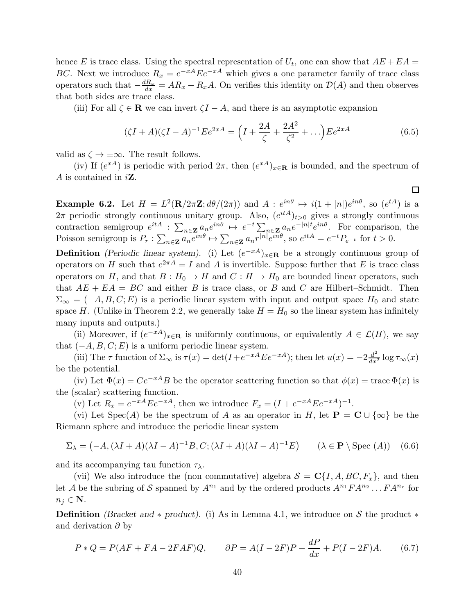hence E is trace class. Using the spectral representation of  $U_t$ , one can show that  $AE + EA =$ BC. Next we introduce  $R_x = e^{-xA} E e^{-xA}$  which gives a one parameter family of trace class operators such that  $-\frac{dR_x}{dx} = AR_x + R_xA$ . On verifies this identity on  $\mathcal{D}(A)$  and then observes that both sides are trace class.

(iii) For all  $\zeta \in \mathbf{R}$  we can invert  $\zeta I - A$ , and there is an asymptotic expansion

$$
(\zeta I + A)(\zeta I - A)^{-1} E e^{2xA} = \left(I + \frac{2A}{\zeta} + \frac{2A^2}{\zeta^2} + \ldots\right) E e^{2xA}
$$
(6.5)

valid as  $\zeta \to \pm \infty$ . The result follows.

(iv) If  $(e^{xA})$  is periodic with period  $2\pi$ , then  $(e^{xA})_{x\in\mathbf{R}}$  is bounded, and the spectrum of A is contained in  $i\mathbf{Z}$ .

**Example 6.2.** Let  $H = L^2(\mathbf{R}/2\pi\mathbf{Z}; d\theta/(2\pi))$  and  $A: e^{in\theta} \mapsto i(1+|n|)e^{in\theta}$ , so  $(e^{tA})$  is a  $2\pi$  periodic strongly continuous unitary group. Also,  $(e^{itA})_{t>0}$  gives a strongly continuous contraction semigroup  $e^{itA}$  :  $\sum_{n\in \mathbf{Z}} a_n e^{in\theta} \mapsto e^{-t} \sum_{n\in \mathbf{Z}} a_n e^{-|n|t} e^{in\theta}$ . For comparison, the Poisson semigroup is  $P_r: \sum_{n\in\mathbf{Z}} a_n e^{in\theta} \mapsto \sum_{n\in\mathbf{Z}} a_n r^{|n|} e^{in\theta}$ , so  $e^{itA} = e^{-t} P_{e^{-t}}$  for  $t > 0$ .

**Definition** (Periodic linear system). (i) Let  $(e^{-xA})_{x\in\mathbf{R}}$  be a strongly continuous group of operators on H such that  $e^{2\pi A} = I$  and A is invertible. Suppose further that E is trace class operators on H, and that  $B: H_0 \to H$  and  $C: H \to H_0$  are bounded linear operators, such that  $AE + EA = BC$  and either B is trace class, or B and C are Hilbert–Schmidt. Then  $\Sigma_{\infty} = (-A, B, C; E)$  is a periodic linear system with input and output space  $H_0$  and state space H. (Unlike in Theorem 2.2, we generally take  $H = H_0$  so the linear system has infinitely many inputs and outputs.)

(ii) Moreover, if  $(e^{-xA})_{x\in\mathbf{R}}$  is uniformly continuous, or equivalently  $A \in \mathcal{L}(H)$ , we say that  $(-A, B, C; E)$  is a uniform periodic linear system.

(iii) The  $\tau$  function of  $\Sigma_{\infty}$  is  $\tau(x) = \det(I + e^{-xA} E e^{-xA})$ ; then let  $u(x) = -2\frac{d^2}{dx^2} \log \tau_{\infty}(x)$ be the potential.

(iv) Let  $\Phi(x) = Ce^{-xA}B$  be the operator scattering function so that  $\phi(x) = \text{trace }\Phi(x)$  is the (scalar) scattering function.

(v) Let  $R_x = e^{-xA} E e^{-xA}$ , then we introduce  $F_x = (I + e^{-xA} E e^{-xA})^{-1}$ .

(vi) Let Spec(A) be the spectrum of A as an operator in H, let  $\mathbf{P} = \mathbf{C} \cup \{\infty\}$  be the Riemann sphere and introduce the periodic linear system

$$
\Sigma_{\lambda} = (-A, (\lambda I + A)(\lambda I - A)^{-1}B, C; (\lambda I + A)(\lambda I - A)^{-1}E) \qquad (\lambda \in \mathbf{P} \setminus \text{Spec} \ (A)) \quad (6.6)
$$

and its accompanying tau function  $\tau_{\lambda}$ .

(vii) We also introduce the (non commutative) algebra  $S = \mathbf{C}{I, A, BC, F_x}$ , and then let A be the subring of S spanned by  $A^{n_1}$  and by the ordered products  $A^{n_1}FA^{n_2} \dots FA^{n_r}$  for  $n_j \in \mathbf{N}$ .

**Definition** (Bracket and \* product). (i) As in Lemma 4.1, we introduce on S the product \* and derivation  $\partial$  by

$$
P * Q = P(AF + FA - 2FAF)Q, \qquad \partial P = A(I - 2F)P + \frac{dP}{dx} + P(I - 2F)A. \tag{6.7}
$$

 $\Box$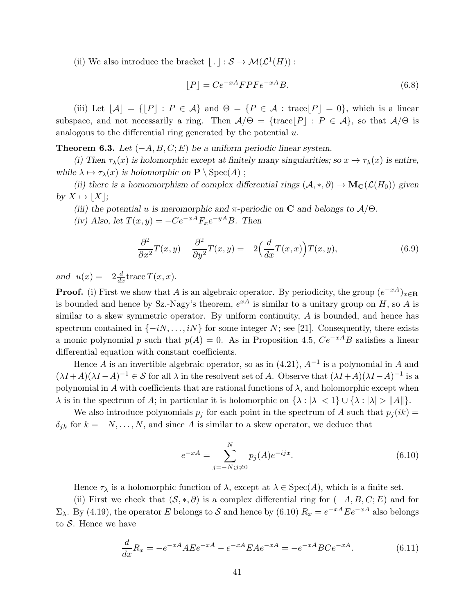(ii) We also introduce the bracket  $\lfloor . \rfloor : \mathcal{S} \to \mathcal{M}(\mathcal{L}^1(H))$ :

$$
[P] = Ce^{-xA} F P F e^{-xA} B. \tag{6.8}
$$

(iii) Let  $|A| = \{|P| : P \in A\}$  and  $\Theta = \{P \in A : \text{trace}|P| = 0\}$ , which is a linear subspace, and not necessarily a ring. Then  $A/\Theta = {\text{trace}}|P| : P \in A$ , so that  $A/\Theta$  is analogous to the differential ring generated by the potential  $u$ .

**Theorem 6.3.** Let  $(-A, B, C; E)$  be a uniform periodic linear system.

(i) Then  $\tau_{\lambda}(x)$  is holomorphic except at finitely many singularities; so  $x \mapsto \tau_{\lambda}(x)$  is entire, while  $\lambda \mapsto \tau_{\lambda}(x)$  is holomorphic on  $\mathbf{P} \setminus \text{Spec}(A)$ ;

(ii) there is a homomorphism of complex differential rings  $(A, *, \partial) \to M_{\mathbb{C}}(\mathcal{L}(H_0))$  given by  $X \mapsto |X|$ ;

(iii) the potential u is meromorphic and  $\pi$ -periodic on **C** and belongs to  $\mathcal{A}/\Theta$ .

(iv) Also, let  $T(x, y) = -Ce^{-xA}F_xe^{-yA}B$ . Then

$$
\frac{\partial^2}{\partial x^2}T(x,y) - \frac{\partial^2}{\partial y^2}T(x,y) = -2\left(\frac{d}{dx}T(x,x)\right)T(x,y),\tag{6.9}
$$

and  $u(x) = -2\frac{d}{dx}$ trace  $T(x, x)$ .

**Proof.** (i) First we show that A is an algebraic operator. By periodicity, the group  $(e^{-xA})_{x \in \mathbf{R}}$ is bounded and hence by Sz.-Nagy's theorem,  $e^{xA}$  is similar to a unitary group on H, so A is similar to a skew symmetric operator. By uniform continuity, A is bounded, and hence has spectrum contained in  $\{-iN, \ldots, iN\}$  for some integer N; see [21]. Consequently, there exists a monic polynomial p such that  $p(A) = 0$ . As in Proposition 4.5,  $Ce^{-xA}B$  satisfies a linear differential equation with constant coefficients.

Hence A is an invertible algebraic operator, so as in  $(4.21)$ ,  $A^{-1}$  is a polynomial in A and  $(\lambda I + A)(\lambda I - A)^{-1} \in \mathcal{S}$  for all  $\lambda$  in the resolvent set of A. Observe that  $(\lambda I + A)(\lambda I - A)^{-1}$  is a polynomial in A with coefficients that are rational functions of  $\lambda$ , and holomorphic except when  $\lambda$  is in the spectrum of A; in particular it is holomorphic on  $\{\lambda : |\lambda| < 1\} \cup \{\lambda : |\lambda| > \|A\|\}.$ 

We also introduce polynomials  $p_j$  for each point in the spectrum of A such that  $p_j(ik)$  =  $\delta_{jk}$  for  $k = -N, \ldots, N$ , and since A is similar to a skew operator, we deduce that

$$
e^{-xA} = \sum_{j=-N;j\neq 0}^{N} p_j(A)e^{-ijx}.
$$
\n(6.10)

Hence  $\tau_{\lambda}$  is a holomorphic function of  $\lambda$ , except at  $\lambda \in \text{Spec}(A)$ , which is a finite set.

(ii) First we check that  $(S, *, \partial)$  is a complex differential ring for  $(-A, B, C; E)$  and for  $\Sigma_{\lambda}$ . By (4.19), the operator E belongs to S and hence by (6.10)  $R_x = e^{-xA} E e^{-xA}$  also belongs to  $S$ . Hence we have

$$
\frac{d}{dx}R_x = -e^{-xA}AEe^{-xA} - e^{-xA}EAe^{-xA} = -e^{-xA}BCe^{-xA}.
$$
\n(6.11)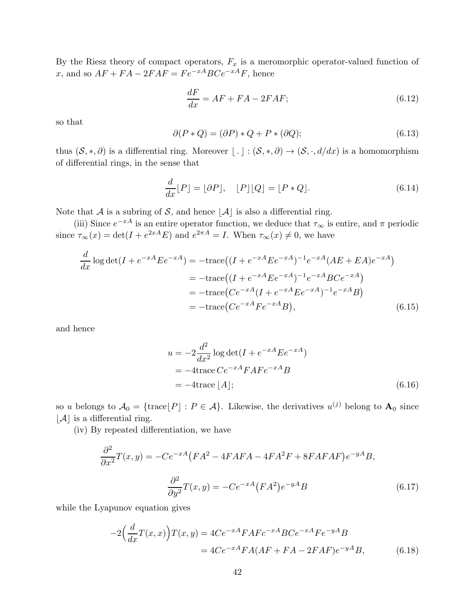By the Riesz theory of compact operators,  $F_x$  is a meromorphic operator-valued function of x, and so  $AF + FA - 2FAF = Fe^{-xA}BCe^{-xA}F$ , hence

$$
\frac{dF}{dx} = AF + FA - 2FAF;
$$
\n(6.12)

so that

$$
\partial(P * Q) = (\partial P) * Q + P * (\partial Q); \tag{6.13}
$$

thus  $(S, *, \partial)$  is a differential ring. Moreover  $\lfloor . \rfloor : (S, *, \partial) \to (S, \cdot, d/dx)$  is a homomorphism of differential rings, in the sense that

$$
\frac{d}{dx}[P] = [\partial P], \quad [P][Q] = [P * Q]. \tag{6.14}
$$

Note that A is a subring of S, and hence  $|\mathcal{A}|$  is also a differential ring.

(iii) Since  $e^{-xA}$  is an entire operator function, we deduce that  $\tau_{\infty}$  is entire, and  $\pi$  periodic since  $\tau_{\infty}(x) = \det(I + e^{2xA}E)$  and  $e^{2\pi A} = I$ . When  $\tau_{\infty}(x) \neq 0$ , we have

$$
\frac{d}{dx}\log\det(I + e^{-xA}Ee^{-xA}) = -\text{trace}((I + e^{-xA}Ee^{-xA})^{-1}e^{-xA}(AE + EA)e^{-xA})
$$

$$
= -\text{trace}((I + e^{-xA}Ee^{-xA})^{-1}e^{-xA}BCe^{-xA})
$$

$$
= -\text{trace}(Ce^{-xA}(I + e^{-xA}Ee^{-xA})^{-1}e^{-xA}B)
$$

$$
= -\text{trace}(Ce^{-xA}Fe^{-xA}B), \tag{6.15}
$$

and hence

$$
u = -2\frac{d^2}{dx^2}\log \det(I + e^{-xA}Ee^{-xA})
$$
  
= -4trace Ce^{-xA}FAFe^{-xA}B  
= -4trace [A]; (6.16)

so u belongs to  $A_0 = {\text{trace}}[P] : P \in A$ . Likewise, the derivatives  $u^{(j)}$  belong to  $A_0$  since  $|\mathcal{A}|$  is a differential ring.

(iv) By repeated differentiation, we have

$$
\frac{\partial^2}{\partial x^2}T(x,y) = -Ce^{-xA}(FA^2 - 4FAFA - 4FA^2F + 8FAFAF)e^{-yA}B,
$$

$$
\frac{\partial^2}{\partial y^2}T(x,y) = -Ce^{-xA}(FA^2)e^{-yA}B
$$
(6.17)

while the Lyapunov equation gives

$$
-2\left(\frac{d}{dx}T(x,x)\right)T(x,y) = 4Ce^{-xA}FAFc^{-xA}BCe^{-xA}Fe^{-yA}B
$$

$$
= 4Ce^{-xA}FA(AF + FA - 2FAF)e^{-yA}B,
$$
(6.18)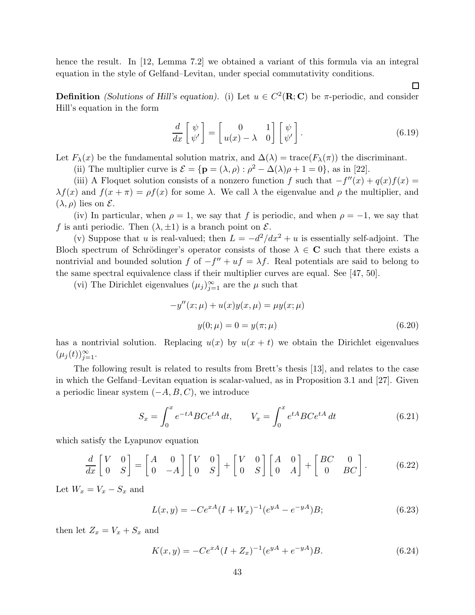hence the result. In [12, Lemma 7.2] we obtained a variant of this formula via an integral equation in the style of Gelfand–Levitan, under special commutativity conditions.

**Definition** (Solutions of Hill's equation). (i) Let  $u \in C^2(\mathbf{R}; \mathbf{C})$  be  $\pi$ -periodic, and consider Hill's equation in the form

$$
\frac{d}{dx}\begin{bmatrix} \psi \\ \psi' \end{bmatrix} = \begin{bmatrix} 0 & 1 \\ u(x) - \lambda & 0 \end{bmatrix} \begin{bmatrix} \psi \\ \psi' \end{bmatrix}.
$$
\n(6.19)

 $\Box$ 

Let  $F_\lambda(x)$  be the fundamental solution matrix, and  $\Delta(\lambda) = \text{trace}(F_\lambda(\pi))$  the discriminant.

(ii) The multiplier curve is  $\mathcal{E} = {\mathbf{p} = (\lambda, \rho) : \rho^2 - \Delta(\lambda)\rho + 1 = 0}$ , as in [22].

(iii) A Floquet solution consists of a nonzero function f such that  $-f''(x) + q(x)f(x) =$  $\lambda f(x)$  and  $f(x + \pi) = \rho f(x)$  for some  $\lambda$ . We call  $\lambda$  the eigenvalue and  $\rho$  the multiplier, and  $(\lambda, \rho)$  lies on  $\mathcal{E}$ .

(iv) In particular, when  $\rho = 1$ , we say that f is periodic, and when  $\rho = -1$ , we say that f is anti periodic. Then  $(\lambda, \pm 1)$  is a branch point on  $\mathcal{E}$ .

(v) Suppose that u is real-valued; then  $L = -d^2/dx^2 + u$  is essentially self-adjoint. The Bloch spectrum of Schrödinger's operator consists of those  $\lambda \in \mathbb{C}$  such that there exists a nontrivial and bounded solution f of  $-f'' + uf = \lambda f$ . Real potentials are said to belong to the same spectral equivalence class if their multiplier curves are equal. See [47, 50].

(vi) The Dirichlet eigenvalues  $(\mu_j)_{j=1}^{\infty}$  are the  $\mu$  such that

$$
-y''(x; \mu) + u(x)y(x, \mu) = \mu y(x; \mu)
$$
  

$$
y(0; \mu) = 0 = y(\pi; \mu)
$$
 (6.20)

has a nontrivial solution. Replacing  $u(x)$  by  $u(x + t)$  we obtain the Dirichlet eigenvalues  $(\mu_j(t))_{j=1}^{\infty}$ .

The following result is related to results from Brett's thesis [13], and relates to the case in which the Gelfand–Levitan equation is scalar-valued, as in Proposition 3.1 and [27]. Given a periodic linear system  $(-A, B, C)$ , we introduce

$$
S_x = \int_0^x e^{-tA} BC e^{tA} dt, \qquad V_x = \int_0^x e^{tA} BC e^{tA} dt \qquad (6.21)
$$

which satisfy the Lyapunov equation

$$
\frac{d}{dx}\begin{bmatrix} V & 0 \\ 0 & S \end{bmatrix} = \begin{bmatrix} A & 0 \\ 0 & -A \end{bmatrix} \begin{bmatrix} V & 0 \\ 0 & S \end{bmatrix} + \begin{bmatrix} V & 0 \\ 0 & S \end{bmatrix} \begin{bmatrix} A & 0 \\ 0 & A \end{bmatrix} + \begin{bmatrix} BC & 0 \\ 0 & BC \end{bmatrix}.
$$
 (6.22)

Let  $W_x = V_x - S_x$  and

$$
L(x,y) = -Ce^{xA}(I + W_x)^{-1}(e^{yA} - e^{-yA})B;
$$
\n(6.23)

then let  $Z_x = V_x + S_x$  and

$$
K(x,y) = -Ce^{xA}(I + Z_x)^{-1}(e^{yA} + e^{-yA})B.
$$
\n(6.24)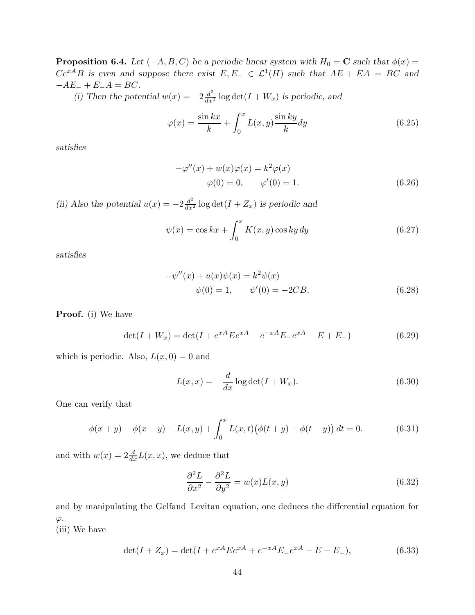**Proposition 6.4.** Let  $(-A, B, C)$  be a periodic linear system with  $H_0 = \mathbf{C}$  such that  $\phi(x) =$  $Ce^{xA}B$  is even and suppose there exist  $E, E_-\in \mathcal{L}^1(H)$  such that  $AE + EA = BC$  and  $-AE_- + E_-A = BC.$ 

(i) Then the potential  $w(x) = -2\frac{d^2}{dx^2} \log \det(I + W_x)$  is periodic, and

$$
\varphi(x) = \frac{\sin kx}{k} + \int_0^x L(x, y) \frac{\sin ky}{k} dy \qquad (6.25)
$$

satisfies

$$
-\varphi''(x) + w(x)\varphi(x) = k^2\varphi(x)
$$
  

$$
\varphi(0) = 0, \qquad \varphi'(0) = 1.
$$
 (6.26)

(ii) Also the potential  $u(x) = -2\frac{d^2}{dx^2} \log \det(I + Z_x)$  is periodic and

$$
\psi(x) = \cos kx + \int_0^x K(x, y) \cos ky \, dy \tag{6.27}
$$

satisfies

$$
-\psi''(x) + u(x)\psi(x) = k^2 \psi(x)
$$
  

$$
\psi(0) = 1, \qquad \psi'(0) = -2CB.
$$
 (6.28)

Proof. (i) We have

$$
\det(I + W_x) = \det(I + e^{xA} E e^{xA} - e^{-xA} E_{-} e^{xA} - E + E_{-})
$$
\n(6.29)

which is periodic. Also,  $L(x, 0) = 0$  and

$$
L(x,x) = -\frac{d}{dx}\log \det(I + W_x). \tag{6.30}
$$

One can verify that

$$
\phi(x+y) - \phi(x-y) + L(x,y) + \int_0^x L(x,t) (\phi(t+y) - \phi(t-y)) dt = 0.
$$
 (6.31)

and with  $w(x) = 2\frac{d}{dx}L(x, x)$ , we deduce that

$$
\frac{\partial^2 L}{\partial x^2} - \frac{\partial^2 L}{\partial y^2} = w(x)L(x, y)
$$
\n(6.32)

and by manipulating the Gelfand–Levitan equation, one deduces the differential equation for  $\varphi$ .

(iii) We have

$$
\det(I + Z_x) = \det(I + e^{xA} E e^{xA} + e^{-xA} E_{-} e^{xA} - E - E_{-}),
$$
\n(6.33)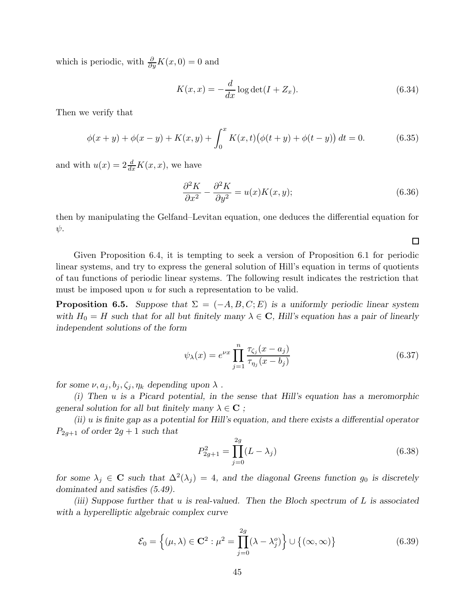which is periodic, with  $\frac{\partial}{\partial y}K(x,0) = 0$  and

$$
K(x,x) = -\frac{d}{dx}\log \det(I + Z_x). \tag{6.34}
$$

Then we verify that

$$
\phi(x+y) + \phi(x-y) + K(x,y) + \int_0^x K(x,t) (\phi(t+y) + \phi(t-y)) dt = 0.
$$
 (6.35)

and with  $u(x) = 2\frac{d}{dx}K(x, x)$ , we have

$$
\frac{\partial^2 K}{\partial x^2} - \frac{\partial^2 K}{\partial y^2} = u(x)K(x, y); \tag{6.36}
$$

then by manipulating the Gelfand–Levitan equation, one deduces the differential equation for  $\psi$ .

Given Proposition 6.4, it is tempting to seek a version of Proposition 6.1 for periodic linear systems, and try to express the general solution of Hill's equation in terms of quotients of tau functions of periodic linear systems. The following result indicates the restriction that must be imposed upon  $u$  for such a representation to be valid.

**Proposition 6.5.** Suppose that  $\Sigma = (-A, B, C; E)$  is a uniformly periodic linear system with  $H_0 = H$  such that for all but finitely many  $\lambda \in \mathbb{C}$ , Hill's equation has a pair of linearly independent solutions of the form

$$
\psi_{\lambda}(x) = e^{\nu x} \prod_{j=1}^{n} \frac{\tau_{\zeta_j}(x - a_j)}{\tau_{\eta_j}(x - b_j)}
$$
(6.37)

for some  $\nu, a_j, b_j, \zeta_j, \eta_k$  depending upon  $\lambda$ .

(i) Then u is a Picard potential, in the sense that Hill's equation has a meromorphic general solution for all but finitely many  $\lambda \in \mathbb{C}$ ;

(ii) u is finite gap as a potential for Hill's equation, and there exists a differential operator  $P_{2g+1}$  of order  $2g+1$  such that

$$
P_{2g+1}^2 = \prod_{j=0}^{2g} (L - \lambda_j)
$$
 (6.38)

for some  $\lambda_j \in \mathbb{C}$  such that  $\Delta^2(\lambda_j) = 4$ , and the diagonal Greens function  $g_0$  is discretely dominated and satisfies (5.49).

(iii) Suppose further that u is real-valued. Then the Bloch spectrum of  $L$  is associated with a hyperelliptic algebraic complex curve

$$
\mathcal{E}_0 = \left\{ (\mu, \lambda) \in \mathbf{C}^2 : \mu^2 = \prod_{j=0}^{2g} (\lambda - \lambda_j^o) \right\} \cup \left\{ (\infty, \infty) \right\}
$$
 (6.39)

 $\Box$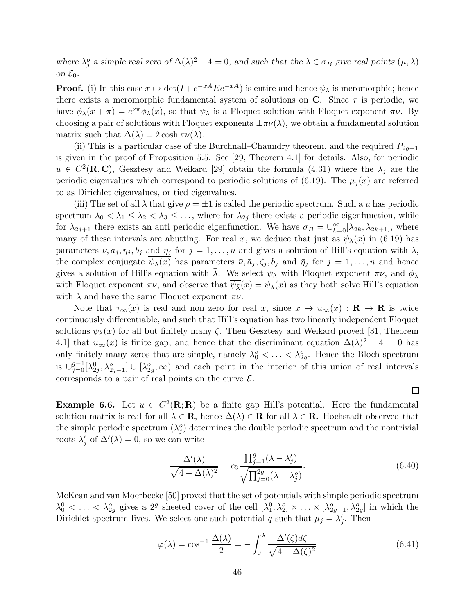where  $\lambda_j^o$  a simple real zero of  $\Delta(\lambda)^2 - 4 = 0$ , and such that the  $\lambda \in \sigma_B$  give real points  $(\mu, \lambda)$ on  $\mathcal{E}_0$ .

**Proof.** (i) In this case  $x \mapsto \det(I + e^{-xA} E e^{-xA})$  is entire and hence  $\psi_{\lambda}$  is meromorphic; hence there exists a meromorphic fundamental system of solutions on  $\bf{C}$ . Since  $\tau$  is periodic, we have  $\phi_{\lambda}(x+\pi) = e^{\nu\pi}\phi_{\lambda}(x)$ , so that  $\psi_{\lambda}$  is a Floquet solution with Floquet exponent  $\pi\nu$ . By choosing a pair of solutions with Floquet exponents  $\pm \pi \nu(\lambda)$ , we obtain a fundamental solution matrix such that  $\Delta(\lambda) = 2 \cosh \pi \nu(\lambda)$ .

(ii) This is a particular case of the Burchnall–Chaundry theorem, and the required  $P_{2q+1}$ is given in the proof of Proposition 5.5. See [29, Theorem 4.1] for details. Also, for periodic  $u \in C^2(\mathbf{R}, \mathbf{C})$ , Gesztesy and Weikard [29] obtain the formula (4.31) where the  $\lambda_j$  are the periodic eigenvalues which correspond to periodic solutions of (6.19). The  $\mu_j(x)$  are referred to as Dirichlet eigenvalues, or tied eigenvalues.

(iii) The set of all  $\lambda$  that give  $\rho = \pm 1$  is called the periodic spectrum. Such a u has periodic spectrum  $\lambda_0 < \lambda_1 \leq \lambda_2 < \lambda_3 \leq \ldots$ , where for  $\lambda_{2j}$  there exists a periodic eigenfunction, while for  $\lambda_{2j+1}$  there exists an anti-periodic eigenfunction. We have  $\sigma_B = \bigcup_{k=0}^{\infty} [\lambda_{2k}, \lambda_{2k+1}]$ , where many of these intervals are abutting. For real x, we deduce that just as  $\psi_{\lambda}(x)$  in (6.19) has parameters  $\nu, a_j, \eta_j, b_j$  and  $\eta_j$  for  $j = 1, \ldots, n$  and gives a solution of Hill's equation with  $\lambda$ , the complex conjugate  $\overline{\psi_{\lambda}(x)}$  has parameters  $\overline{\nu}, \overline{a}_j, \overline{\zeta}_j, \overline{b}_j$  and  $\overline{\eta}_j$  for  $j = 1, \ldots, n$  and hence gives a solution of Hill's equation with  $\bar{\lambda}$ . We select  $\psi_{\lambda}$  with Floquet exponent  $\pi \nu$ , and  $\phi_{\bar{\lambda}}$ with Floquet exponent  $\pi \bar{\nu}$ , and observe that  $\overline{\psi_{\bar{\lambda}}}(x) = \psi_{\lambda}(x)$  as they both solve Hill's equation with  $\lambda$  and have the same Floquet exponent  $\pi \nu$ .

Note that  $\tau_{\infty}(x)$  is real and non zero for real x, since  $x \mapsto u_{\infty}(x) : \mathbf{R} \to \mathbf{R}$  is twice continuously differentiable, and such that Hill's equation has two linearly independent Floquet solutions  $\psi_{\lambda}(x)$  for all but finitely many  $\zeta$ . Then Gesztesy and Weikard proved [31, Theorem 4.1] that  $u_{\infty}(x)$  is finite gap, and hence that the discriminant equation  $\Delta(\lambda)^2 - 4 = 0$  has only finitely many zeros that are simple, namely  $\lambda_0^o < \ldots < \lambda_{2g}^o$ . Hence the Bloch spectrum is  $\cup_{j=0}^{g-1} [\lambda_{2j}^0, \lambda_{2j+1}^o] \cup [\lambda_{2g}^o, \infty)$  and each point in the interior of this union of real intervals corresponds to a pair of real points on the curve  $\mathcal{E}$ .

**Example 6.6.** Let  $u \in C^2(\mathbf{R}; \mathbf{R})$  be a finite gap Hill's potential. Here the fundamental solution matrix is real for all  $\lambda \in \mathbf{R}$ , hence  $\Delta(\lambda) \in \mathbf{R}$  for all  $\lambda \in \mathbf{R}$ . Hochstadt observed that the simple periodic spectrum  $(\lambda_j^o)$  determines the double periodic spectrum and the nontrivial roots  $\lambda'_j$  of  $\Delta'(\lambda) = 0$ , so we can write

$$
\frac{\Delta'(\lambda)}{\sqrt{4 - \Delta(\lambda)^2}} = c_3 \frac{\prod_{j=1}^g (\lambda - \lambda'_j)}{\sqrt{\prod_{j=0}^{2g} (\lambda - \lambda'^2_j)}}.
$$
\n(6.40)

 $\Box$ 

McKean and van Moerbecke [50] proved that the set of potentials with simple periodic spectrum  $\lambda_0^0$  < ... <  $\lambda_{2g}^0$  gives a 2<sup>g</sup> sheeted cover of the cell  $[\lambda_1^0, \lambda_2^0] \times \ldots \times [\lambda_{2g-1}^o, \lambda_{2g}^o]$  in which the Dirichlet spectrum lives. We select one such potential q such that  $\mu_j = \lambda'_j$ . Then

$$
\varphi(\lambda) = \cos^{-1} \frac{\Delta(\lambda)}{2} = -\int_0^{\lambda} \frac{\Delta'(\zeta) d\zeta}{\sqrt{4 - \Delta(\zeta)^2}}
$$
(6.41)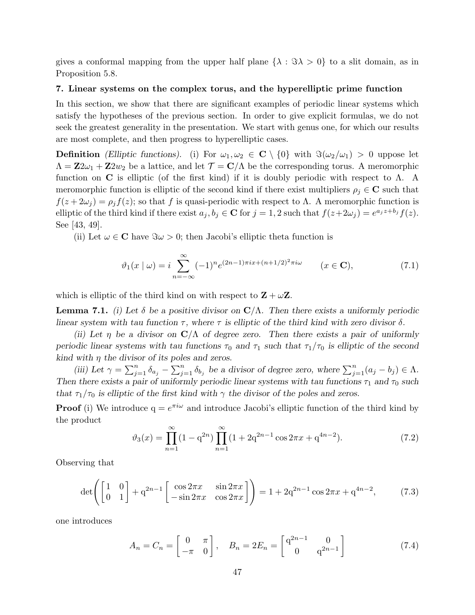gives a conformal mapping from the upper half plane  $\{\lambda : \Im \lambda > 0\}$  to a slit domain, as in Proposition 5.8.

## 7. Linear systems on the complex torus, and the hyperelliptic prime function

In this section, we show that there are significant examples of periodic linear systems which satisfy the hypotheses of the previous section. In order to give explicit formulas, we do not seek the greatest generality in the presentation. We start with genus one, for which our results are most complete, and then progress to hyperelliptic cases.

**Definition** (Elliptic functions). (i) For  $\omega_1, \omega_2 \in \mathbb{C} \setminus \{0\}$  with  $\Im(\omega_2/\omega_1) > 0$  uppose let  $\Lambda = \mathbf{Z}2\omega_1 + \mathbf{Z}2w_2$  be a lattice, and let  $\mathcal{T} = \mathbf{C}/\Lambda$  be the corresponding torus. A meromorphic function on C is elliptic (of the first kind) if it is doubly periodic with respect to  $\Lambda$ . A meromorphic function is elliptic of the second kind if there exist multipliers  $\rho_i \in \mathbb{C}$  such that  $f(z + 2\omega_j) = \rho_j f(z)$ ; so that f is quasi-periodic with respect to  $\Lambda$ . A meromorphic function is elliptic of the third kind if there exist  $a_j, b_j \in \mathbb{C}$  for  $j = 1, 2$  such that  $f(z + 2\omega_j) = e^{a_j z + b_j} f(z)$ . See [43, 49].

(ii) Let  $\omega \in \mathbb{C}$  have  $\Im \omega > 0$ ; then Jacobi's elliptic theta function is

$$
\vartheta_1(x \mid \omega) = i \sum_{n = -\infty}^{\infty} (-1)^n e^{(2n-1)\pi i x + (n+1/2)^2 \pi i \omega} \qquad (x \in \mathbf{C}),
$$
\n(7.1)

which is elliptic of the third kind on with respect to  $\mathbf{Z} + \omega \mathbf{Z}$ .

**Lemma 7.1.** (i) Let  $\delta$  be a positive divisor on  $\mathbb{C}/\Lambda$ . Then there exists a uniformly periodic linear system with tau function  $\tau$ , where  $\tau$  is elliptic of the third kind with zero divisor  $\delta$ .

(ii) Let  $\eta$  be a divisor on  $\mathbb{C}/\Lambda$  of degree zero. Then there exists a pair of uniformly periodic linear systems with tau functions  $\tau_0$  and  $\tau_1$  such that  $\tau_1/\tau_0$  is elliptic of the second kind with  $\eta$  the divisor of its poles and zeros.

(iii) Let  $\gamma = \sum_{j=1}^n \delta_{a_j} - \sum_{j=1}^n \delta_{b_j}$  be a divisor of degree zero, where  $\sum_{j=1}^n (a_j - b_j) \in \Lambda$ . Then there exists a pair of uniformly periodic linear systems with tau functions  $\tau_1$  and  $\tau_0$  such that  $\tau_1/\tau_0$  is elliptic of the first kind with  $\gamma$  the divisor of the poles and zeros.

**Proof** (i) We introduce  $q = e^{\pi i \omega}$  and introduce Jacobi's elliptic function of the third kind by the product

$$
\vartheta_3(x) = \prod_{n=1}^{\infty} (1 - q^{2n}) \prod_{n=1}^{\infty} (1 + 2q^{2n-1} \cos 2\pi x + q^{4n-2}).
$$
\n(7.2)

Observing that

$$
\det\left(\begin{bmatrix} 1 & 0\\ 0 & 1 \end{bmatrix} + q^{2n-1} \begin{bmatrix} \cos 2\pi x & \sin 2\pi x\\ -\sin 2\pi x & \cos 2\pi x \end{bmatrix}\right) = 1 + 2q^{2n-1}\cos 2\pi x + q^{4n-2},\tag{7.3}
$$

one introduces

$$
A_n = C_n = \begin{bmatrix} 0 & \pi \\ -\pi & 0 \end{bmatrix}, \quad B_n = 2E_n = \begin{bmatrix} q^{2n-1} & 0 \\ 0 & q^{2n-1} \end{bmatrix}
$$
(7.4)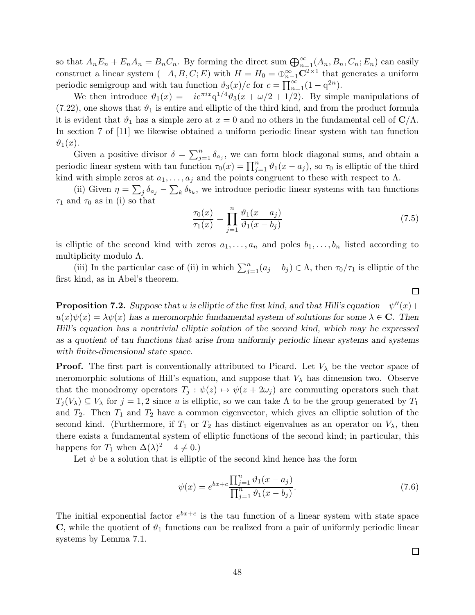so that  $A_n E_n + E_n A_n = B_n C_n$ . By forming the direct sum  $\bigoplus_{n=1}^{\infty} (A_n, B_n, C_n; E_n)$  can easily construct a linear system  $(-A, B, C; E)$  with  $H = H_0 = \bigoplus_{n=1}^{\infty} \mathbb{C}^{2 \times 1}$  that generates a uniform periodic semigroup and with tau function  $\vartheta_3(x)/c$  for  $c = \prod_{n=1}^{\infty} (1 - q^{2n}).$ 

We then introduce  $\vartheta_1(x) = -ie^{\pi ix}q^{1/4}\vartheta_3(x+\omega/2+1/2)$ . By simple manipulations of  $(7.22)$ , one shows that  $\vartheta_1$  is entire and elliptic of the third kind, and from the product formula it is evident that  $\vartheta_1$  has a simple zero at  $x = 0$  and no others in the fundamental cell of  $\mathbf{C}/\Lambda$ . In section 7 of [11] we likewise obtained a uniform periodic linear system with tau function  $\vartheta_1(x)$ .

Given a positive divisor  $\delta = \sum_{j=1}^n \delta_{a_j}$ , we can form block diagonal sums, and obtain a periodic linear system with tau function  $\tau_0(x) = \prod_{j=1}^n \vartheta_1(x - a_j)$ , so  $\tau_0$  is elliptic of the third kind with simple zeros at  $a_1, \ldots, a_j$  and the points congruent to these with respect to  $\Lambda$ .

(ii) Given  $\eta = \sum_j \delta_{a_j} - \sum_k \delta_{b_k}$ , we introduce periodic linear systems with tau functions  $\tau_1$  and  $\tau_0$  as in (i) so that

$$
\frac{\tau_0(x)}{\tau_1(x)} = \prod_{j=1}^n \frac{\vartheta_1(x - a_j)}{\vartheta_1(x - b_j)}
$$
\n(7.5)

is elliptic of the second kind with zeros  $a_1, \ldots, a_n$  and poles  $b_1, \ldots, b_n$  listed according to multiplicity modulo Λ.

(iii) In the particular case of (ii) in which  $\sum_{j=1}^{n} (a_j - b_j) \in \Lambda$ , then  $\tau_0/\tau_1$  is elliptic of the first kind, as in Abel's theorem.

**Proposition 7.2.** Suppose that u is elliptic of the first kind, and that Hill's equation  $-\psi''(x)$ +  $u(x)\psi(x) = \lambda \psi(x)$  has a meromorphic fundamental system of solutions for some  $\lambda \in \mathbb{C}$ . Then Hill's equation has a nontrivial elliptic solution of the second kind, which may be expressed as a quotient of tau functions that arise from uniformly periodic linear systems and systems with finite-dimensional state space.

**Proof.** The first part is conventionally attributed to Picard. Let  $V_{\lambda}$  be the vector space of meromorphic solutions of Hill's equation, and suppose that  $V_\lambda$  has dimension two. Observe that the monodromy operators  $T_j : \psi(z) \mapsto \psi(z + 2\omega_j)$  are commuting operators such that  $T_j(V_\lambda) \subseteq V_\lambda$  for  $j = 1, 2$  since u is elliptic, so we can take  $\Lambda$  to be the group generated by  $T_1$ and  $T_2$ . Then  $T_1$  and  $T_2$  have a common eigenvector, which gives an elliptic solution of the second kind. (Furthermore, if  $T_1$  or  $T_2$  has distinct eigenvalues as an operator on  $V_{\lambda}$ , then there exists a fundamental system of elliptic functions of the second kind; in particular, this happens for  $T_1$  when  $\Delta(\lambda)^2 - 4 \neq 0$ .)

Let  $\psi$  be a solution that is elliptic of the second kind hence has the form

$$
\psi(x) = e^{bx+c} \frac{\prod_{j=1}^{n} \vartheta_1(x - a_j)}{\prod_{j=1}^{n} \vartheta_1(x - b_j)}.
$$
\n(7.6)

The initial exponential factor  $e^{bx+c}$  is the tau function of a linear system with state space  $\mathbf C$ , while the quotient of  $\vartheta_1$  functions can be realized from a pair of uniformly periodic linear systems by Lemma 7.1.

 $\Box$ 

 $\Box$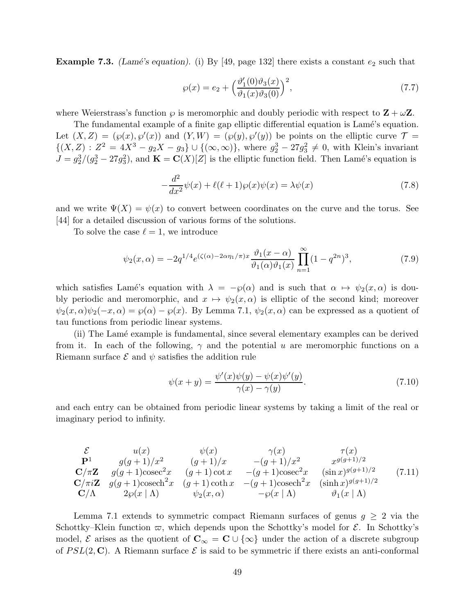**Example 7.3.** (Lamé's equation). (i) By [49, page 132] there exists a constant  $e_2$  such that

$$
\wp(x) = e_2 + \left(\frac{\vartheta_1'(0)\vartheta_3(x)}{\vartheta_1(x)\vartheta_3(0)}\right)^2,\tag{7.7}
$$

where Weierstrass's function  $\wp$  is meromorphic and doubly periodic with respect to  $\mathbf{Z} + \omega \mathbf{Z}$ .

The fundamental example of a finite gap elliptic differential equation is Lamé's equation. Let  $(X, Z) = (\wp(x), \wp'(x))$  and  $(Y, W) = (\wp(y), \wp'(y))$  be points on the elliptic curve  $\mathcal{T} =$  $\{(X, Z) : Z^2 = 4X^3 - g_2X - g_3\} \cup \{(\infty, \infty)\}\$ , where  $g_2^3 - 27g_3^2 \neq 0$ , with Klein's invariant  $J = g_2^3/(g_2^3 - 27g_3^2)$ , and  $\mathbf{K} = \mathbf{C}(X)[Z]$  is the elliptic function field. Then Lamé's equation is

$$
-\frac{d^2}{dx^2}\psi(x) + \ell(\ell+1)\wp(x)\psi(x) = \lambda\psi(x)
$$
\n(7.8)

and we write  $\Psi(X) = \psi(x)$  to convert between coordinates on the curve and the torus. See [44] for a detailed discussion of various forms of the solutions.

To solve the case  $\ell = 1$ , we introduce

$$
\psi_2(x,\alpha) = -2q^{1/4} e^{(\zeta(\alpha) - 2\alpha \eta_1/\pi)x} \frac{\vartheta_1(x-\alpha)}{\vartheta_1(\alpha)\vartheta_1(x)} \prod_{n=1}^{\infty} (1 - q^{2n})^3,
$$
\n(7.9)

which satisfies Lamé's equation with  $\lambda = -\varphi(\alpha)$  and is such that  $\alpha \mapsto \psi_2(x, \alpha)$  is doubly periodic and meromorphic, and  $x \mapsto \psi_2(x, \alpha)$  is elliptic of the second kind; moreover  $\psi_2(x,\alpha)\psi_2(-x,\alpha) = \wp(\alpha) - \wp(x)$ . By Lemma 7.1,  $\psi_2(x,\alpha)$  can be expressed as a quotient of tau functions from periodic linear systems.

(ii) The Lam´e example is fundamental, since several elementary examples can be derived from it. In each of the following,  $\gamma$  and the potential u are meromorphic functions on a Riemann surface  $\mathcal E$  and  $\psi$  satisfies the addition rule

$$
\psi(x+y) = \frac{\psi'(x)\psi(y) - \psi(x)\psi'(y)}{\gamma(x) - \gamma(y)}.\tag{7.10}
$$

and each entry can be obtained from periodic linear systems by taking a limit of the real or imaginary period to infinity.

$$
\begin{array}{ccccc}\n\mathcal{E} & u(x) & \psi(x) & \gamma(x) & \tau(x) \\
\mathbf{P}^1 & g(g+1)/x^2 & (g+1)/x & -(g+1)/x^2 & x^{g(g+1)/2} \\
\mathbf{C}/\pi\mathbf{Z} & g(g+1)\csc^2x & (g+1)\cot x & -(g+1)\csc^2x & (\sin x)^{g(g+1)/2} \\
\mathbf{C}/\pi i\mathbf{Z} & g(g+1)\csc^2x & (g+1)\coth x & -(g+1)\csc^2x & (\sinh x)^{g(g+1)/2} \\
\mathbf{C}/\Lambda & 2\wp(x|\Lambda) & \psi_2(x,\alpha) & -\wp(x|\Lambda) & \vartheta_1(x|\Lambda)\n\end{array} (7.11)
$$

Lemma 7.1 extends to symmetric compact Riemann surfaces of genus  $g \geq 2$  via the Schottky–Klein function  $\varpi$ , which depends upon the Schottky's model for  $\mathcal{E}$ . In Schottky's model, E arises as the quotient of  $C_{\infty} = \mathbb{C} \cup \{\infty\}$  under the action of a discrete subgroup of  $PSL(2, \mathbb{C})$ . A Riemann surface  $\mathcal E$  is said to be symmetric if there exists an anti-conformal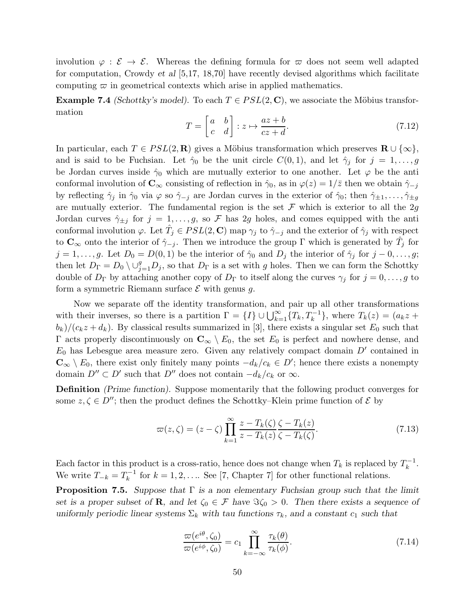involution  $\varphi : \mathcal{E} \to \mathcal{E}$ . Whereas the defining formula for  $\varpi$  does not seem well adapted for computation, Crowdy et al  $[5,17, 18,70]$  have recently devised algorithms which facilitate computing  $\varpi$  in geometrical contexts which arise in applied mathematics.

**Example 7.4** (Schottky's model). To each  $T \in PSL(2, \mathbb{C})$ , we associate the Möbius transformation

$$
T = \begin{bmatrix} a & b \\ c & d \end{bmatrix} : z \mapsto \frac{az+b}{cz+d}.\tag{7.12}
$$

In particular, each  $T \in PSL(2, \mathbf{R})$  gives a Möbius transformation which preserves  $\mathbf{R} \cup \{\infty\},$ and is said to be Fuchsian. Let  $\hat{\gamma}_0$  be the unit circle  $C(0,1)$ , and let  $\hat{\gamma}_i$  for  $j=1,\ldots,g$ be Jordan curves inside  $\hat{\gamma}_0$  which are mutually exterior to one another. Let  $\varphi$  be the anti conformal involution of  $\mathbf{C}_{\infty}$  consisting of reflection in  $\hat{\gamma}_0$ , as in  $\varphi(z) = 1/\bar{z}$  then we obtain  $\hat{\gamma}_{-j}$ by reflecting  $\hat{\gamma}_j$  in  $\hat{\gamma}_0$  via  $\varphi$  so  $\hat{\gamma}_{-j}$  are Jordan curves in the exterior of  $\hat{\gamma}_0$ ; then  $\hat{\gamma}_{\pm 1}, \ldots, \hat{\gamma}_{\pm g}$ are mutually exterior. The fundamental region is the set  $\mathcal F$  which is exterior to all the 2g Jordan curves  $\hat{\gamma}_{\pm j}$  for  $j = 1, \ldots, g$ , so F has 2g holes, and comes equipped with the anti conformal involution  $\varphi$ . Let  $\hat{T}_j \in PSL(2, \mathbb{C})$  map  $\gamma_j$  to  $\hat{\gamma}_{-j}$  and the exterior of  $\hat{\gamma}_j$  with respect to  $\mathbf{C}_{\infty}$  onto the interior of  $\hat{\gamma}_{-j}$ . Then we introduce the group Γ which is generated by  $\hat{T}_j$  for  $j = 1, \ldots, g$ . Let  $D_0 = D(0, 1)$  be the interior of  $\hat{\gamma}_0$  and  $D_j$  the interior of  $\hat{\gamma}_j$  for  $j = 0, \ldots, g$ ; then let  $D_{\Gamma} = D_0 \setminus \cup_{j=1}^g D_j$ , so that  $D_{\Gamma}$  is a set with g holes. Then we can form the Schottky double of  $D_{\Gamma}$  by attaching another copy of  $D_{\Gamma}$  to itself along the curves  $\gamma_j$  for  $j = 0, \ldots, g$  to form a symmetric Riemann surface  $\mathcal E$  with genus g.

Now we separate off the identity transformation, and pair up all other transformations with their inverses, so there is a partition  $\Gamma = \{I\} \cup \bigcup_{k=1}^{\infty} \{T_k, T_k^{-1}\},\$  where  $T_k(z) = (a_k z +$  $(b_k)/(c_k z + d_k)$ . By classical results summarized in [3], there exists a singular set  $E_0$  such that Γ acts properly discontinuously on  $\mathbb{C}_{\infty} \setminus E_0$ , the set  $E_0$  is perfect and nowhere dense, and  $E_0$  has Lebesgue area measure zero. Given any relatively compact domain  $D'$  contained in  $\mathbb{C}_{\infty} \setminus E_0$ , there exist only finitely many points  $-d_k/c_k \in D'$ ; hence there exists a nonempty domain  $D'' \subset D'$  such that  $D''$  does not contain  $-d_k/c_k$  or  $\infty$ .

Definition (Prime function). Suppose momentarily that the following product converges for some  $z, \zeta \in D''$ ; then the product defines the Schottky–Klein prime function of  $\mathcal{E}$  by

$$
\varpi(z,\zeta) = (z-\zeta) \prod_{k=1}^{\infty} \frac{z - T_k(\zeta)}{z - T_k(z)} \frac{\zeta - T_k(z)}{\zeta - T_k(\zeta)}.
$$
\n(7.13)

Each factor in this product is a cross-ratio, hence does not change when  $T_k$  is replaced by  $T_k^{-1}$  $k^{-1}$ . We write  $T_{-k} = T_k^{-1}$  $k_k^{-1}$  for  $k = 1, 2, \ldots$  See [7, Chapter 7] for other functional relations.

**Proposition 7.5.** Suppose that  $\Gamma$  is a non elementary Fuchsian group such that the limit set is a proper subset of **R**, and let  $\zeta_0 \in \mathcal{F}$  have  $\Im \zeta_0 > 0$ . Then there exists a sequence of uniformly periodic linear systems  $\Sigma_k$  with tau functions  $\tau_k$ , and a constant  $c_1$  such that

$$
\frac{\varpi(e^{i\theta}, \zeta_0)}{\varpi(e^{i\phi}, \zeta_0)} = c_1 \prod_{k=-\infty}^{\infty} \frac{\tau_k(\theta)}{\tau_k(\phi)}.
$$
\n(7.14)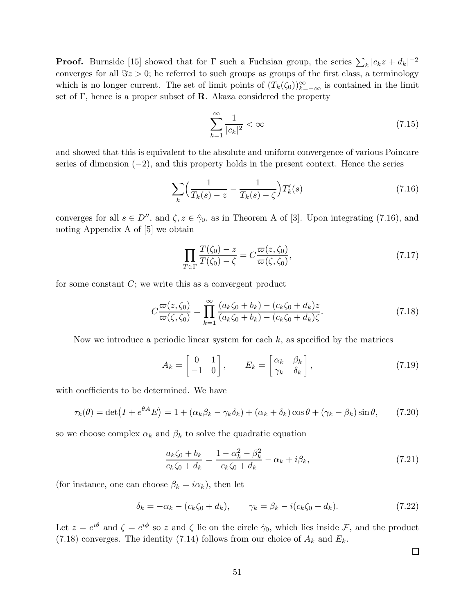**Proof.** Burnside [15] showed that for  $\Gamma$  such a Fuchsian group, the series  $\sum_{k} |c_k z + d_k|^{-2}$ converges for all  $\Im z > 0$ ; he referred to such groups as groups of the first class, a terminology which is no longer current. The set of limit points of  $(T_k(\zeta_0))_{k=-\infty}^{\infty}$  is contained in the limit set of Γ, hence is a proper subset of **R**. Akaza considered the property

$$
\sum_{k=1}^{\infty} \frac{1}{|c_k|^2} < \infty \tag{7.15}
$$

and showed that this is equivalent to the absolute and uniform convergence of various Poincare series of dimension  $(-2)$ , and this property holds in the present context. Hence the series

$$
\sum_{k} \left( \frac{1}{T_k(s) - z} - \frac{1}{T_k(s) - \zeta} \right) T'_k(s) \tag{7.16}
$$

converges for all  $s \in D''$ , and  $\zeta$ ,  $z \in \hat{\gamma}_0$ , as in Theorem A of [3]. Upon integrating (7.16), and noting Appendix A of [5] we obtain

$$
\prod_{T \in \Gamma} \frac{T(\zeta_0) - z}{T(\zeta_0) - \zeta} = C \frac{\varpi(z, \zeta_0)}{\varpi(\zeta, \zeta_0)},\tag{7.17}
$$

for some constant  $C$ ; we write this as a convergent product

$$
C\frac{\varpi(z,\zeta_0)}{\varpi(\zeta,\zeta_0)} = \prod_{k=1}^{\infty} \frac{(a_k\zeta_0 + b_k) - (c_k\zeta_0 + d_k)z}{(a_k\zeta_0 + b_k) - (c_k\zeta_0 + d_k)\zeta}.
$$
 (7.18)

Now we introduce a periodic linear system for each  $k$ , as specified by the matrices

$$
A_k = \begin{bmatrix} 0 & 1 \\ -1 & 0 \end{bmatrix}, \qquad E_k = \begin{bmatrix} \alpha_k & \beta_k \\ \gamma_k & \delta_k \end{bmatrix}, \tag{7.19}
$$

with coefficients to be determined. We have

$$
\tau_k(\theta) = \det(I + e^{\theta A} E) = 1 + (\alpha_k \beta_k - \gamma_k \delta_k) + (\alpha_k + \delta_k) \cos \theta + (\gamma_k - \beta_k) \sin \theta, \tag{7.20}
$$

so we choose complex  $\alpha_k$  and  $\beta_k$  to solve the quadratic equation

$$
\frac{a_k \zeta_0 + b_k}{c_k \zeta_0 + d_k} = \frac{1 - \alpha_k^2 - \beta_k^2}{c_k \zeta_0 + d_k} - \alpha_k + i\beta_k,\tag{7.21}
$$

(for instance, one can choose  $\beta_k = i\alpha_k$ ), then let

$$
\delta_k = -\alpha_k - (c_k \zeta_0 + d_k), \qquad \gamma_k = \beta_k - i(c_k \zeta_0 + d_k). \tag{7.22}
$$

Let  $z = e^{i\theta}$  and  $\zeta = e^{i\phi}$  so z and  $\zeta$  lie on the circle  $\hat{\gamma}_0$ , which lies inside  $\mathcal{F}$ , and the product (7.18) converges. The identity (7.14) follows from our choice of  $A_k$  and  $E_k$ .

 $\Box$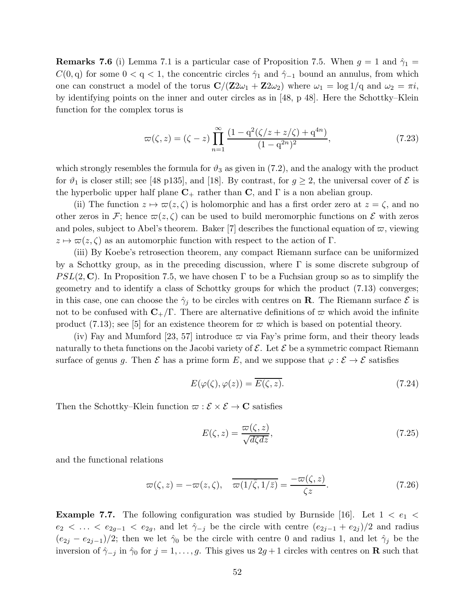**Remarks 7.6** (i) Lemma 7.1 is a particular case of Proposition 7.5. When  $g = 1$  and  $\hat{\gamma}_1 =$  $C(0, q)$  for some  $0 < q < 1$ , the concentric circles  $\hat{\gamma}_1$  and  $\hat{\gamma}_{-1}$  bound an annulus, from which one can construct a model of the torus  $\mathbf{C}/(\mathbf{Z}2\omega_1 + \mathbf{Z}2\omega_2)$  where  $\omega_1 = \log 1/q$  and  $\omega_2 = \pi i$ , by identifying points on the inner and outer circles as in [48, p 48]. Here the Schottky–Klein function for the complex torus is

$$
\varpi(\zeta, z) = (\zeta - z) \prod_{n=1}^{\infty} \frac{(1 - q^2(\zeta/z + z/\zeta) + q^{4n})}{(1 - q^{2n})^2},
$$
\n(7.23)

which strongly resembles the formula for  $\vartheta_3$  as given in (7.2), and the analogy with the product for  $\vartheta_1$  is closer still; see [48 p135], and [18]. By contrast, for  $g \geq 2$ , the universal cover of  $\mathcal E$  is the hyperbolic upper half plane  $C_+$  rather than C, and  $\Gamma$  is a non abelian group.

(ii) The function  $z \mapsto \overline{\omega}(z, \zeta)$  is holomorphic and has a first order zero at  $z = \zeta$ , and no other zeros in F; hence  $\varpi(z,\zeta)$  can be used to build meromorphic functions on E with zeros and poles, subject to Abel's theorem. Baker [7] describes the functional equation of  $\varpi$ , viewing  $z \mapsto \overline{\omega}(z, \zeta)$  as an automorphic function with respect to the action of Γ.

(iii) By Koebe's retrosection theorem, any compact Riemann surface can be uniformized by a Schottky group, as in the preceding discussion, where Γ is some discrete subgroup of  $PSL(2, \mathbb{C})$ . In Proposition 7.5, we have chosen Γ to be a Fuchsian group so as to simplify the geometry and to identify a class of Schottky groups for which the product (7.13) converges; in this case, one can choose the  $\hat{\gamma}_j$  to be circles with centres on **R**. The Riemann surface  $\mathcal{E}$  is not to be confused with  $C_{+}/\Gamma$ . There are alternative definitions of  $\varpi$  which avoid the infinite product (7.13); see [5] for an existence theorem for  $\varpi$  which is based on potential theory.

(iv) Fay and Mumford [23, 57] introduce  $\varpi$  via Fay's prime form, and their theory leads naturally to theta functions on the Jacobi variety of  $\mathcal{E}$ . Let  $\mathcal{E}$  be a symmetric compact Riemann surface of genus g. Then  $\mathcal E$  has a prime form E, and we suppose that  $\varphi : \mathcal E \to \mathcal E$  satisfies

$$
E(\varphi(\zeta), \varphi(z)) = \overline{E(\zeta, z)}.
$$
\n(7.24)

Then the Schottky–Klein function  $\varpi : \mathcal{E} \times \mathcal{E} \to \mathbb{C}$  satisfies

$$
E(\zeta, z) = \frac{\varpi(\zeta, z)}{\sqrt{d\zeta dz}},\tag{7.25}
$$

and the functional relations

$$
\varpi(\zeta, z) = -\varpi(z, \zeta), \quad \overline{\varpi(1/\overline{\zeta}, 1/\overline{z})} = \frac{-\varpi(\zeta, z)}{\zeta z}.
$$
\n(7.26)

**Example 7.7.** The following configuration was studied by Burnside [16]. Let  $1 < e_1 <$  $e_2 < \ldots < e_{2g-1} < e_{2g}$ , and let  $\hat{\gamma}_{-j}$  be the circle with centre  $(e_{2j-1} + e_{2j})/2$  and radius  $(e_{2j} - e_{2j-1})/2$ ; then we let  $\hat{\gamma}_0$  be the circle with centre 0 and radius 1, and let  $\hat{\gamma}_j$  be the inversion of  $\hat{\gamma}_{-j}$  in  $\hat{\gamma}_0$  for  $j = 1, \ldots, g$ . This gives us  $2g + 1$  circles with centres on **R** such that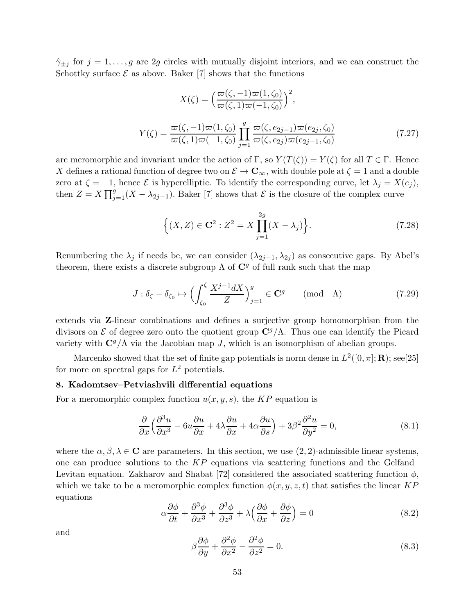$\hat{\gamma}_{\pm j}$  for  $j = 1, \ldots, g$  are 2g circles with mutually disjoint interiors, and we can construct the Schottky surface  $\mathcal E$  as above. Baker [7] shows that the functions

$$
X(\zeta) = \left(\frac{\varpi(\zeta, -1)\varpi(1, \zeta_0)}{\varpi(\zeta, 1)\varpi(-1, \zeta_0)}\right)^2,
$$
  

$$
Y(\zeta) = \frac{\varpi(\zeta, -1)\varpi(1, \zeta_0)}{\varpi(\zeta, 1)\varpi(-1, \zeta_0)} \prod_{j=1}^g \frac{\varpi(\zeta, e_{2j-1})\varpi(e_{2j}, \zeta_0)}{\varpi(\zeta, e_{2j})\varpi(e_{2j-1}, \zeta_0)}
$$
(7.27)

are meromorphic and invariant under the action of Γ, so  $Y(T(\zeta)) = Y(\zeta)$  for all  $T \in \Gamma$ . Hence X defines a rational function of degree two on  $\mathcal{E} \to \mathbf{C}_{\infty}$ , with double pole at  $\zeta = 1$  and a double zero at  $\zeta = -1$ , hence  $\mathcal E$  is hyperelliptic. To identify the corresponding curve, let  $\lambda_j = X(e_j)$ , then  $Z = X \prod_{j=1}^{g} (X - \lambda_{2j-1})$ . Baker [7] shows that  $\mathcal{E}$  is the closure of the complex curve

$$
\{(X, Z) \in \mathbf{C}^2 : Z^2 = X \prod_{j=1}^{2g} (X - \lambda_j)\}.
$$
 (7.28)

Renumbering the  $\lambda_j$  if needs be, we can consider  $(\lambda_{2j-1}, \lambda_{2j})$  as consecutive gaps. By Abel's theorem, there exists a discrete subgroup  $\Lambda$  of  $\mathbb{C}^g$  of full rank such that the map

$$
J: \delta_{\zeta} - \delta_{\zeta_0} \mapsto \left( \int_{\zeta_0}^{\zeta} \frac{X^{j-1} dX}{Z} \right)_{j=1}^g \in \mathbf{C}^g \qquad \text{(mod} \quad \Lambda) \tag{7.29}
$$

extends via Z-linear combinations and defines a surjective group homomorphism from the divisors on  $\mathcal E$  of degree zero onto the quotient group  $\mathbb C^g/\Lambda$ . Thus one can identify the Picard variety with  $C^g/\Lambda$  via the Jacobian map J, which is an isomorphism of abelian groups.

Marcenko showed that the set of finite gap potentials is norm dense in  $L^2([0, \pi]; \mathbf{R})$ ; see[25] for more on spectral gaps for  $L^2$  potentials.

## 8. Kadomtsev–Petviashvili differential equations

For a meromorphic complex function  $u(x, y, s)$ , the KP equation is

$$
\frac{\partial}{\partial x} \left( \frac{\partial^3 u}{\partial x^3} - 6u \frac{\partial u}{\partial x} + 4\lambda \frac{\partial u}{\partial x} + 4\alpha \frac{\partial u}{\partial s} \right) + 3\beta^2 \frac{\partial^2 u}{\partial y^2} = 0,
$$
\n(8.1)

where the  $\alpha, \beta, \lambda \in \mathbb{C}$  are parameters. In this section, we use  $(2, 2)$ -admissible linear systems, one can produce solutions to the  $KP$  equations via scattering functions and the Gelfand– Levitan equation. Zakharov and Shabat [72] considered the associated scattering function  $\phi$ , which we take to be a meromorphic complex function  $\phi(x, y, z, t)$  that satisfies the linear KP equations

$$
\alpha \frac{\partial \phi}{\partial t} + \frac{\partial^3 \phi}{\partial x^3} + \frac{\partial^3 \phi}{\partial z^3} + \lambda \left( \frac{\partial \phi}{\partial x} + \frac{\partial \phi}{\partial z} \right) = 0
$$
\n(8.2)

and

$$
\beta \frac{\partial \phi}{\partial y} + \frac{\partial^2 \phi}{\partial x^2} - \frac{\partial^2 \phi}{\partial z^2} = 0.
$$
\n(8.3)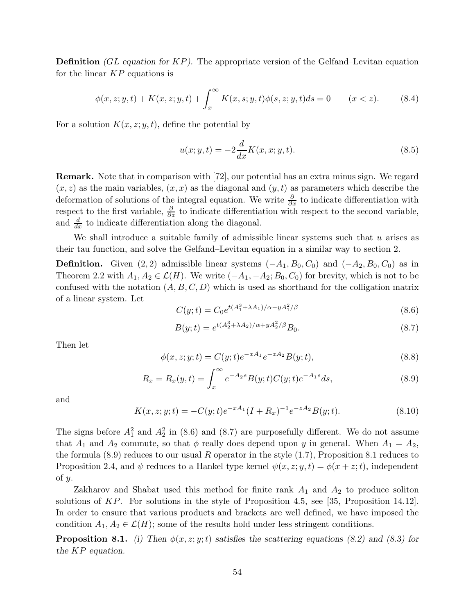**Definition** (GL equation for  $KP$ ). The appropriate version of the Gelfand–Levitan equation for the linear  $KP$  equations is

$$
\phi(x, z; y, t) + K(x, z; y, t) + \int_x^{\infty} K(x, s; y, t) \phi(s, z; y, t) ds = 0 \qquad (x < z). \tag{8.4}
$$

For a solution  $K(x, z; y, t)$ , define the potential by

$$
u(x; y, t) = -2\frac{d}{dx}K(x, x; y, t).
$$
 (8.5)

Remark. Note that in comparison with [72], our potential has an extra minus sign. We regard  $(x, z)$  as the main variables,  $(x, x)$  as the diagonal and  $(y, t)$  as parameters which describe the deformation of solutions of the integral equation. We write  $\frac{\partial}{\partial x}$  to indicate differentiation with respect to the first variable,  $\frac{\partial}{\partial z}$  to indicate differentiation with respect to the second variable, and  $\frac{d}{dx}$  to indicate differentiation along the diagonal.

We shall introduce a suitable family of admissible linear systems such that  $u$  arises as their tau function, and solve the Gelfand–Levitan equation in a similar way to section 2.

**Definition.** Given (2, 2) admissible linear systems  $(-A_1, B_0, C_0)$  and  $(-A_2, B_0, C_0)$  as in Theorem 2.2 with  $A_1, A_2 \in \mathcal{L}(H)$ . We write  $(-A_1, -A_2; B_0, C_0)$  for brevity, which is not to be confused with the notation  $(A, B, C, D)$  which is used as shorthand for the colligation matrix of a linear system. Let

$$
C(y;t) = C_0 e^{t(A_1^3 + \lambda A_1)/\alpha - y A_1^2/\beta}
$$
\n(8.6)

$$
B(y;t) = e^{t(A_2^3 + \lambda A_2)/\alpha + yA_2^2/\beta} B_0.
$$
\n(8.7)

Then let

$$
\phi(x, z; y; t) = C(y; t)e^{-xA_1}e^{-zA_2}B(y; t),
$$
\n(8.8)

$$
R_x = R_x(y, t) = \int_x^{\infty} e^{-A_2 s} B(y; t) C(y; t) e^{-A_1 s} ds,
$$
\n(8.9)

and

$$
K(x, z; y; t) = -C(y; t)e^{-xA_1}(I + R_x)^{-1}e^{-zA_2}B(y; t).
$$
\n(8.10)

The signs before  $A_1^2$  and  $A_2^2$  in (8.6) and (8.7) are purposefully different. We do not assume that  $A_1$  and  $A_2$  commute, so that  $\phi$  really does depend upon y in general. When  $A_1 = A_2$ , the formula  $(8.9)$  reduces to our usual R operator in the style  $(1.7)$ , Proposition 8.1 reduces to Proposition 2.4, and  $\psi$  reduces to a Hankel type kernel  $\psi(x, z; y, t) = \phi(x + z; t)$ , independent of y.

Zakharov and Shabat used this method for finite rank  $A_1$  and  $A_2$  to produce soliton solutions of KP. For solutions in the style of Proposition 4.5, see [35, Proposition 14.12]. In order to ensure that various products and brackets are well defined, we have imposed the condition  $A_1, A_2 \in \mathcal{L}(H)$ ; some of the results hold under less stringent conditions.

**Proposition 8.1.** (i) Then  $\phi(x, z; y; t)$  satisfies the scattering equations (8.2) and (8.3) for the KP equation.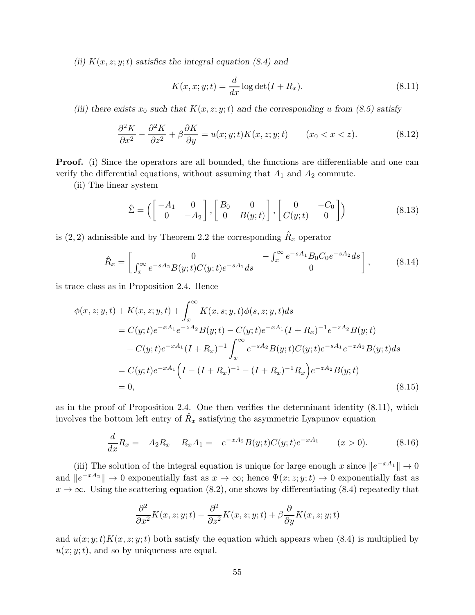(ii)  $K(x, z; y; t)$  satisfies the integral equation (8.4) and

$$
K(x, x; y; t) = \frac{d}{dx} \log \det(I + R_x).
$$
\n(8.11)

(iii) there exists  $x_0$  such that  $K(x, z; y; t)$  and the corresponding u from (8.5) satisfy

$$
\frac{\partial^2 K}{\partial x^2} - \frac{\partial^2 K}{\partial z^2} + \beta \frac{\partial K}{\partial y} = u(x; y; t) K(x, z; y; t) \qquad (x_0 < x < z). \tag{8.12}
$$

Proof. (i) Since the operators are all bounded, the functions are differentiable and one can verify the differential equations, without assuming that  $A_1$  and  $A_2$  commute.

(ii) The linear system

$$
\hat{\Sigma} = \left( \begin{bmatrix} -A_1 & 0 \\ 0 & -A_2 \end{bmatrix}, \begin{bmatrix} B_0 & 0 \\ 0 & B(y;t) \end{bmatrix}, \begin{bmatrix} 0 & -C_0 \\ C(y;t) & 0 \end{bmatrix} \right) \tag{8.13}
$$

is  $(2, 2)$  admissible and by Theorem 2.2 the corresponding  $\hat{R}_x$  operator

$$
\hat{R}_x = \begin{bmatrix} 0 & -\int_x^{\infty} e^{-sA_1} B_0 C_0 e^{-sA_2} ds \\ \int_x^{\infty} e^{-sA_2} B(y, t) C(y, t) e^{-sA_1} ds & 0 \end{bmatrix},
$$
(8.14)

is trace class as in Proposition 2.4. Hence

$$
\phi(x, z; y, t) + K(x, z; y, t) + \int_{x}^{\infty} K(x, s; y, t) \phi(s, z; y, t) ds
$$
  
\n
$$
= C(y; t)e^{-xA_1}e^{-zA_2}B(y; t) - C(y; t)e^{-xA_1}(I + R_x)^{-1}e^{-zA_2}B(y; t)
$$
  
\n
$$
- C(y; t)e^{-xA_1}(I + R_x)^{-1} \int_{x}^{\infty} e^{-sA_2}B(y; t)C(y; t)e^{-sA_1}e^{-zA_2}B(y; t) ds
$$
  
\n
$$
= C(y; t)e^{-xA_1}\Big(I - (I + R_x)^{-1} - (I + R_x)^{-1}R_x\Big)e^{-zA_2}B(y; t)
$$
  
\n
$$
= 0,
$$
\n(8.15)

as in the proof of Proposition 2.4. One then verifies the determinant identity (8.11), which involves the bottom left entry of  $\hat{R}_x$  satisfying the asymmetric Lyapunov equation

$$
\frac{d}{dx}R_x = -A_2R_x - R_xA_1 = -e^{-xA_2}B(y;t)C(y;t)e^{-xA_1} \qquad (x>0).
$$
 (8.16)

(iii) The solution of the integral equation is unique for large enough x since  $||e^{-xA_1}|| \to 0$ and  $||e^{-xA_2}|| \to 0$  exponentially fast as  $x \to \infty$ ; hence  $\Psi(x; z; y; t) \to 0$  exponentially fast as  $x \to \infty$ . Using the scattering equation (8.2), one shows by differentiating (8.4) repeatedly that

$$
\frac{\partial^2}{\partial x^2}K(x, z; y; t) - \frac{\partial^2}{\partial z^2}K(x, z; y; t) + \beta \frac{\partial}{\partial y}K(x, z; y; t)
$$

and  $u(x; y; t)K(x, z; y; t)$  both satisfy the equation which appears when (8.4) is multiplied by  $u(x; y; t)$ , and so by uniqueness are equal.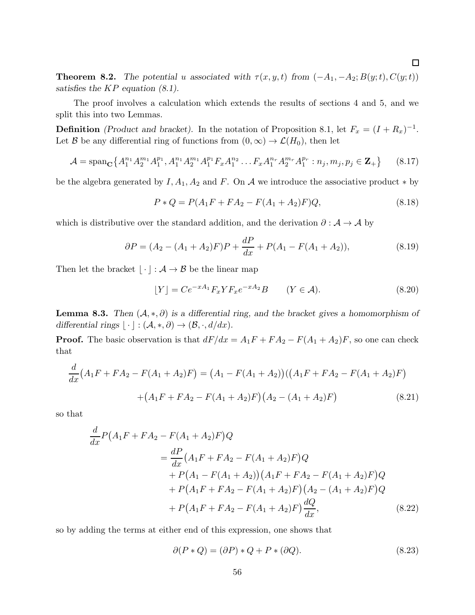**Theorem 8.2.** The potential u associated with  $\tau(x, y, t)$  from  $(-A_1, -A_2; B(y; t), C(y; t))$ satisfies the  $KP$  equation  $(8.1)$ .

The proof involves a calculation which extends the results of sections 4 and 5, and we split this into two Lemmas.

**Definition** (Product and bracket). In the notation of Proposition 8.1, let  $F_x = (I + R_x)^{-1}$ . Let B be any differential ring of functions from  $(0, \infty) \to \mathcal{L}(H_0)$ , then let

$$
\mathcal{A} = \text{span}_{\mathbf{C}} \left\{ A_1^{n_1} A_2^{m_1} A_1^{p_1}, A_1^{n_1} A_2^{m_1} A_1^{p_1} F_x A_1^{n_2} \dots F_x A_1^{n_r} A_2^{m_r} A_1^{p_r} : n_j, m_j, p_j \in \mathbf{Z}_+ \right\} \tag{8.17}
$$

be the algebra generated by  $I, A_1, A_2$  and F. On A we introduce the associative product  $*$  by

$$
P * Q = P(A_1F + FA_2 - F(A_1 + A_2)F)Q,
$$
\n(8.18)

which is distributive over the standard addition, and the derivation  $\partial : \mathcal{A} \to \mathcal{A}$  by

$$
\partial P = (A_2 - (A_1 + A_2)F)P + \frac{dP}{dx} + P(A_1 - F(A_1 + A_2)), \tag{8.19}
$$

Then let the bracket  $|\cdot| : A \to B$  be the linear map

$$
\lfloor Y \rfloor = Ce^{-xA_1} F_x Y F_x e^{-xA_2} B \qquad (Y \in \mathcal{A}). \tag{8.20}
$$

**Lemma 8.3.** Then  $(A, *, \partial)$  is a differential ring, and the bracket gives a homomorphism of differential rings  $|\cdot|: (\mathcal{A}, *, \partial) \to (\mathcal{B}, \cdot, d/dx).$ 

**Proof.** The basic observation is that  $dF/dx = A_1F + FA_2 - F(A_1 + A_2)F$ , so one can check that

$$
\frac{d}{dx}(A_1F + FA_2 - F(A_1 + A_2)F) = (A_1 - F(A_1 + A_2))((A_1F + FA_2 - F(A_1 + A_2)F)
$$

$$
+ (A_1F + FA_2 - F(A_1 + A_2)F)(A_2 - (A_1 + A_2)F)
$$
(8.21)

so that

$$
\frac{d}{dx}P(A_1F + FA_2 - F(A_1 + A_2)F)Q
$$
\n
$$
= \frac{dP}{dx}(A_1F + FA_2 - F(A_1 + A_2)F)Q
$$
\n
$$
+ P(A_1 - F(A_1 + A_2))(A_1F + FA_2 - F(A_1 + A_2)F)Q
$$
\n
$$
+ P(A_1F + FA_2 - F(A_1 + A_2)F)(A_2 - (A_1 + A_2)F)Q
$$
\n
$$
+ P(A_1F + FA_2 - F(A_1 + A_2)F)\frac{dQ}{dx},
$$
\n(8.22)

so by adding the terms at either end of this expression, one shows that

$$
\partial(P * Q) = (\partial P) * Q + P * (\partial Q). \tag{8.23}
$$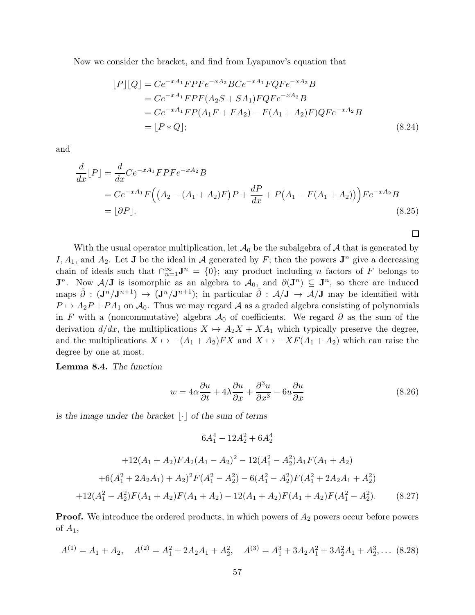Now we consider the bracket, and find from Lyapunov's equation that

$$
[P][Q] = Ce^{-xA_1} F P F e^{-xA_2} B C e^{-xA_1} F Q F e^{-xA_2} B
$$
  
=  $C e^{-xA_1} F P F (A_2 S + SA_1) F Q F e^{-xA_2} B$   
=  $C e^{-xA_1} F P (A_1 F + FA_2) - F (A_1 + A_2) F) Q F e^{-xA_2} B$   
=  $[P * Q];$  (8.24)

and

$$
\frac{d}{dx}[P] = \frac{d}{dx}Ce^{-xA_1}FPFe^{-xA_2}B
$$
\n
$$
= Ce^{-xA_1}F((A_2 - (A_1 + A_2)F)P + \frac{dP}{dx} + P(A_1 - F(A_1 + A_2)))Fe^{-xA_2}B
$$
\n
$$
= [\partial P].
$$
\n(8.25)

 $\Box$ 

With the usual operator multiplication, let  $\mathcal{A}_0$  be the subalgebra of  $\mathcal A$  that is generated by I,  $A_1$ , and  $A_2$ . Let **J** be the ideal in A generated by F; then the powers **J**<sup>n</sup> give a decreasing chain of ideals such that  $\bigcap_{n=1}^{\infty} J^n = \{0\}$ ; any product including n factors of F belongs to  $\mathbf{J}^n$ . Now  $\mathcal{A}/\mathbf{J}$  is isomorphic as an algebra to  $\mathcal{A}_0$ , and  $\partial(\mathbf{J}^n) \subseteq \mathbf{J}^n$ , so there are induced maps  $\tilde{\partial}$  :  $(\mathbf{J}^n/\mathbf{J}^{n+1}) \to (\mathbf{J}^n/\mathbf{J}^{n+1})$ ; in particular  $\tilde{\partial}$  :  $\mathcal{A}/\mathbf{J} \to \mathcal{A}/\mathbf{J}$  may be identified with  $P \mapsto A_2P + PA_1$  on  $A_0$ . Thus we may regard A as a graded algebra consisting of polynomials in F with a (noncommutative) algebra  $\mathcal{A}_0$  of coefficients. We regard  $\partial$  as the sum of the derivation  $d/dx$ , the multiplications  $X \mapsto A_2X + XA_1$  which typically preserve the degree, and the multiplications  $X \mapsto -(A_1 + A_2)FX$  and  $X \mapsto -XF(A_1 + A_2)$  which can raise the degree by one at most.

Lemma 8.4. The function

$$
w = 4\alpha \frac{\partial u}{\partial t} + 4\lambda \frac{\partial u}{\partial x} + \frac{\partial^3 u}{\partial x^3} - 6u \frac{\partial u}{\partial x}
$$
(8.26)

is the image under the bracket  $|\cdot|$  of the sum of terms

$$
6A_1^4 - 12A_2^2 + 6A_2^4
$$

$$
+12(A_1 + A_2)FA_2(A_1 - A_2)^2 - 12(A_1^2 - A_2^2)A_1F(A_1 + A_2)
$$
  
+6(A<sub>1</sub><sup>2</sup> + 2A<sub>2</sub>A<sub>1</sub>) + A<sub>2</sub>)<sup>2</sup>F(A<sub>1</sub><sup>2</sup> - A<sub>2</sub><sup>2</sup>) – 6(A<sub>1</sub><sup>2</sup> - A<sub>2</sub><sup>2</sup>)F(A<sub>1</sub><sup>2</sup> + 2A<sub>2</sub>A<sub>1</sub> + A<sub>2</sub><sup>2</sup>)  
+12(A<sub>1</sub><sup>2</sup> - A<sub>2</sub><sup>2</sup>)F(A<sub>1</sub> + A<sub>2</sub>)F(A<sub>1</sub> + A<sub>2</sub>)F(A<sub>1</sub> + A<sub>2</sub>)F(A<sub>1</sub><sup>2</sup> - A<sub>2</sub><sup>2</sup>). (8.27)

**Proof.** We introduce the ordered products, in which powers of  $A_2$  powers occur before powers of  $A_1$ ,

$$
A^{(1)} = A_1 + A_2, \quad A^{(2)} = A_1^2 + 2A_2A_1 + A_2^2, \quad A^{(3)} = A_1^3 + 3A_2A_1^2 + 3A_2^2A_1 + A_2^3, \dots
$$
 (8.28)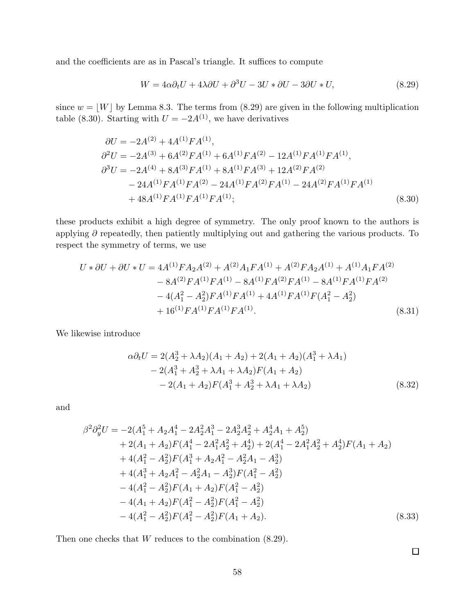and the coefficients are as in Pascal's triangle. It suffices to compute

$$
W = 4\alpha \partial_t U + 4\lambda \partial U + \partial^3 U - 3U \ast \partial U - 3\partial U \ast U,
$$
\n(8.29)

since  $w = |W|$  by Lemma 8.3. The terms from (8.29) are given in the following multiplication table (8.30). Starting with  $U = -2A^{(1)}$ , we have derivatives

$$
\partial U = -2A^{(2)} + 4A^{(1)}FA^{(1)},
$$
  
\n
$$
\partial^2 U = -2A^{(3)} + 6A^{(2)}FA^{(1)} + 6A^{(1)}FA^{(2)} - 12A^{(1)}FA^{(1)}FA^{(1)},
$$
  
\n
$$
\partial^3 U = -2A^{(4)} + 8A^{(3)}FA^{(1)} + 8A^{(1)}FA^{(3)} + 12A^{(2)}FA^{(2)}
$$
  
\n
$$
- 24A^{(1)}FA^{(1)}FA^{(2)} - 24A^{(1)}FA^{(2)}FA^{(1)} - 24A^{(2)}FA^{(1)}FA^{(1)}
$$
  
\n
$$
+ 48A^{(1)}FA^{(1)}FA^{(1)}FA^{(1)};
$$
\n(8.30)

these products exhibit a high degree of symmetry. The only proof known to the authors is applying  $\partial$  repeatedly, then patiently multiplying out and gathering the various products. To respect the symmetry of terms, we use

$$
U * \partial U + \partial U * U = 4A^{(1)}FA_2A^{(2)} + A^{(2)}A_1FA^{(1)} + A^{(2)}FA_2A^{(1)} + A^{(1)}A_1FA^{(2)}
$$
  
\n
$$
- 8A^{(2)}FA^{(1)}FA^{(1)} - 8A^{(1)}FA^{(2)}FA^{(1)} - 8A^{(1)}FA^{(1)}FA^{(2)}
$$
  
\n
$$
- 4(A_1^2 - A_2^2)FA^{(1)}FA^{(1)} + 4A^{(1)}FA^{(1)}FA^{(1)} + A_2^2)
$$
  
\n
$$
+ 16^{(1)}FA^{(1)}FA^{(1)}FA^{(1)}.
$$
\n(8.31)

We likewise introduce

$$
\alpha \partial_t U = 2(A_2^3 + \lambda A_2)(A_1 + A_2) + 2(A_1 + A_2)(A_1^3 + \lambda A_1)
$$
  
\n
$$
- 2(A_1^3 + A_2^3 + \lambda A_1 + \lambda A_2)F(A_1 + A_2)
$$
  
\n
$$
- 2(A_1 + A_2)F(A_1^3 + A_2^3 + \lambda A_1 + \lambda A_2)
$$
\n(8.32)

and

$$
\beta^2 \partial_y^2 U = -2(A_1^5 + A_2 A_1^4 - 2A_2^2 A_1^3 - 2A_2^3 A_2^2 + A_2^4 A_1 + A_2^5) \n+ 2(A_1 + A_2)F(A_1^4 - 2A_1^2 A_2^2 + A_2^4) + 2(A_1^4 - 2A_1^2 A_2^2 + A_2^4)F(A_1 + A_2) \n+ 4(A_1^2 - A_2^2)F(A_1^3 + A_2 A_1^2 - A_2^2 A_1 - A_2^3) \n+ 4(A_1^3 + A_2 A_1^2 - A_2^2 A_1 - A_2^3)F(A_1^2 - A_2^2) \n- 4(A_1^2 - A_2^2)F(A_1 + A_2)F(A_1^2 - A_2^2) \n- 4(A_1 + A_2)F(A_1^2 - A_2^2)F(A_1^2 - A_2^2) \n- 4(A_1^2 - A_2^2)F(A_1^2 - A_2^2)F(A_1 + A_2).
$$
\n(8.33)

Then one checks that  $W$  reduces to the combination  $(8.29)$ .

 $\Box$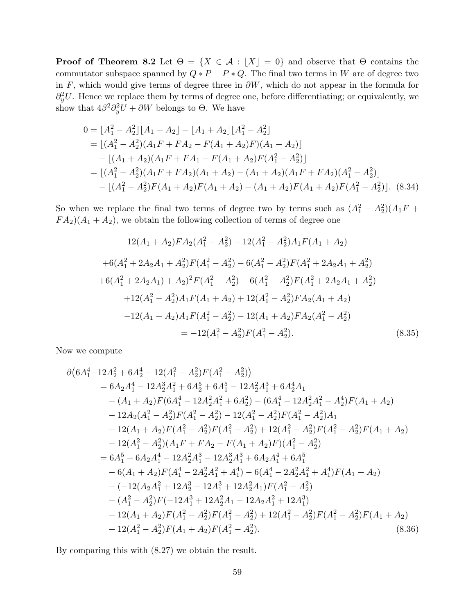**Proof of Theorem 8.2** Let  $\Theta = \{X \in \mathcal{A} : |X| = 0\}$  and observe that  $\Theta$  contains the commutator subspace spanned by  $Q * P - P * Q$ . The final two terms in W are of degree two in F, which would give terms of degree three in  $\partial W$ , which do not appear in the formula for  $\partial_y^2 U$ . Hence we replace them by terms of degree one, before differentiating; or equivalently, we show that  $4\beta^2\partial_y^2 U + \partial W$  belongs to  $\Theta$ . We have

$$
0 = \lfloor A_1^2 - A_2^2 \rfloor [A_1 + A_2] - \lfloor A_1 + A_2 \rfloor [A_1^2 - A_2^2]
$$
  
\n
$$
= \lfloor (A_1^2 - A_2^2)(A_1F + FA_2 - F(A_1 + A_2)F)(A_1 + A_2) \rfloor
$$
  
\n
$$
- \lfloor (A_1 + A_2)(A_1F + FA_1 - F(A_1 + A_2)F(A_1^2 - A_2^2) \rfloor
$$
  
\n
$$
= \lfloor (A_1^2 - A_2^2)(A_1F + FA_2)(A_1 + A_2) - (A_1 + A_2)(A_1F + FA_2)(A_1^2 - A_2^2) \rfloor
$$
  
\n
$$
- \lfloor (A_1^2 - A_2^2)F(A_1 + A_2)F(A_1 + A_2) - (A_1 + A_2)F(A_1 + A_2)F(A_1^2 - A_2^2) \rfloor. (8.34)
$$

So when we replace the final two terms of degree two by terms such as  $(A_1^2 - A_2^2)(A_1F +$  $FA_2(A_1 + A_2)$ , we obtain the following collection of terms of degree one

$$
12(A_1 + A_2)FA_2(A_1^2 - A_2^2) - 12(A_1^2 - A_2^2)A_1F(A_1 + A_2)
$$
  
+6(A<sub>1</sub><sup>2</sup> + 2A<sub>2</sub>A<sub>1</sub> + A<sub>2</sub><sup>2</sup>)F(A<sub>1</sub><sup>2</sup> - A<sub>2</sub><sup>2</sup>) – 6(A<sub>1</sub><sup>2</sup> - A<sub>2</sub><sup>2</sup>)F(A<sub>1</sub><sup>2</sup> + 2A<sub>2</sub>A<sub>1</sub> + A<sub>2</sub><sup>2</sup>)  
+6(A<sub>1</sub><sup>2</sup> + 2A<sub>2</sub>A<sub>1</sub>) + A<sub>2</sub><sup>2</sup>)F(A<sub>1</sub><sup>2</sup> - A<sub>2</sub><sup>2</sup>) – 6(A<sub>1</sub><sup>2</sup> - A<sub>2</sub><sup>2</sup>)F(A<sub>1</sub><sup>2</sup> + 2A<sub>2</sub>A<sub>1</sub> + A<sub>2</sub><sup>2</sup>)  
+12(A<sub>1</sub><sup>2</sup> - A<sub>2</sub><sup>2</sup>)A<sub>1</sub>F(A<sub>1</sub> + A<sub>2</sub>) + 12(A<sub>1</sub><sup>2</sup> - A<sub>2</sub><sup>2</sup>)FA<sub>2</sub>(A<sub>1</sub> + A<sub>2</sub>)  
-12(A<sub>1</sub> + A<sub>2</sub>)A<sub>1</sub>F(A<sub>1</sub><sup>2</sup> - A<sub>2</sub><sup>2</sup>) – 12(A<sub>1</sub> + A<sub>2</sub>)FA<sub>2</sub>(A<sub>1</sub><sup>2</sup> - A<sub>2</sub><sup>2</sup>)  
= -12(A<sub>1</sub><sup>2</sup> - A<sub>2</sub><sup>2</sup>)F(A<sub>1</sub><sup>2</sup> - A<sub>2</sub><sup>2</sup>). (8.35)

Now we compute

$$
\partial \left(6A_1^4 - 12A_2^2 + 6A_2^4 - 12(A_1^2 - A_2^2)F(A_1^2 - A_2^2)\right)
$$
  
\n
$$
= 6A_2A_1^4 - 12A_2^3A_1^2 + 6A_2^5 + 6A_1^5 - 12A_2^2A_1^3 + 6A_2^4A_1
$$
  
\n
$$
- (A_1 + A_2)F(6A_1^4 - 12A_2^2A_1^2 + 6A_2^2) - (6A_1^4 - 12A_2^2A_1^2 - A_2^4)F(A_1 + A_2)
$$
  
\n
$$
- 12A_2(A_1^2 - A_2^2)F(A_1^2 - A_2^2) - 12(A_1^2 - A_2^2)F(A_1^2 - A_2^2)A_1
$$
  
\n
$$
+ 12(A_1 + A_2)F(A_1^2 - A_2^2)F(A_1^2 - A_2^2) + 12(A_1^2 - A_2^2)F(A_1^2 - A_2^2)F(A_1 + A_2)
$$
  
\n
$$
- 12(A_1^2 - A_2^2)(A_1F + FA_2 - F(A_1 + A_2)F)(A_1^2 - A_2^2)
$$
  
\n
$$
= 6A_1^5 + 6A_2A_1^4 - 12A_2^2A_1^3 - 12A_2^3A_1^3 + 6A_2A_1^4 + 6A_1^5
$$
  
\n
$$
- 6(A_1 + A_2)F(A_1^4 - 2A_2^2A_1^2 + A_1^4) - 6(A_1^4 - 2A_2^2A_1^2 + A_1^4)F(A_1 + A_2)
$$
  
\n
$$
+ (-12(A_2A_1^2 + 12A_2^3 - 12A_1^3 + 12A_2^2A_1)F(A_1^2 - A_2^2)
$$
  
\n
$$
+ (A_1^2 - A_2^2)F(-12A_1^3 + 12A_2^2A_1 - 12A_2A_1^2 + 12A_1^3)
$$
  
\n
$$
+
$$

By comparing this with (8.27) we obtain the result.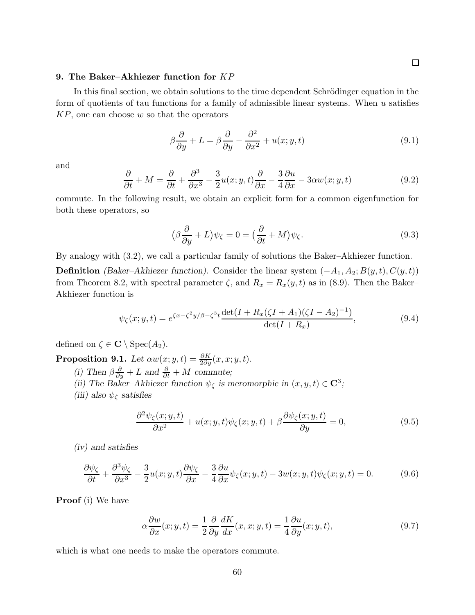## 9. The Baker–Akhiezer function for KP

In this final section, we obtain solutions to the time dependent Schrödinger equation in the form of quotients of tau functions for a family of admissible linear systems. When  $u$  satisfies  $KP$ , one can choose w so that the operators

$$
\beta \frac{\partial}{\partial y} + L = \beta \frac{\partial}{\partial y} - \frac{\partial^2}{\partial x^2} + u(x; y, t)
$$
\n(9.1)

and

$$
\frac{\partial}{\partial t} + M = \frac{\partial}{\partial t} + \frac{\partial^3}{\partial x^3} - \frac{3}{2}u(x; y, t)\frac{\partial}{\partial x} - \frac{3}{4}\frac{\partial u}{\partial x} - 3\alpha w(x; y, t) \tag{9.2}
$$

commute. In the following result, we obtain an explicit form for a common eigenfunction for both these operators, so

$$
\left(\beta \frac{\partial}{\partial y} + L\right)\psi_{\zeta} = 0 = \left(\frac{\partial}{\partial t} + M\right)\psi_{\zeta}.\tag{9.3}
$$

By analogy with (3.2), we call a particular family of solutions the Baker–Akhiezer function.

**Definition** (Baker–Akhiezer function). Consider the linear system  $(-A_1, A_2; B(y, t), C(y, t))$ from Theorem 8.2, with spectral parameter  $\zeta$ , and  $R_x = R_x(y, t)$  as in (8.9). Then the Baker-Akhiezer function is

$$
\psi_{\zeta}(x; y, t) = e^{\zeta x - \zeta^2 y/\beta - \zeta^3 t} \frac{\det(I + R_x(\zeta I + A_1)(\zeta I - A_2)^{-1})}{\det(I + R_x)},\tag{9.4}
$$

defined on  $\zeta \in \mathbf{C} \setminus \text{Spec}(A_2)$ .

**Proposition 9.1.** Let  $\alpha w(x; y, t) = \frac{\partial K}{\partial y}(x, x; y, t)$ .

- (i) Then  $\beta \frac{\partial}{\partial y} + L$  and  $\frac{\partial}{\partial t} + M$  commute;
- (ii) The Baker–Akhiezer function  $\psi_{\zeta}$  is meromorphic in  $(x, y, t) \in \mathbb{C}^{3}$ ;

(iii) also  $\psi_{\zeta}$  satisfies

$$
-\frac{\partial^2 \psi_{\zeta}(x; y, t)}{\partial x^2} + u(x; y, t)\psi_{\zeta}(x; y, t) + \beta \frac{\partial \psi_{\zeta}(x; y, t)}{\partial y} = 0, \tag{9.5}
$$

(iv) and satisfies

$$
\frac{\partial \psi_{\zeta}}{\partial t} + \frac{\partial^3 \psi_{\zeta}}{\partial x^3} - \frac{3}{2} u(x; y, t) \frac{\partial \psi_{\zeta}}{\partial x} - \frac{3}{4} \frac{\partial u}{\partial x} \psi_{\zeta}(x; y, t) - 3w(x; y, t) \psi_{\zeta}(x; y, t) = 0. \tag{9.6}
$$

Proof (i) We have

$$
\alpha \frac{\partial w}{\partial x}(x; y, t) = \frac{1}{2} \frac{\partial}{\partial y} \frac{dK}{dx}(x, x; y, t) = \frac{1}{4} \frac{\partial u}{\partial y}(x; y, t), \tag{9.7}
$$

which is what one needs to make the operators commute.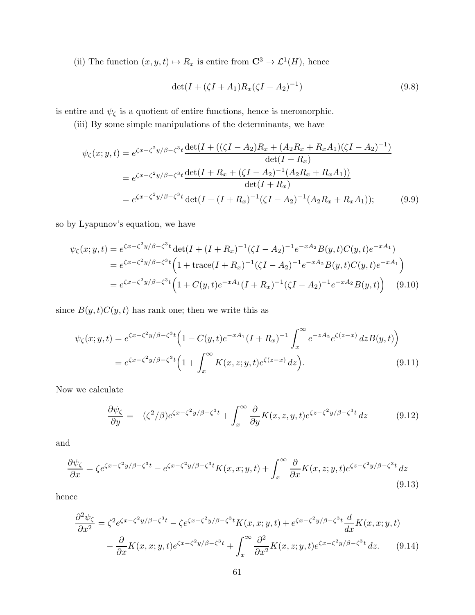(ii) The function  $(x, y, t) \mapsto R_x$  is entire from  $\mathbb{C}^3 \to \mathcal{L}^1(H)$ , hence

$$
\det(I + (\zeta I + A_1)R_x(\zeta I - A_2)^{-1})\tag{9.8}
$$

is entire and  $\psi_\zeta$  is a quotient of entire functions, hence is meromorphic.

(iii) By some simple manipulations of the determinants, we have

$$
\psi_{\zeta}(x; y, t) = e^{\zeta x - \zeta^2 y/\beta - \zeta^3 t} \frac{\det(I + ((\zeta I - A_2)R_x + (A_2R_x + R_xA_1)(\zeta I - A_2)^{-1})}{\det(I + R_x)}
$$
  
\n
$$
= e^{\zeta x - \zeta^2 y/\beta - \zeta^3 t} \frac{\det(I + R_x + (\zeta I - A_2)^{-1}(A_2R_x + R_xA_1))}{\det(I + R_x)}
$$
  
\n
$$
= e^{\zeta x - \zeta^2 y/\beta - \zeta^3 t} \det(I + (I + R_x)^{-1}(\zeta I - A_2)^{-1}(A_2R_x + R_xA_1));
$$
(9.9)

so by Lyapunov's equation, we have

$$
\psi_{\zeta}(x; y, t) = e^{\zeta x - \zeta^2 y/\beta - \zeta^3 t} \det(I + (I + R_x)^{-1} (\zeta I - A_2)^{-1} e^{-xA_2} B(y, t) C(y, t) e^{-xA_1})
$$
  
\n
$$
= e^{\zeta x - \zeta^2 y/\beta - \zeta^3 t} \left( 1 + \text{trace}(I + R_x)^{-1} (\zeta I - A_2)^{-1} e^{-xA_2} B(y, t) C(y, t) e^{-xA_1} \right)
$$
  
\n
$$
= e^{\zeta x - \zeta^2 y/\beta - \zeta^3 t} \left( 1 + C(y, t) e^{-xA_1} (I + R_x)^{-1} (\zeta I - A_2)^{-1} e^{-xA_2} B(y, t) \right) \tag{9.10}
$$

since  $B(y, t)C(y, t)$  has rank one; then we write this as

$$
\psi_{\zeta}(x; y, t) = e^{\zeta x - \zeta^2 y/\beta - \zeta^3 t} \left( 1 - C(y, t) e^{-xA_1} (I + R_x)^{-1} \int_x^{\infty} e^{-zA_2} e^{\zeta(z - x)} dz B(y, t) \right)
$$
  
= 
$$
e^{\zeta x - \zeta^2 y/\beta - \zeta^3 t} \left( 1 + \int_x^{\infty} K(x, z; y, t) e^{\zeta(z - x)} dz \right).
$$
 (9.11)

Now we calculate

$$
\frac{\partial \psi_{\zeta}}{\partial y} = -(\zeta^2/\beta)e^{\zeta x - \zeta^2 y/\beta - \zeta^3 t} + \int_x^{\infty} \frac{\partial}{\partial y} K(x, z, y, t)e^{\zeta z - \zeta^2 y/\beta - \zeta^3 t} dz \tag{9.12}
$$

and

$$
\frac{\partial \psi_{\zeta}}{\partial x} = \zeta e^{\zeta x - \zeta^2 y/\beta - \zeta^3 t} - e^{\zeta x - \zeta^2 y/\beta - \zeta^3 t} K(x, x; y, t) + \int_x^{\infty} \frac{\partial}{\partial x} K(x, z; y, t) e^{\zeta z - \zeta^2 y/\beta - \zeta^3 t} dz
$$
\n(9.13)

hence

$$
\frac{\partial^2 \psi_{\zeta}}{\partial x^2} = \zeta^2 e^{\zeta x - \zeta^2 y/\beta - \zeta^3 t} - \zeta e^{\zeta x - \zeta^2 y/\beta - \zeta^3 t} K(x, x; y, t) + e^{\zeta x - \zeta^2 y/\beta - \zeta^3 t} \frac{d}{dx} K(x, x; y, t)
$$

$$
- \frac{\partial}{\partial x} K(x, x; y, t) e^{\zeta x - \zeta^2 y/\beta - \zeta^3 t} + \int_x^\infty \frac{\partial^2}{\partial x^2} K(x, z; y, t) e^{\zeta x - \zeta^2 y/\beta - \zeta^3 t} dz. \tag{9.14}
$$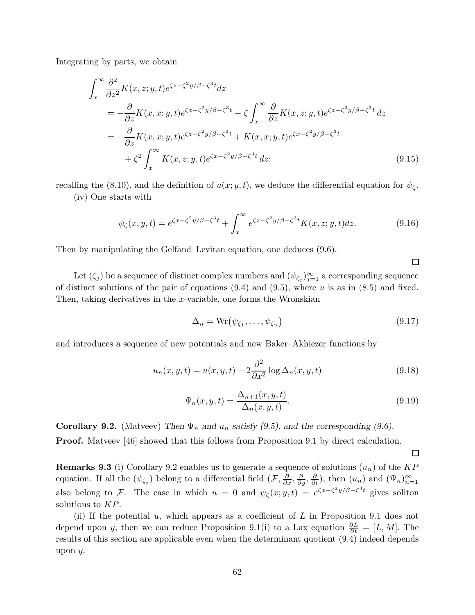Integrating by parts, we obtain

$$
\int_{x}^{\infty} \frac{\partial^{2}}{\partial z^{2}} K(x, z; y, t) e^{\zeta z - \zeta^{2} y/\beta - \zeta^{3} t} dz
$$
\n
$$
= -\frac{\partial}{\partial z} K(x, x; y, t) e^{\zeta x - \zeta^{2} y/\beta - \zeta^{3} t} - \zeta \int_{x}^{\infty} \frac{\partial}{\partial z} K(x, z; y, t) e^{\zeta z - \zeta^{2} y/\beta - \zeta^{3} t} dz
$$
\n
$$
= -\frac{\partial}{\partial z} K(x, x; y, t) e^{\zeta z - \zeta^{2} y/\beta - \zeta^{3} t} + K(x, x; y, t) e^{\zeta x - \zeta^{2} y/\beta - \zeta^{3} t}
$$
\n
$$
+ \zeta^{2} \int_{x}^{\infty} K(x, z; y, t) e^{\zeta x - \zeta^{2} y/\beta - \zeta^{3} t} dz;
$$
\n(9.15)

recalling the (8.10), and the definition of  $u(x; y, t)$ , we deduce the differential equation for  $\psi_{\zeta}$ . (iv) One starts with

$$
\psi_{\zeta}(x,y,t) = e^{\zeta x - \zeta^2 y/\beta - \zeta^3 t} + \int_x^{\infty} e^{\zeta z - \zeta^2 y/\beta - \zeta^3 t} K(x,z;y,t) dz.
$$
\n(9.16)

Then by manipulating the Gelfand–Levitan equation, one deduces (9.6).

Let  $(\zeta_j)$  be a sequence of distinct complex numbers and  $(\psi_{\zeta_j})_{j=1}^{\infty}$  a corresponding sequence of distinct solutions of the pair of equations  $(9.4)$  and  $(9.5)$ , where u is as in  $(8.5)$  and fixed. Then, taking derivatives in the x-variable, one forms the Wronskian

$$
\Delta_n = \text{Wr}(\psi_{\zeta_1}, \dots, \psi_{\zeta_n}) \tag{9.17}
$$

and introduces a sequence of new potentials and new Baker–Akhiezer functions by

$$
u_n(x, y, t) = u(x, y, t) - 2 \frac{\partial^2}{\partial x^2} \log \Delta_n(x, y, t)
$$
\n(9.18)

$$
\Psi_n(x, y, t) = \frac{\Delta_{n+1}(x, y, t)}{\Delta_n(x, y, t)}.\tag{9.19}
$$

**Corollary 9.2.** (Matveev) Then  $\Psi_n$  and  $u_n$  satisfy (9.5), and the corresponding (9.6).

**Proof.** Matveev [46] showed that this follows from Proposition 9.1 by direct calculation.

**Remarks 9.3** (i) Corollary 9.2 enables us to generate a sequence of solutions  $(u_n)$  of the KP equation. If all the  $(\psi_{\zeta_j})$  belong to a differential field  $(\mathcal{F}, \frac{\partial}{\partial x}, \frac{\partial}{\partial y}, \frac{\partial}{\partial t})$ , then  $(u_n)$  and  $(\Psi_n)_{n=1}^{\infty}$ also belong to F. The case in which  $u = 0$  and  $\psi_{\zeta}(x; y, t) = e^{\zeta x - \zeta^2 y/\beta - \zeta^3 t}$  gives soliton solutions to KP.

(ii) If the potential  $u$ , which appears as a coefficient of  $L$  in Proposition 9.1 does not depend upon y, then we can reduce Proposition 9.1(i) to a Lax equation  $\frac{\partial L}{\partial t} = [L, M]$ . The results of this section are applicable even when the determinant quotient (9.4) indeed depends upon y.

 $\Box$ 

 $\Box$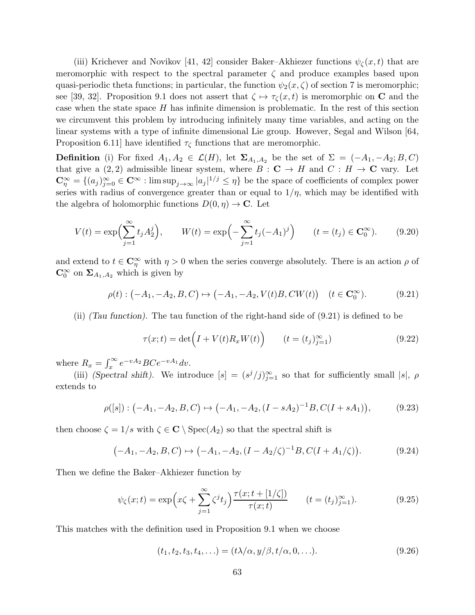(iii) Krichever and Novikov [41, 42] consider Baker–Akhiezer functions  $\psi_{\zeta}(x,t)$  that are meromorphic with respect to the spectral parameter  $\zeta$  and produce examples based upon quasi-periodic theta functions; in particular, the function  $\psi_2(x,\zeta)$  of section 7 is meromorphic; see [39, 32]. Proposition 9.1 does not assert that  $\zeta \mapsto \tau_{\zeta}(x,t)$  is meromorphic on C and the case when the state space  $H$  has infinite dimension is problematic. In the rest of this section we circumvent this problem by introducing infinitely many time variables, and acting on the linear systems with a type of infinite dimensional Lie group. However, Segal and Wilson [64, Proposition 6.11] have identified  $\tau_{\zeta}$  functions that are meromorphic.

**Definition** (i) For fixed  $A_1, A_2 \in \mathcal{L}(H)$ , let  $\Sigma_{A_1, A_2}$  be the set of  $\Sigma = (-A_1, -A_2; B, C)$ that give a (2, 2) admissible linear system, where  $B : \mathbf{C} \to H$  and  $C : H \to \mathbf{C}$  vary. Let  $\mathbb{C}_{\eta}^{\infty} = \{(a_j)_{j=0}^{\infty} \in \mathbb{C}^{\infty} : \limsup_{j \to \infty} |a_j|^{1/j} \leq \eta\}$  be the space of coefficients of complex power series with radius of convergence greater than or equal to  $1/\eta$ , which may be identified with the algebra of holomorphic functions  $D(0, \eta) \to \mathbb{C}$ . Let

$$
V(t) = \exp\left(\sum_{j=1}^{\infty} t_j A_2^j\right), \qquad W(t) = \exp\left(-\sum_{j=1}^{\infty} t_j (-A_1)^j\right) \qquad (t = (t_j) \in \mathbf{C}_0^{\infty}). \tag{9.20}
$$

and extend to  $t \in \mathbb{C}_\eta^{\infty}$  with  $\eta > 0$  when the series converge absolutely. There is an action  $\rho$  of  $\mathbb{C}_0^{\infty}$  on  $\Sigma_{A_1,A_2}$  which is given by

$$
\rho(t): (-A_1, -A_2, B, C) \mapsto (-A_1, -A_2, V(t)B, CW(t)) \quad (t \in \mathbf{C}_0^{\infty}).
$$
 (9.21)

(ii) (Tau function). The tau function of the right-hand side of (9.21) is defined to be

$$
\tau(x;t) = \det\left(I + V(t)R_x W(t)\right) \qquad (t = (t_j)_{j=1}^{\infty})
$$
\n(9.22)

where  $R_x = \int_x^{\infty} e^{-vA_2} BC e^{-vA_1} dv$ .

(iii) (Spectral shift). We introduce  $[s] = (s^j/j)_{j=1}^{\infty}$  so that for sufficiently small  $|s|$ ,  $\rho$ extends to

$$
\rho([s]): (-A_1, -A_2, B, C) \mapsto (-A_1, -A_2, (I - sA_2)^{-1}B, C(I + sA_1)), \tag{9.23}
$$

then choose  $\zeta = 1/s$  with  $\zeta \in \mathbb{C} \setminus \text{Spec}(A_2)$  so that the spectral shift is

$$
(-A_1, -A_2, B, C) \mapsto (-A_1, -A_2, (I - A_2/\zeta)^{-1}B, C(I + A_1/\zeta)).
$$
\n(9.24)

Then we define the Baker–Akhiezer function by

$$
\psi_{\zeta}(x;t) = \exp\left(x\zeta + \sum_{j=1}^{\infty} \zeta^{j} t_{j}\right) \frac{\tau(x;t + [1/\zeta])}{\tau(x;t)} \qquad (t = (t_{j})_{j=1}^{\infty}).
$$
\n(9.25)

This matches with the definition used in Proposition 9.1 when we choose

$$
(t_1, t_2, t_3, t_4, \ldots) = (t\lambda/\alpha, y/\beta, t/\alpha, 0, \ldots).
$$
 (9.26)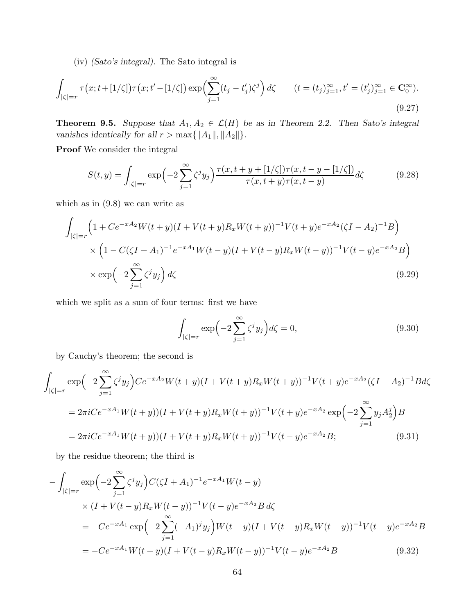(iv) (Sato's integral). The Sato integral is

$$
\int_{|\zeta|=r} \tau(x; t+[1/\zeta])\tau(x; t'-[1/\zeta]) \exp\left(\sum_{j=1}^{\infty} (t_j-t'_j)\zeta^j\right) d\zeta \qquad (t=(t_j)_{j=1}^{\infty}, t'=(t'_j)_{j=1}^{\infty} \in \mathbf{C}_0^{\infty}.
$$
\n(9.27)

**Theorem 9.5.** Suppose that  $A_1, A_2 \in \mathcal{L}(H)$  be as in Theorem 2.2. Then Sato's integral vanishes identically for all  $r > \max\{\|A_1\|, \|A_2\|\}.$ 

Proof We consider the integral

$$
S(t,y) = \int_{|\zeta|=r} \exp\left(-2\sum_{j=1}^{\infty} \zeta^j y_j\right) \frac{\tau(x,t+y+[1/\zeta])\tau(x,t-y-[1/\zeta])}{\tau(x,t+y)\tau(x,t-y)} d\zeta
$$
(9.28)

which as in (9.8) we can write as

$$
\int_{|\zeta|=r} \left(1 + Ce^{-xA_2}W(t+y)(I+V(t+y)R_xW(t+y))^{-1}V(t+y)e^{-xA_2}(\zeta I - A_2)^{-1}B\right) \times \left(1 - C(\zeta I + A_1)^{-1}e^{-xA_1}W(t-y)(I+V(t-y)R_xW(t-y))^{-1}V(t-y)e^{-xA_2}B\right) \times \exp\left(-2\sum_{j=1}^{\infty} \zeta^j y_j\right) d\zeta
$$
\n(9.29)

which we split as a sum of four terms: first we have

$$
\int_{|\zeta|=r} \exp\left(-2\sum_{j=1}^{\infty} \zeta^j y_j\right) d\zeta = 0,
$$
\n(9.30)

by Cauchy's theorem; the second is

$$
\int_{|\zeta|=r} \exp\left(-2\sum_{j=1}^{\infty} \zeta^j y_j\right) C e^{-xA_2} W(t+y)(I+V(t+y)R_x W(t+y))^{-1} V(t+y) e^{-xA_2} (\zeta I - A_2)^{-1} B d\zeta
$$
\n
$$
= 2\pi i C e^{-xA_1} W(t+y)(I+V(t+y)R_x W(t+y))^{-1} V(t+y) e^{-xA_2} \exp\left(-2\sum_{j=1}^{\infty} y_j A_2^j\right) B
$$
\n
$$
= 2\pi i C e^{-xA_1} W(t+y)(I+V(t+y)R_x W(t+y))^{-1} V(t-y) e^{-xA_2} B; \tag{9.31}
$$

by the residue theorem; the third is

$$
-\int_{|\zeta|=r} \exp\left(-2\sum_{j=1}^{\infty} \zeta^j y_j\right) C(\zeta I + A_1)^{-1} e^{-xA_1} W(t - y)
$$
  
 
$$
\times (I + V(t - y)R_x W(t - y))^{-1} V(t - y) e^{-xA_2} B d\zeta
$$
  
\n
$$
= -Ce^{-xA_1} \exp\left(-2\sum_{j=1}^{\infty} (-A_1)^j y_j\right) W(t - y) (I + V(t - y)R_x W(t - y))^{-1} V(t - y) e^{-xA_2} B
$$
  
\n
$$
= -Ce^{-xA_1} W(t + y) (I + V(t - y)R_x W(t - y))^{-1} V(t - y) e^{-xA_2} B
$$
\n(9.32)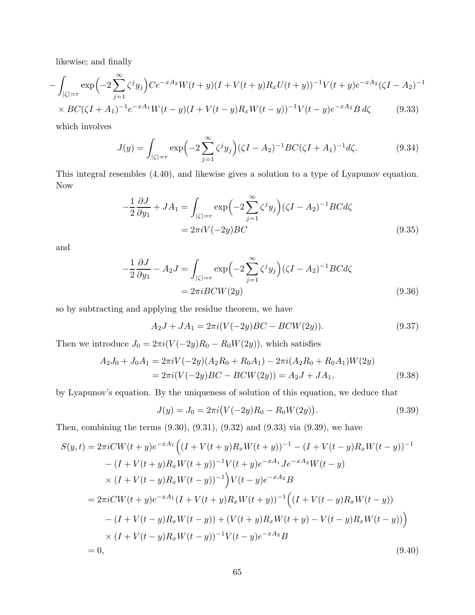likewise; and finally

$$
-\int_{|\zeta|=r} \exp\Bigl(-2\sum_{j=1}^{\infty} \zeta^j y_j\Bigr) C e^{-xA_2} W(t+y)(I+V(t+y)R_x U(t+y))^{-1} V(t+y) e^{-xA_2} (\zeta I - A_2)^{-1}
$$
  
 
$$
\times BC(\zeta I + A_1)^{-1} e^{-xA_1} W(t-y)(I+V(t-y))R_W(t-y))^{-1} V(t-y) e^{-xA_2} R d\zeta
$$
 (9.33)

$$
\times BC(\zeta I + A_1)^{-1}e^{-xA_1}W(t-y)(I + V(t-y)R_xW(t-y))^{-1}V(t-y)e^{-xA_2}B\,d\zeta\tag{9.33}
$$

which involves

$$
J(y) = \int_{|\zeta|=r} \exp\left(-2\sum_{j=1}^{\infty} \zeta^j y_j\right) (\zeta I - A_2)^{-1} BC(\zeta I + A_1)^{-1} d\zeta.
$$
 (9.34)

This integral resembles (4.40), and likewise gives a solution to a type of Lyapunov equation. Now

$$
-\frac{1}{2}\frac{\partial J}{\partial y_1} + JA_1 = \int_{|\zeta|=r} \exp\left(-2\sum_{j=1}^{\infty} \zeta^j y_j\right) (\zeta I - A_2)^{-1} BC d\zeta
$$
  
=  $2\pi i V(-2y) BC$  (9.35)

and

$$
-\frac{1}{2}\frac{\partial J}{\partial y_1} - A_2 J = \int_{|\zeta|=r} \exp\left(-2\sum_{j=1}^{\infty} \zeta^j y_j\right) (\zeta I - A_2)^{-1} BC d\zeta
$$
  
=  $2\pi i BCW(2y)$  (9.36)

so by subtracting and applying the residue theorem, we have

$$
A_2J + JA_1 = 2\pi i (V(-2y)BC - BCW(2y)).
$$
\n(9.37)

Then we introduce  $J_0 = 2\pi i (V(-2y)R_0 - R_0W(2y))$ , which satisfies

$$
A_2 J_0 + J_0 A_1 = 2\pi i V(-2y)(A_2 R_0 + R_0 A_1) - 2\pi i (A_2 R_0 + R_0 A_1)W(2y)
$$
  
=  $2\pi i (V(-2y)BC - BCW(2y)) = A_2 J + J A_1,$  (9.38)

by Lyapunov's equation. By the uniqueness of solution of this equation, we deduce that

$$
J(y) = J_0 = 2\pi i \big( V(-2y)R_0 - R_0 W(2y) \big).
$$
\n(9.39)

Then, combining the terms (9.30), (9.31), (9.32) and (9.33) via (9.39), we have

$$
S(y,t) = 2\pi i CW(t+y)e^{-xA_1} \Big( (I + V(t+y)R_x W(t+y))^{-1} - (I + V(t-y)R_x W(t-y))^{-1} - (I + V(t+y)R_x W(t+y))^{-1}V(t+y)e^{-xA_1}Je^{-xA_2}W(t-y) \times (I + V(t-y)R_x W(t-y))^{-1} \Big) V(t-y)e^{-xA_2}B = 2\pi i CW(t+y)e^{-xA_1}(I + V(t+y)R_x W(t+y))^{-1} \Big( (I + V(t-y)R_x W(t-y)) - (I + V(t-y)R_x W(t-y)) + (V(t+y)R_x W(t+y) - V(t-y)R_x W(t-y)) \Big) \times (I + V(t-y)R_x W(t-y))^{-1}V(t-y)e^{-xA_2}B = 0,
$$
\n(9.40)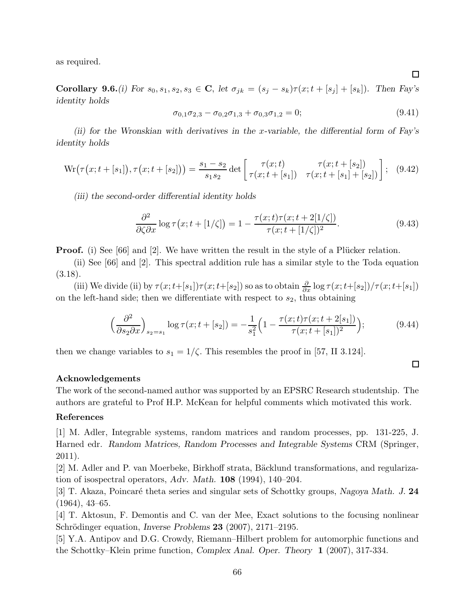as required.

Corollary 9.6.(i) For  $s_0, s_1, s_2, s_3 \in \mathbb{C}$ , let  $\sigma_{jk} = (s_j - s_k)\tau(x; t + [s_j] + [s_k])$ . Then Fay's identity holds

$$
\sigma_{0,1}\sigma_{2,3} - \sigma_{0,2}\sigma_{1,3} + \sigma_{0,3}\sigma_{1,2} = 0;
$$
\n(9.41)

(ii) for the Wronskian with derivatives in the x-variable, the differential form of Fay's identity holds

$$
\text{Wr}\big(\tau(x;t+[s_1]),\tau(x;t+[s_2])\big) = \frac{s_1-s_2}{s_1s_2} \det \begin{bmatrix} \tau(x;t) & \tau(x;t+[s_2]) \\ \tau(x;t+[s_1]) & \tau(x;t+[s_1]+[s_2]) \end{bmatrix};\tag{9.42}
$$

(iii) the second-order differential identity holds

$$
\frac{\partial^2}{\partial \zeta \partial x} \log \tau \left( x; t + \left[ 1/\zeta \right] \right) = 1 - \frac{\tau(x; t)\tau(x; t + 2[1/\zeta])}{\tau(x; t + \left[ 1/\zeta \right])^2}.
$$
\n(9.43)

**Proof.** (i) See [66] and [2]. We have written the result in the style of a Plücker relation.

(ii) See [66] and [2]. This spectral addition rule has a similar style to the Toda equation (3.18).

(iii) We divide (ii) by  $\tau(x; t+[s_1])\tau(x; t+[s_2])$  so as to obtain  $\frac{\partial}{\partial x}\log \tau(x; t+[s_2])/\tau(x; t+[s_1])$ on the left-hand side; then we differentiate with respect to  $s_2$ , thus obtaining

$$
\left(\frac{\partial^2}{\partial s_2 \partial x}\right)_{s_2=s_1} \log \tau(x; t+[s_2]) = -\frac{1}{s_1^2} \left(1 - \frac{\tau(x; t)\tau(x; t+2[s_1])}{\tau(x; t+[s_1])^2}\right);\tag{9.44}
$$

then we change variables to  $s_1 = 1/\zeta$ . This resembles the proof in [57, II 3.124].

#### Acknowledgements

The work of the second-named author was supported by an EPSRC Research studentship. The authors are grateful to Prof H.P. McKean for helpful comments which motivated this work.

## References

[1] M. Adler, Integrable systems, random matrices and random processes, pp. 131-225, J. Harned edr. Random Matrices, Random Processes and Integrable Systems CRM (Springer, 2011).

[2] M. Adler and P. van Moerbeke, Birkhoff strata, Bäcklund transformations, and regularization of isospectral operators, Adv. Math. 108 (1994), 140–204.

[3] T. Akaza, Poincaré theta series and singular sets of Schottky groups, Nagoya Math. J. 24 (1964), 43–65.

[4] T. Aktosun, F. Demontis and C. van der Mee, Exact solutions to the focusing nonlinear Schrödinger equation, *Inverse Problems* 23 (2007), 2171–2195.

[5] Y.A. Antipov and D.G. Crowdy, Riemann–Hilbert problem for automorphic functions and the Schottky–Klein prime function, Complex Anal. Oper. Theory 1 (2007), 317-334.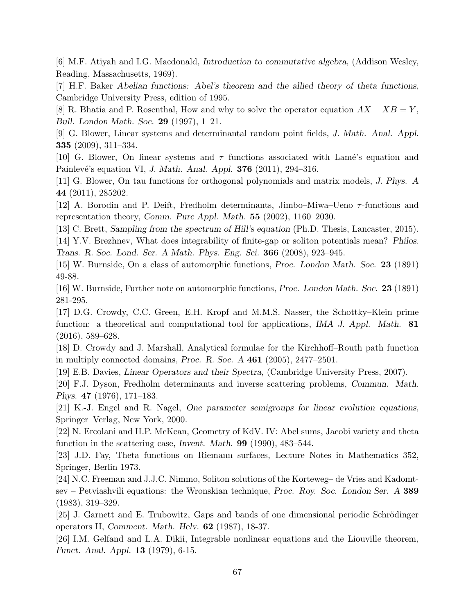[6] M.F. Atiyah and I.G. Macdonald, Introduction to commutative algebra, (Addison Wesley, Reading, Massachusetts, 1969).

[7] H.F. Baker Abelian functions: Abel's theorem and the allied theory of theta functions, Cambridge University Press, edition of 1995.

[8] R. Bhatia and P. Rosenthal, How and why to solve the operator equation  $AX - XB = Y$ , Bull. London Math. Soc. 29 (1997), 1–21.

[9] G. Blower, Linear systems and determinantal random point fields, J. Math. Anal. Appl. 335 (2009), 311–334.

[10] G. Blower, On linear systems and  $\tau$  functions associated with Lamé's equation and Painlevé's equation VI, J. Math. Anal. Appl.  $376$  (2011), 294–316.

[11] G. Blower, On tau functions for orthogonal polynomials and matrix models, J. Phys. A 44 (2011), 285202.

[12] A. Borodin and P. Deift, Fredholm determinants, Jimbo–Miwa–Ueno  $\tau$ -functions and representation theory, Comm. Pure Appl. Math. 55 (2002), 1160–2030.

[13] C. Brett, Sampling from the spectrum of Hill's equation (Ph.D. Thesis, Lancaster, 2015). [14] Y.V. Brezhnev, What does integrability of finite-gap or soliton potentials mean? Philos. Trans. R. Soc. Lond. Ser. A Math. Phys. Eng. Sci. 366 (2008), 923–945.

[15] W. Burnside, On a class of automorphic functions, Proc. London Math. Soc. 23 (1891) 49-88.

[16] W. Burnside, Further note on automorphic functions, Proc. London Math. Soc. 23 (1891) 281-295.

[17] D.G. Crowdy, C.C. Green, E.H. Kropf and M.M.S. Nasser, the Schottky–Klein prime function: a theoretical and computational tool for applications, IMA J. Appl. Math. 81 (2016), 589–628.

[18] D. Crowdy and J. Marshall, Analytical formulae for the Kirchhoff–Routh path function in multiply connected domains, Proc. R. Soc.  $A$  461 (2005), 2477–2501.

[19] E.B. Davies, Linear Operators and their Spectra, (Cambridge University Press, 2007).

[20] F.J. Dyson, Fredholm determinants and inverse scattering problems, Commun. Math. Phys. 47 (1976), 171–183.

[21] K.-J. Engel and R. Nagel, One parameter semigroups for linear evolution equations, Springer–Verlag, New York, 2000.

[22] N. Ercolani and H.P. McKean, Geometry of KdV. IV: Abel sums, Jacobi variety and theta function in the scattering case, Invent. Math. 99 (1990), 483–544.

[23] J.D. Fay, Theta functions on Riemann surfaces, Lecture Notes in Mathematics 352, Springer, Berlin 1973.

[24] N.C. Freeman and J.J.C. Nimmo, Soliton solutions of the Korteweg– de Vries and Kadomtsev – Petviashvili equations: the Wronskian technique, Proc. Roy. Soc. London Ser. A 389 (1983), 319–329.

[25] J. Garnett and E. Trubowitz, Gaps and bands of one dimensional periodic Schrödinger operators II, Comment. Math. Helv. 62 (1987), 18-37.

[26] I.M. Gelfand and L.A. Dikii, Integrable nonlinear equations and the Liouville theorem, Funct. Anal. Appl. 13 (1979), 6-15.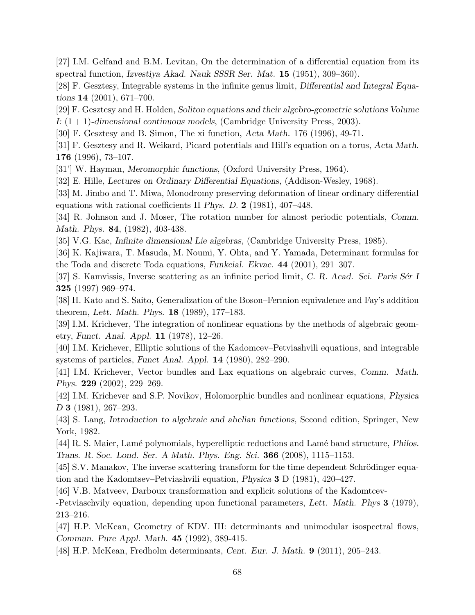[27] I.M. Gelfand and B.M. Levitan, On the determination of a differential equation from its spectral function, Izvestiya Akad. Nauk SSSR Ser. Mat. 15 (1951), 309–360).

[28] F. Gesztesy, Integrable systems in the infinite genus limit, Differential and Integral Equations 14 (2001), 671–700.

[29] F. Gesztesy and H. Holden, Soliton equations and their algebro-geometric solutions Volume I: (1 + 1)-dimensional continuous models, (Cambridge University Press, 2003).

[30] F. Gesztesy and B. Simon, The xi function, Acta Math. 176 (1996), 49-71.

[31] F. Gesztesy and R. Weikard, Picard potentials and Hill's equation on a torus, Acta Math. 176 (1996), 73–107.

[31'] W. Hayman, Meromorphic functions, (Oxford University Press, 1964).

[32] E. Hille, Lectures on Ordinary Differential Equations, (Addison-Wesley, 1968).

[33] M. Jimbo and T. Miwa, Monodromy preserving deformation of linear ordinary differential equations with rational coefficients II Phys. D. 2 (1981), 407–448.

[34] R. Johnson and J. Moser, The rotation number for almost periodic potentials, Comm. Math. Phys. 84, (1982), 403-438.

[35] V.G. Kac, Infinite dimensional Lie algebras, (Cambridge University Press, 1985).

[36] K. Kajiwara, T. Masuda, M. Noumi, Y. Ohta, and Y. Yamada, Determinant formulas for the Toda and discrete Toda equations, Funkcial. Ekvac. 44 (2001), 291–307.

[37] S. Kamvissis, Inverse scattering as an infinite period limit, C. R. Acad. Sci. Paris Sér I 325 (1997) 969–974.

[38] H. Kato and S. Saito, Generalization of the Boson–Fermion equivalence and Fay's addition theorem, Lett. Math. Phys. 18 (1989), 177–183.

[39] I.M. Krichever, The integration of nonlinear equations by the methods of algebraic geometry, Funct. Anal. Appl. 11 (1978), 12–26.

[40] I.M. Krichever, Elliptic solutions of the Kadomcev–Petviashvili equations, and integrable systems of particles, Funct Anal. Appl. 14 (1980), 282–290.

[41] I.M. Krichever, Vector bundles and Lax equations on algebraic curves, Comm. Math. Phys. 229 (2002), 229–269.

[42] I.M. Krichever and S.P. Novikov, Holomorphic bundles and nonlinear equations, Physica D **3** (1981), 267–293.

[43] S. Lang, Introduction to algebraic and abelian functions, Second edition, Springer, New York, 1982.

[44] R. S. Maier, Lamé polynomials, hyperelliptic reductions and Lamé band structure, Philos. Trans. R. Soc. Lond. Ser. A Math. Phys. Eng. Sci. 366 (2008), 1115–1153.

[45] S.V. Manakov, The inverse scattering transform for the time dependent Schrödinger equation and the Kadomtsev–Petviashvili equation, Physica 3 D (1981), 420–427.

[46] V.B. Matveev, Darboux transformation and explicit solutions of the Kadomtcev-

-Petviaschvily equation, depending upon functional parameters, Lett. Math. Phys 3 (1979), 213–216.

[47] H.P. McKean, Geometry of KDV. III: determinants and unimodular isospectral flows, Commun. Pure Appl. Math. 45 (1992), 389-415.

[48] H.P. McKean, Fredholm determinants, Cent. Eur. J. Math. 9 (2011), 205–243.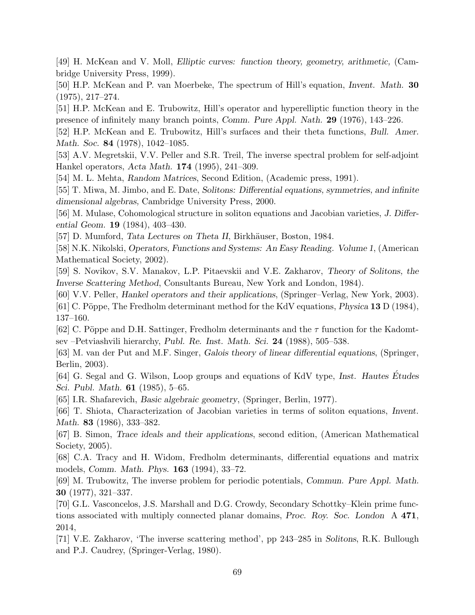[49] H. McKean and V. Moll, Elliptic curves: function theory, geometry, arithmetic, (Cambridge University Press, 1999).

[50] H.P. McKean and P. van Moerbeke, The spectrum of Hill's equation, Invent. Math. 30 (1975), 217–274.

[51] H.P. McKean and E. Trubowitz, Hill's operator and hyperelliptic function theory in the presence of infinitely many branch points, Comm. Pure Appl. Nath. 29 (1976), 143–226.

[52] H.P. McKean and E. Trubowitz, Hill's surfaces and their theta functions, Bull. Amer. Math. Soc. **84** (1978), 1042–1085.

[53] A.V. Megretskii, V.V. Peller and S.R. Treil, The inverse spectral problem for self-adjoint Hankel operators, Acta Math. 174 (1995), 241–309.

[54] M. L. Mehta, Random Matrices, Second Edition, (Academic press, 1991).

[55] T. Miwa, M. Jimbo, and E. Date, Solitons: Differential equations, symmetries, and infinite dimensional algebras, Cambridge University Press, 2000.

[56] M. Mulase, Cohomological structure in soliton equations and Jacobian varieties, J. Differential Geom. 19 (1984), 403–430.

[57] D. Mumford, *Tata Lectures on Theta II*, Birkhäuser, Boston, 1984.

[58] N.K. Nikolski, Operators, Functions and Systems: An Easy Reading. Volume 1, (American Mathematical Society, 2002).

[59] S. Novikov, S.V. Manakov, L.P. Pitaevskii and V.E. Zakharov, Theory of Solitons, the Inverse Scattering Method, Consultants Bureau, New York and London, 1984).

[60] V.V. Peller, Hankel operators and their applications, (Springer–Verlag, New York, 2003).

[61] C. Pöppe, The Fredholm determinant method for the KdV equations, *Physica* 13 D (1984), 137–160.

[62] C. Pöppe and D.H. Sattinger, Fredholm determinants and the  $\tau$  function for the Kadomtsev –Petviashvili hierarchy, Publ. Re. Inst. Math. Sci. 24 (1988), 505–538.

[63] M. van der Put and M.F. Singer, Galois theory of linear differential equations, (Springer, Berlin, 2003).

[64] G. Segal and G. Wilson, Loop groups and equations of KdV type, Inst. Hautes Etudes ´ Sci. Publ. Math. 61 (1985), 5–65.

[65] I.R. Shafarevich, Basic algebraic geometry, (Springer, Berlin, 1977).

[66] T. Shiota, Characterization of Jacobian varieties in terms of soliton equations, Invent. Math. 83 (1986), 333–382.

[67] B. Simon, Trace ideals and their applications, second edition, (American Mathematical Society, 2005).

[68] C.A. Tracy and H. Widom, Fredholm determinants, differential equations and matrix models, Comm. Math. Phys. 163 (1994), 33–72.

[69] M. Trubowitz, The inverse problem for periodic potentials, Commun. Pure Appl. Math. 30 (1977), 321–337.

[70] G.L. Vasconcelos, J.S. Marshall and D.G. Crowdy, Secondary Schottky–Klein prime functions associated with multiply connected planar domains, Proc. Roy. Soc. London A 471, 2014,

[71] V.E. Zakharov, 'The inverse scattering method', pp 243–285 in Solitons, R.K. Bullough and P.J. Caudrey, (Springer-Verlag, 1980).